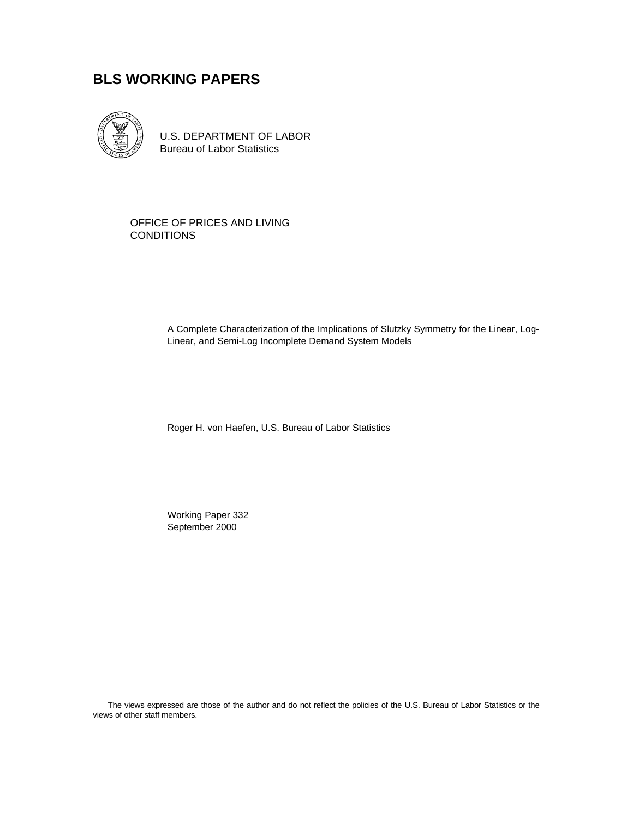# **BLS WORKING PAPERS**



U.S. DEPARTMENT OF LABOR Bureau of Labor Statistics

OFFICE OF PRICES AND LIVING **CONDITIONS** 

> A Complete Characterization of the Implications of Slutzky Symmetry for the Linear, Log-Linear, and Semi-Log Incomplete Demand System Models

Roger H. von Haefen, U.S. Bureau of Labor Statistics

Working Paper 332 September 2000

The views expressed are those of the author and do not reflect the policies of the U.S. Bureau of Labor Statistics or the views of other staff members.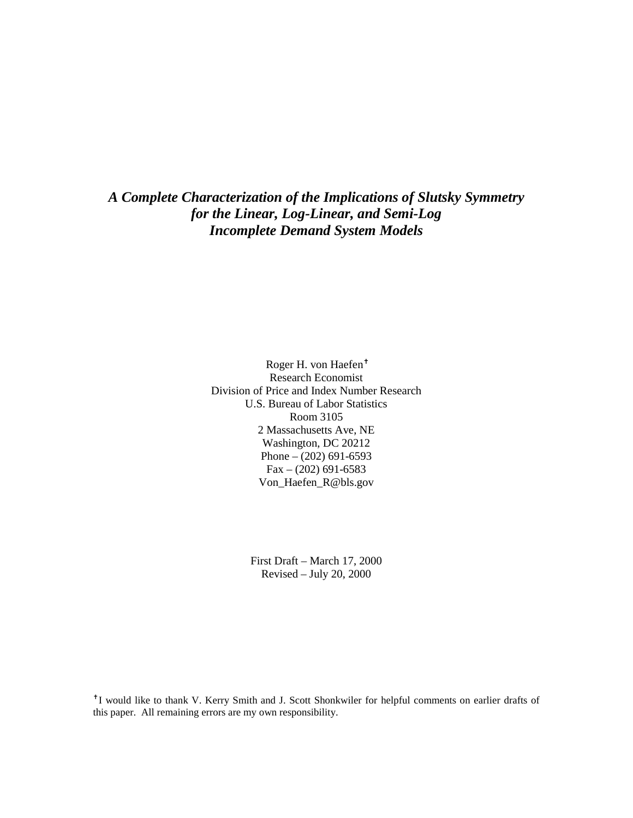*A Complete Characterization of the Implications of Slutsky Symmetry for the Linear, Log-Linear, and Semi-Log Incomplete Demand System Models*

> Roger H. von Haefen<sup>†</sup> Research Economist Division of Price and Index Number Research U.S. Bureau of Labor Statistics Room 3105 2 Massachusetts Ave, NE Washington, DC 20212 Phone – (202) 691-6593  $Fax - (202) 691-6583$ Von\_Haefen\_R@bls.gov

> > First Draft – March 17, 2000 Revised – July 20, 2000

<sup>+</sup> I would like to thank V. Kerry Smith and J. Scott Shonkwiler for helpful comments on earlier drafts of this paper. All remaining errors are my own responsibility.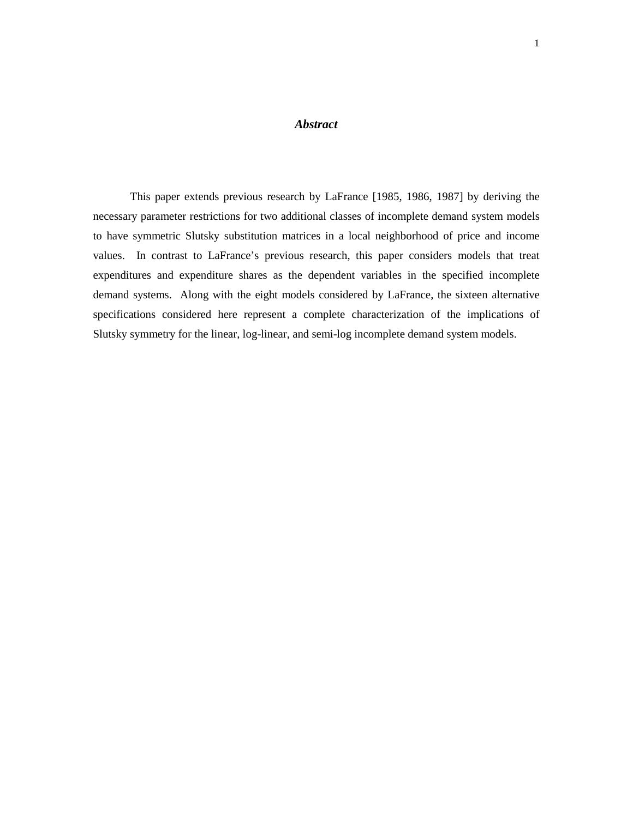### *Abstract*

This paper extends previous research by LaFrance [1985, 1986, 1987] by deriving the necessary parameter restrictions for two additional classes of incomplete demand system models to have symmetric Slutsky substitution matrices in a local neighborhood of price and income values. In contrast to LaFrance's previous research, this paper considers models that treat expenditures and expenditure shares as the dependent variables in the specified incomplete demand systems. Along with the eight models considered by LaFrance, the sixteen alternative specifications considered here represent a complete characterization of the implications of Slutsky symmetry for the linear, log-linear, and semi-log incomplete demand system models.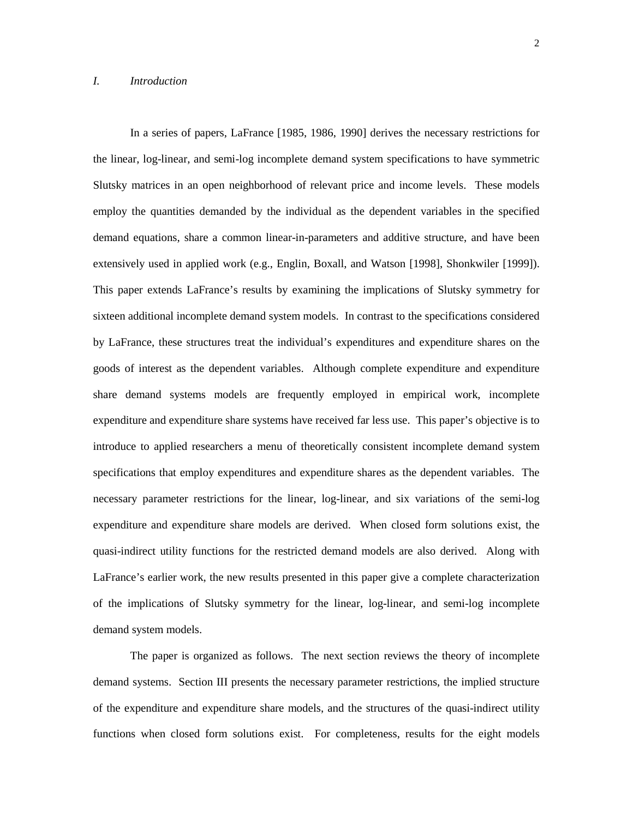In a series of papers, LaFrance [1985, 1986, 1990] derives the necessary restrictions for the linear, log-linear, and semi-log incomplete demand system specifications to have symmetric Slutsky matrices in an open neighborhood of relevant price and income levels. These models employ the quantities demanded by the individual as the dependent variables in the specified demand equations, share a common linear-in-parameters and additive structure, and have been extensively used in applied work (e.g., Englin, Boxall, and Watson [1998], Shonkwiler [1999]). This paper extends LaFrance's results by examining the implications of Slutsky symmetry for sixteen additional incomplete demand system models. In contrast to the specifications considered by LaFrance, these structures treat the individual's expenditures and expenditure shares on the goods of interest as the dependent variables. Although complete expenditure and expenditure share demand systems models are frequently employed in empirical work, incomplete expenditure and expenditure share systems have received far less use. This paper's objective is to introduce to applied researchers a menu of theoretically consistent incomplete demand system specifications that employ expenditures and expenditure shares as the dependent variables. The necessary parameter restrictions for the linear, log-linear, and six variations of the semi-log expenditure and expenditure share models are derived. When closed form solutions exist, the quasi-indirect utility functions for the restricted demand models are also derived. Along with LaFrance's earlier work, the new results presented in this paper give a complete characterization of the implications of Slutsky symmetry for the linear, log-linear, and semi-log incomplete demand system models.

The paper is organized as follows. The next section reviews the theory of incomplete demand systems. Section III presents the necessary parameter restrictions, the implied structure of the expenditure and expenditure share models, and the structures of the quasi-indirect utility functions when closed form solutions exist. For completeness, results for the eight models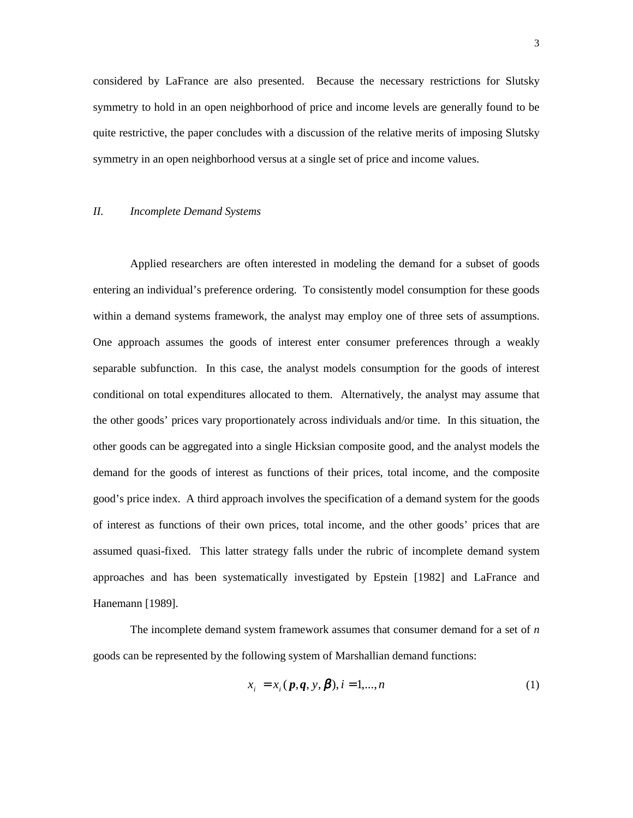considered by LaFrance are also presented. Because the necessary restrictions for Slutsky symmetry to hold in an open neighborhood of price and income levels are generally found to be quite restrictive, the paper concludes with a discussion of the relative merits of imposing Slutsky symmetry in an open neighborhood versus at a single set of price and income values.

### *II. Incomplete Demand Systems*

Applied researchers are often interested in modeling the demand for a subset of goods entering an individual's preference ordering. To consistently model consumption for these goods within a demand systems framework, the analyst may employ one of three sets of assumptions. One approach assumes the goods of interest enter consumer preferences through a weakly separable subfunction. In this case, the analyst models consumption for the goods of interest conditional on total expenditures allocated to them. Alternatively, the analyst may assume that the other goods' prices vary proportionately across individuals and/or time. In this situation, the other goods can be aggregated into a single Hicksian composite good, and the analyst models the demand for the goods of interest as functions of their prices, total income, and the composite good's price index. A third approach involves the specification of a demand system for the goods of interest as functions of their own prices, total income, and the other goods' prices that are assumed quasi-fixed. This latter strategy falls under the rubric of incomplete demand system approaches and has been systematically investigated by Epstein [1982] and LaFrance and Hanemann [1989].

The incomplete demand system framework assumes that consumer demand for a set of *n* goods can be represented by the following system of Marshallian demand functions:

$$
x_i = x_i(p, q, y, \beta), i = 1, ..., n
$$
 (1)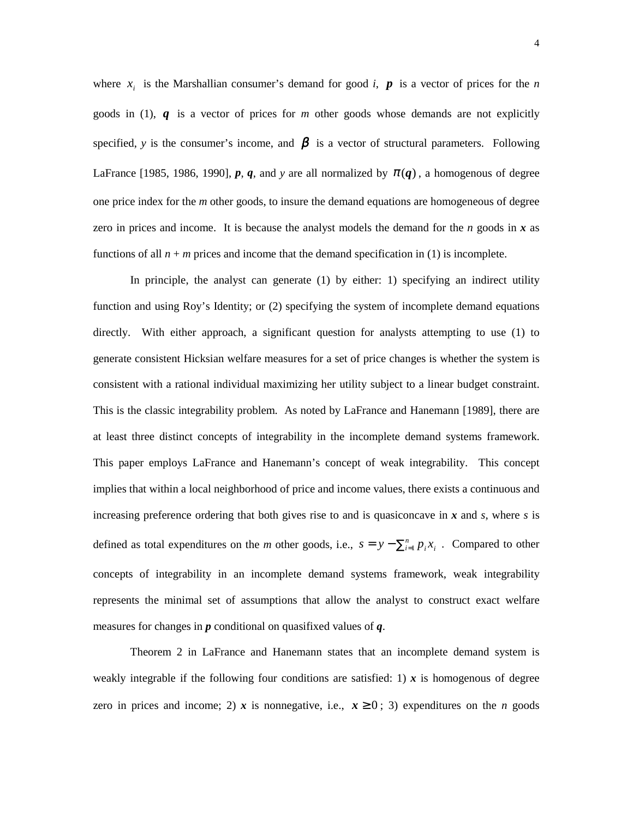where  $x_i$  is the Marshallian consumer's demand for good *i*,  $\boldsymbol{p}$  is a vector of prices for the *n* goods in (1), *q* is a vector of prices for *m* other goods whose demands are not explicitly specified, *y* is the consumer's income, and  $\beta$  is a vector of structural parameters. Following LaFrance [1985, 1986, 1990],  $p$ ,  $q$ , and  $y$  are all normalized by  $\pi(q)$ , a homogenous of degree one price index for the *m* other goods, to insure the demand equations are homogeneous of degree zero in prices and income. It is because the analyst models the demand for the  $n$  goods in  $x$  as functions of all  $n + m$  prices and income that the demand specification in (1) is incomplete.

In principle, the analyst can generate (1) by either: 1) specifying an indirect utility function and using Roy's Identity; or (2) specifying the system of incomplete demand equations directly. With either approach, a significant question for analysts attempting to use (1) to generate consistent Hicksian welfare measures for a set of price changes is whether the system is consistent with a rational individual maximizing her utility subject to a linear budget constraint. This is the classic integrability problem. As noted by LaFrance and Hanemann [1989], there are at least three distinct concepts of integrability in the incomplete demand systems framework. This paper employs LaFrance and Hanemann's concept of weak integrability. This concept implies that within a local neighborhood of price and income values, there exists a continuous and increasing preference ordering that both gives rise to and is quasiconcave in *x* and *s*, where *s* is defined as total expenditures on the *m* other goods, i.e.,  $s = y - \sum_{i=1}^{n} p_i x_i$ . Compared to other concepts of integrability in an incomplete demand systems framework, weak integrability represents the minimal set of assumptions that allow the analyst to construct exact welfare measures for changes in *p* conditional on quasifixed values of *q*.

Theorem 2 in LaFrance and Hanemann states that an incomplete demand system is weakly integrable if the following four conditions are satisfied: 1)  $\boldsymbol{x}$  is homogenous of degree zero in prices and income; 2) *x* is nonnegative, i.e.,  $x \ge 0$ ; 3) expenditures on the *n* goods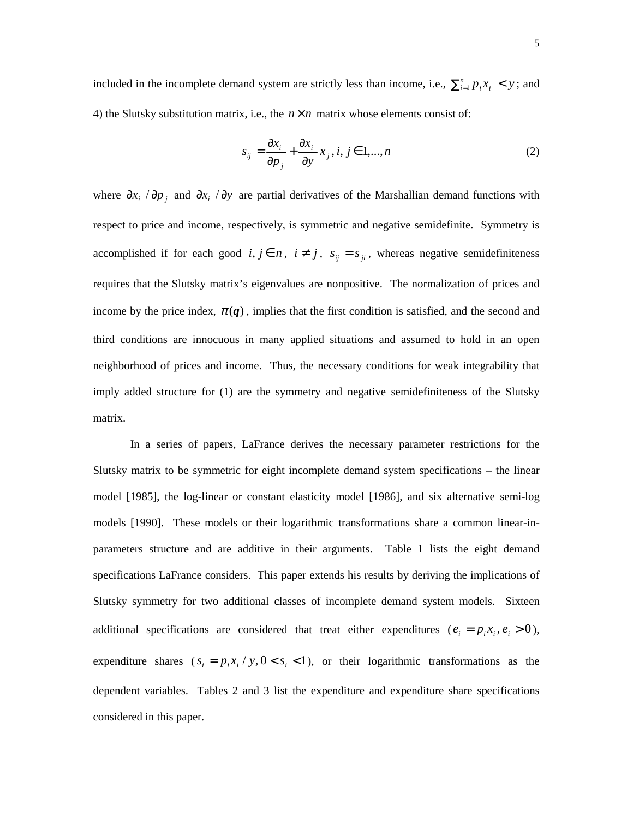included in the incomplete demand system are strictly less than income, i.e.,  $\sum_{i=1}^{n} p_i x_i < y$ ; and 4) the Slutsky substitution matrix, i.e., the  $n \times n$  matrix whose elements consist of:

$$
s_{ij} = \frac{\partial x_i}{\partial p_j} + \frac{\partial x_i}{\partial y} x_j, i, j \in 1, ..., n
$$
 (2)

where  $\partial x_i / \partial p_j$  and  $\partial x_i / \partial y$  are partial derivatives of the Marshallian demand functions with respect to price and income, respectively, is symmetric and negative semidefinite. Symmetry is accomplished if for each good  $i, j \in n$ ,  $i \neq j$ ,  $s_{ij} = s_{ji}$ , whereas negative semidefiniteness requires that the Slutsky matrix's eigenvalues are nonpositive. The normalization of prices and income by the price index,  $\pi(q)$ , implies that the first condition is satisfied, and the second and third conditions are innocuous in many applied situations and assumed to hold in an open neighborhood of prices and income. Thus, the necessary conditions for weak integrability that imply added structure for (1) are the symmetry and negative semidefiniteness of the Slutsky matrix.

In a series of papers, LaFrance derives the necessary parameter restrictions for the Slutsky matrix to be symmetric for eight incomplete demand system specifications – the linear model [1985], the log-linear or constant elasticity model [1986], and six alternative semi-log models [1990]. These models or their logarithmic transformations share a common linear-inparameters structure and are additive in their arguments. Table 1 lists the eight demand specifications LaFrance considers. This paper extends his results by deriving the implications of Slutsky symmetry for two additional classes of incomplete demand system models. Sixteen additional specifications are considered that treat either expenditures ( $e_i = p_i x_i, e_i > 0$ ), expenditure shares  $(s_i = p_i x_i / y, 0 < s_i < 1)$ , or their logarithmic transformations as the dependent variables. Tables 2 and 3 list the expenditure and expenditure share specifications considered in this paper.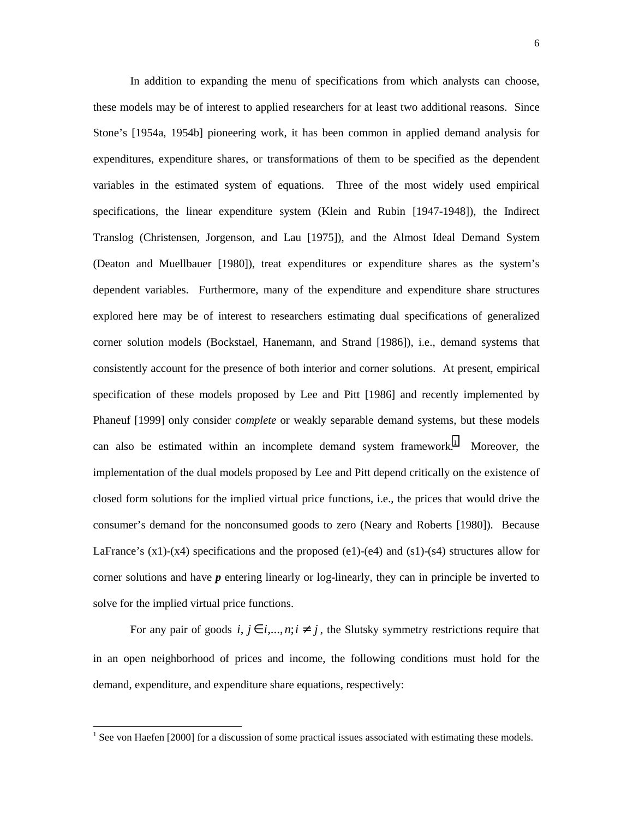In addition to expanding the menu of specifications from which analysts can choose, these models may be of interest to applied researchers for at least two additional reasons. Since Stone's [1954a, 1954b] pioneering work, it has been common in applied demand analysis for expenditures, expenditure shares, or transformations of them to be specified as the dependent variables in the estimated system of equations. Three of the most widely used empirical specifications, the linear expenditure system (Klein and Rubin [1947-1948]), the Indirect Translog (Christensen, Jorgenson, and Lau [1975]), and the Almost Ideal Demand System (Deaton and Muellbauer [1980]), treat expenditures or expenditure shares as the system's dependent variables. Furthermore, many of the expenditure and expenditure share structures explored here may be of interest to researchers estimating dual specifications of generalized corner solution models (Bockstael, Hanemann, and Strand [1986]), i.e., demand systems that consistently account for the presence of both interior and corner solutions. At present, empirical specification of these models proposed by Lee and Pitt [1986] and recently implemented by Phaneuf [1999] only consider *complete* or weakly separable demand systems, but these models can also be estimated within an incomplete demand system framework.<sup>1</sup> Moreover, the implementation of the dual models proposed by Lee and Pitt depend critically on the existence of closed form solutions for the implied virtual price functions, i.e., the prices that would drive the consumer's demand for the nonconsumed goods to zero (Neary and Roberts [1980]). Because LaFrance's  $(x1)-(x4)$  specifications and the proposed  $(e1)-(e4)$  and  $(s1)-(s4)$  structures allow for corner solutions and have *p* entering linearly or log-linearly, they can in principle be inverted to solve for the implied virtual price functions.

For any pair of goods  $i, j \in i, ..., n; i \neq j$ , the Slutsky symmetry restrictions require that in an open neighborhood of prices and income, the following conditions must hold for the demand, expenditure, and expenditure share equations, respectively:

 $\overline{a}$ 

 $<sup>1</sup>$  See von Haefen [2000] for a discussion of some practical issues associated with estimating these models.</sup>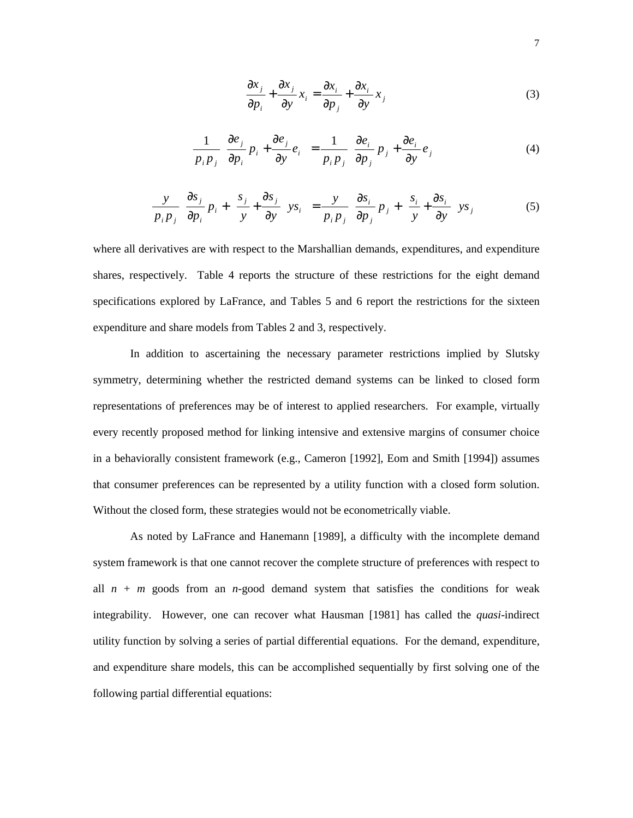$$
\frac{\partial x_j}{\partial p_i} + \frac{\partial x_j}{\partial y} x_i = \frac{\partial x_i}{\partial p_j} + \frac{\partial x_i}{\partial y} x_j
$$
 (3)

$$
\frac{1}{p_i p_j} \left[ \frac{\partial e_j}{\partial p_i} p_i + \frac{\partial e_j}{\partial y} e_i \right] = \frac{1}{p_i p_j} \left[ \frac{\partial e_i}{\partial p_j} p_j + \frac{\partial e_i}{\partial y} e_j \right]
$$
(4)

$$
\frac{y}{p_i p_j} \left[ \frac{\partial s_j}{\partial p_i} p_i + \left\{ \frac{s_j}{y} + \frac{\partial s_j}{\partial y} \right\} y s_i \right] = \frac{y}{p_i p_j} \left[ \frac{\partial s_i}{\partial p_j} p_j + \left\{ \frac{s_i}{y} + \frac{\partial s_i}{\partial y} \right\} y s_j \right]
$$
(5)

where all derivatives are with respect to the Marshallian demands, expenditures, and expenditure shares, respectively. Table 4 reports the structure of these restrictions for the eight demand specifications explored by LaFrance, and Tables 5 and 6 report the restrictions for the sixteen expenditure and share models from Tables 2 and 3, respectively.

In addition to ascertaining the necessary parameter restrictions implied by Slutsky symmetry, determining whether the restricted demand systems can be linked to closed form representations of preferences may be of interest to applied researchers. For example, virtually every recently proposed method for linking intensive and extensive margins of consumer choice in a behaviorally consistent framework (e.g., Cameron [1992], Eom and Smith [1994]) assumes that consumer preferences can be represented by a utility function with a closed form solution. Without the closed form, these strategies would not be econometrically viable.

As noted by LaFrance and Hanemann [1989], a difficulty with the incomplete demand system framework is that one cannot recover the complete structure of preferences with respect to all  $n + m$  goods from an *n*-good demand system that satisfies the conditions for weak integrability. However, one can recover what Hausman [1981] has called the *quasi*-indirect utility function by solving a series of partial differential equations. For the demand, expenditure, and expenditure share models, this can be accomplished sequentially by first solving one of the following partial differential equations: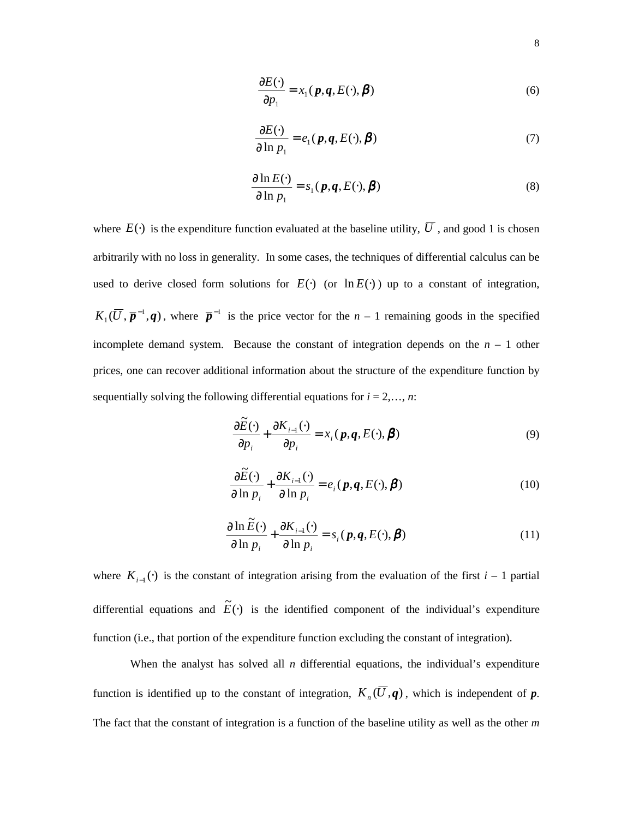$$
\frac{\partial E(\cdot)}{\partial p_1} = x_1(\boldsymbol{p}, \boldsymbol{q}, E(\cdot), \boldsymbol{\beta})
$$
\n(6)

$$
\frac{\partial E(\cdot)}{\partial \ln p_1} = e_1(\boldsymbol{p}, \boldsymbol{q}, E(\cdot), \boldsymbol{\beta})
$$
\n(7)

$$
\frac{\partial \ln E(\cdot)}{\partial \ln p_1} = s_1(\boldsymbol{p}, \boldsymbol{q}, E(\cdot), \boldsymbol{\beta})
$$
\n(8)

where  $E(\cdot)$  is the expenditure function evaluated at the baseline utility,  $\overline{U}$ , and good 1 is chosen arbitrarily with no loss in generality. In some cases, the techniques of differential calculus can be used to derive closed form solutions for  $E(\cdot)$  (or  $\ln E(\cdot)$ ) up to a constant of integration,  $K_1(\overline{U}, \overline{p}^{-1}, q)$ , where  $\overline{p}^{-1}$  is the price vector for the *n* – 1 remaining goods in the specified incomplete demand system. Because the constant of integration depends on the  $n - 1$  other prices, one can recover additional information about the structure of the expenditure function by sequentially solving the following differential equations for  $i = 2, \ldots, n$ :

$$
\frac{\partial \widetilde{E}(\cdot)}{\partial p_i} + \frac{\partial K_{i-1}(\cdot)}{\partial p_i} = x_i(\boldsymbol{p}, \boldsymbol{q}, E(\cdot), \boldsymbol{\beta})
$$
\n(9)

$$
\frac{\partial \widetilde{E}(\cdot)}{\partial \ln p_i} + \frac{\partial K_{i-1}(\cdot)}{\partial \ln p_i} = e_i(\boldsymbol{p}, \boldsymbol{q}, E(\cdot), \boldsymbol{\beta})
$$
\n(10)

$$
\frac{\partial \ln \widetilde{E}(\cdot)}{\partial \ln p_i} + \frac{\partial K_{i-1}(\cdot)}{\partial \ln p_i} = s_i(\boldsymbol{p}, \boldsymbol{q}, E(\cdot), \boldsymbol{\beta})
$$
\n(11)

where  $K_{i-1}(\cdot)$  is the constant of integration arising from the evaluation of the first *i* – 1 partial differential equations and  $\tilde{E}(\cdot)$  is the identified component of the individual's expenditure function (i.e., that portion of the expenditure function excluding the constant of integration).

When the analyst has solved all  $n$  differential equations, the individual's expenditure function is identified up to the constant of integration,  $K_n(\overline{U}, \mathbf{q})$ , which is independent of  $\mathbf{p}$ . The fact that the constant of integration is a function of the baseline utility as well as the other *m*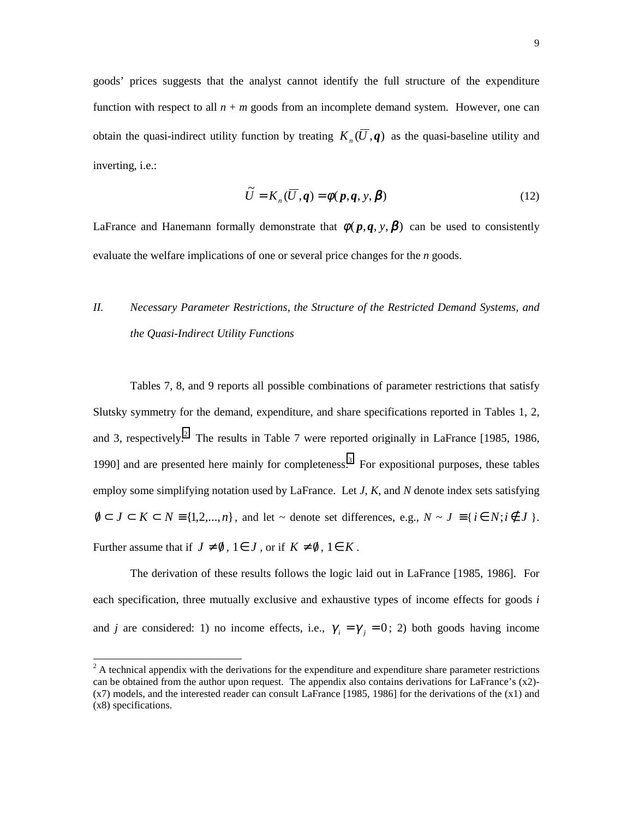goods' prices suggests that the analyst cannot identify the full structure of the expenditure function with respect to all  $n + m$  goods from an incomplete demand system. However, one can obtain the quasi-indirect utility function by treating  $K_n(\overline{U}, q)$  as the quasi-baseline utility and inverting, i.e.:

$$
\widetilde{U} = K_n(\overline{U}, \mathbf{q}) = \phi(\mathbf{p}, \mathbf{q}, \mathbf{y}, \mathbf{\beta})
$$
\n(12)

LaFrance and Hanemann formally demonstrate that  $\phi(p,q, y, \beta)$  can be used to consistently evaluate the welfare implications of one or several price changes for the *n* goods.

# *II. Necessary Parameter Restrictions, the Structure of the Restricted Demand Systems, and the Quasi-Indirect Utility Functions*

Tables 7, 8, and 9 reports all possible combinations of parameter restrictions that satisfy Slutsky symmetry for the demand, expenditure, and share specifications reported in Tables 1, 2, and 3, respectively.<sup>2</sup> The results in Table 7 were reported originally in LaFrance [1985, 1986, 1990] and are presented here mainly for completeness.<sup>3</sup> For expositional purposes, these tables employ some simplifying notation used by LaFrance. Let *J*, *K*, and *N* denote index sets satisfying  $0 \subset J \subset K \subset N \equiv \{1, 2, \ldots, n\}$ , and let ~ denote set differences, e.g.,  $N \sim J \equiv \{i \in N; i \notin J\}$ . Further assume that if  $J \neq \emptyset$ ,  $1 \in J$ , or if  $K \neq \emptyset$ ,  $1 \in K$ .

The derivation of these results follows the logic laid out in LaFrance [1985, 1986]. For each specification, three mutually exclusive and exhaustive types of income effects for goods *i* and *j* are considered: 1) no income effects, i.e.,  $\gamma_i = \gamma_j = 0$ ; 2) both goods having income

 $2^2$  A technical appendix with the derivations for the expenditure and expenditure share parameter restrictions can be obtained from the author upon request. The appendix also contains derivations for LaFrance's  $(x2)$ -(x7) models, and the interested reader can consult LaFrance [1985, 1986] for the derivations of the (x1) and (x8) specifications.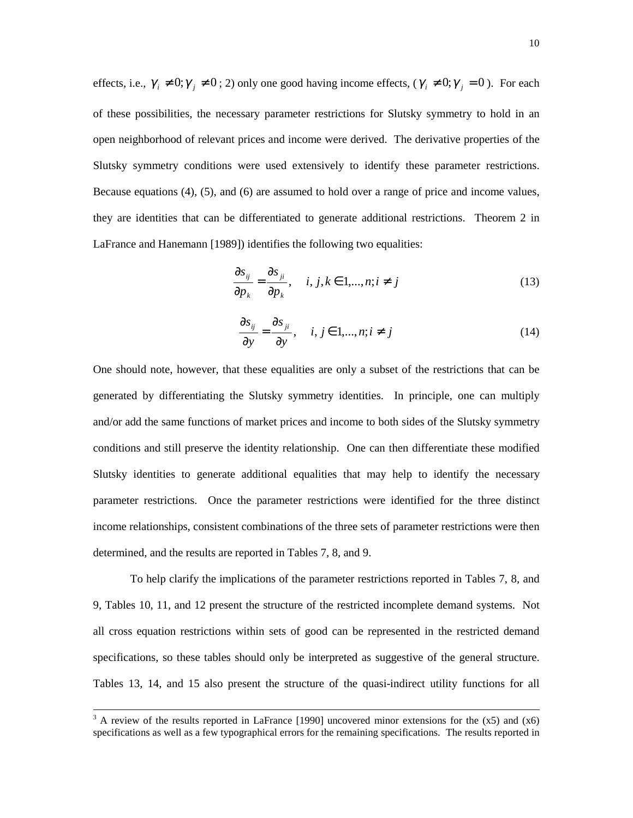effects, i.e.,  $\gamma_i \neq 0$ ;  $\gamma_j \neq 0$ ; 2) only one good having income effects,  $(\gamma_i \neq 0; \gamma_j = 0)$ . For each of these possibilities, the necessary parameter restrictions for Slutsky symmetry to hold in an open neighborhood of relevant prices and income were derived. The derivative properties of the Slutsky symmetry conditions were used extensively to identify these parameter restrictions. Because equations (4), (5), and (6) are assumed to hold over a range of price and income values, they are identities that can be differentiated to generate additional restrictions. Theorem 2 in LaFrance and Hanemann [1989]) identifies the following two equalities:

$$
\frac{\partial s_{ij}}{\partial p_k} = \frac{\partial s_{ji}}{\partial p_k}, \quad i, j, k \in 1, \dots, n; i \neq j
$$
\n(13)

$$
\frac{\partial s_{ij}}{\partial y} = \frac{\partial s_{ji}}{\partial y}, \quad i, j \in 1, \dots, n; i \neq j \tag{14}
$$

One should note, however, that these equalities are only a subset of the restrictions that can be generated by differentiating the Slutsky symmetry identities. In principle, one can multiply and/or add the same functions of market prices and income to both sides of the Slutsky symmetry conditions and still preserve the identity relationship. One can then differentiate these modified Slutsky identities to generate additional equalities that may help to identify the necessary parameter restrictions. Once the parameter restrictions were identified for the three distinct income relationships, consistent combinations of the three sets of parameter restrictions were then determined, and the results are reported in Tables 7, 8, and 9.

 To help clarify the implications of the parameter restrictions reported in Tables 7, 8, and 9, Tables 10, 11, and 12 present the structure of the restricted incomplete demand systems. Not all cross equation restrictions within sets of good can be represented in the restricted demand specifications, so these tables should only be interpreted as suggestive of the general structure. Tables 13, 14, and 15 also present the structure of the quasi-indirect utility functions for all

<sup>&</sup>lt;sup>3</sup> A review of the results reported in LaFrance [1990] uncovered minor extensions for the  $(x5)$  and  $(x6)$ specifications as well as a few typographical errors for the remaining specifications. The results reported in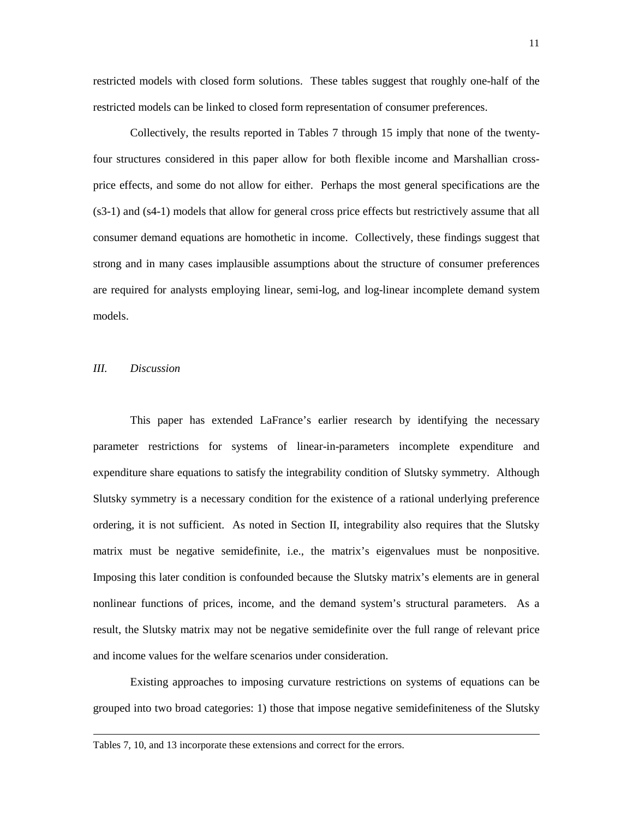restricted models with closed form solutions. These tables suggest that roughly one-half of the restricted models can be linked to closed form representation of consumer preferences.

Collectively, the results reported in Tables 7 through 15 imply that none of the twentyfour structures considered in this paper allow for both flexible income and Marshallian crossprice effects, and some do not allow for either. Perhaps the most general specifications are the (s3-1) and (s4-1) models that allow for general cross price effects but restrictively assume that all consumer demand equations are homothetic in income. Collectively, these findings suggest that strong and in many cases implausible assumptions about the structure of consumer preferences are required for analysts employing linear, semi-log, and log-linear incomplete demand system models.

#### *III. Discussion*

 $\overline{a}$ 

This paper has extended LaFrance's earlier research by identifying the necessary parameter restrictions for systems of linear-in-parameters incomplete expenditure and expenditure share equations to satisfy the integrability condition of Slutsky symmetry. Although Slutsky symmetry is a necessary condition for the existence of a rational underlying preference ordering, it is not sufficient. As noted in Section II, integrability also requires that the Slutsky matrix must be negative semidefinite, i.e., the matrix's eigenvalues must be nonpositive. Imposing this later condition is confounded because the Slutsky matrix's elements are in general nonlinear functions of prices, income, and the demand system's structural parameters. As a result, the Slutsky matrix may not be negative semidefinite over the full range of relevant price and income values for the welfare scenarios under consideration.

Existing approaches to imposing curvature restrictions on systems of equations can be grouped into two broad categories: 1) those that impose negative semidefiniteness of the Slutsky

Tables 7, 10, and 13 incorporate these extensions and correct for the errors.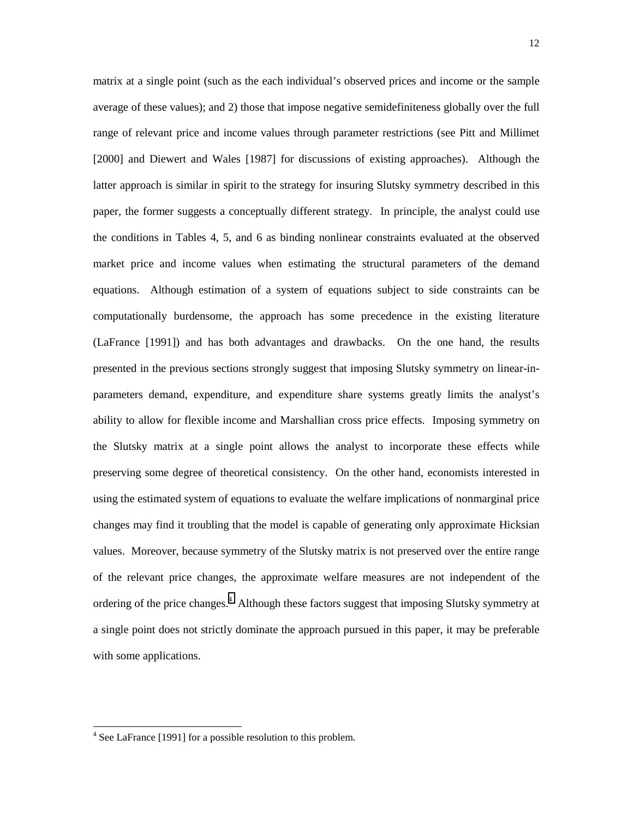matrix at a single point (such as the each individual's observed prices and income or the sample average of these values); and 2) those that impose negative semidefiniteness globally over the full range of relevant price and income values through parameter restrictions (see Pitt and Millimet [2000] and Diewert and Wales [1987] for discussions of existing approaches). Although the latter approach is similar in spirit to the strategy for insuring Slutsky symmetry described in this paper, the former suggests a conceptually different strategy. In principle, the analyst could use the conditions in Tables 4, 5, and 6 as binding nonlinear constraints evaluated at the observed market price and income values when estimating the structural parameters of the demand equations. Although estimation of a system of equations subject to side constraints can be computationally burdensome, the approach has some precedence in the existing literature (LaFrance [1991]) and has both advantages and drawbacks. On the one hand, the results presented in the previous sections strongly suggest that imposing Slutsky symmetry on linear-inparameters demand, expenditure, and expenditure share systems greatly limits the analyst's ability to allow for flexible income and Marshallian cross price effects. Imposing symmetry on the Slutsky matrix at a single point allows the analyst to incorporate these effects while preserving some degree of theoretical consistency. On the other hand, economists interested in using the estimated system of equations to evaluate the welfare implications of nonmarginal price changes may find it troubling that the model is capable of generating only approximate Hicksian values. Moreover, because symmetry of the Slutsky matrix is not preserved over the entire range of the relevant price changes, the approximate welfare measures are not independent of the ordering of the price changes.<sup>4</sup> Although these factors suggest that imposing Slutsky symmetry at a single point does not strictly dominate the approach pursued in this paper, it may be preferable with some applications.

 $\overline{a}$ 

<sup>&</sup>lt;sup>4</sup> See LaFrance [1991] for a possible resolution to this problem.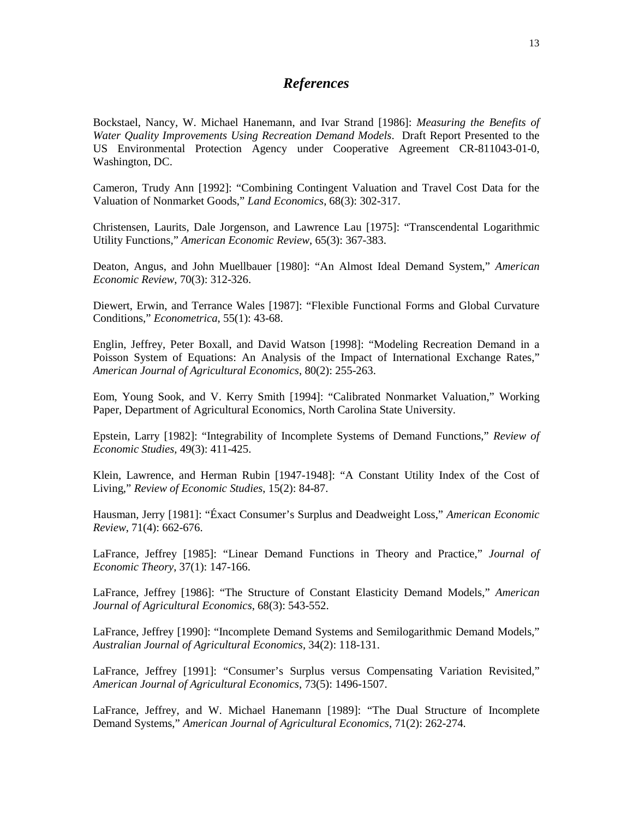### *References*

Bockstael, Nancy, W. Michael Hanemann, and Ivar Strand [1986]: *Measuring the Benefits of Water Quality Improvements Using Recreation Demand Models*. Draft Report Presented to the US Environmental Protection Agency under Cooperative Agreement CR-811043-01-0, Washington, DC.

Cameron, Trudy Ann [1992]: "Combining Contingent Valuation and Travel Cost Data for the Valuation of Nonmarket Goods," *Land Economics*, 68(3): 302-317.

Christensen, Laurits, Dale Jorgenson, and Lawrence Lau [1975]: "Transcendental Logarithmic Utility Functions," *American Economic Review*, 65(3): 367-383.

Deaton, Angus, and John Muellbauer [1980]: "An Almost Ideal Demand System," *American Economic Review*, 70(3): 312-326.

Diewert, Erwin, and Terrance Wales [1987]: "Flexible Functional Forms and Global Curvature Conditions," *Econometrica*, 55(1): 43-68.

Englin, Jeffrey, Peter Boxall, and David Watson [1998]: "Modeling Recreation Demand in a Poisson System of Equations: An Analysis of the Impact of International Exchange Rates," *American Journal of Agricultural Economics*, 80(2): 255-263.

Eom, Young Sook, and V. Kerry Smith [1994]: "Calibrated Nonmarket Valuation," Working Paper, Department of Agricultural Economics, North Carolina State University.

Epstein, Larry [1982]: "Integrability of Incomplete Systems of Demand Functions," *Review of Economic Studies,* 49(3): 411-425.

Klein, Lawrence, and Herman Rubin [1947-1948]: "A Constant Utility Index of the Cost of Living," *Review of Economic Studies*, 15(2): 84-87.

Hausman, Jerry [1981]: "Éxact Consumer's Surplus and Deadweight Loss," *American Economic Review*, 71(4): 662-676.

LaFrance, Jeffrey [1985]: "Linear Demand Functions in Theory and Practice," *Journal of Economic Theory*, 37(1): 147-166.

LaFrance, Jeffrey [1986]: "The Structure of Constant Elasticity Demand Models," *American Journal of Agricultural Economics*, 68(3): 543-552.

LaFrance, Jeffrey [1990]: "Incomplete Demand Systems and Semilogarithmic Demand Models," *Australian Journal of Agricultural Economics*, 34(2): 118-131.

LaFrance, Jeffrey [1991]: "Consumer's Surplus versus Compensating Variation Revisited," *American Journal of Agricultural Economics*, 73(5): 1496-1507.

LaFrance, Jeffrey, and W. Michael Hanemann [1989]: "The Dual Structure of Incomplete Demand Systems," *American Journal of Agricultural Economics*, 71(2): 262-274.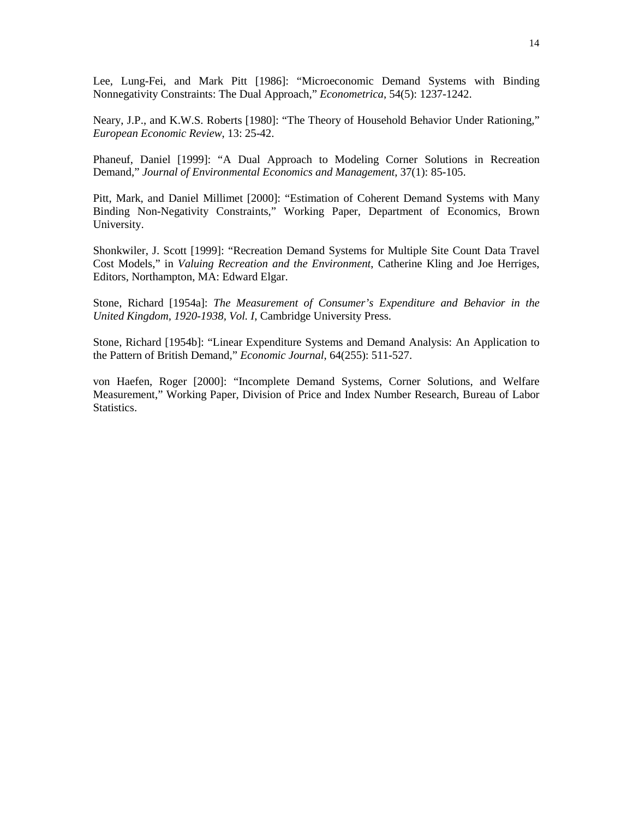Lee, Lung-Fei, and Mark Pitt [1986]: "Microeconomic Demand Systems with Binding Nonnegativity Constraints: The Dual Approach," *Econometrica*, 54(5): 1237-1242.

Neary, J.P., and K.W.S. Roberts [1980]: "The Theory of Household Behavior Under Rationing," *European Economic Review*, 13: 25-42.

Phaneuf, Daniel [1999]: "A Dual Approach to Modeling Corner Solutions in Recreation Demand," *Journal of Environmental Economics and Management*, 37(1): 85-105.

Pitt, Mark, and Daniel Millimet [2000]: "Estimation of Coherent Demand Systems with Many Binding Non-Negativity Constraints," Working Paper, Department of Economics, Brown University.

Shonkwiler, J. Scott [1999]: "Recreation Demand Systems for Multiple Site Count Data Travel Cost Models," in *Valuing Recreation and the Environment*, Catherine Kling and Joe Herriges, Editors, Northampton, MA: Edward Elgar.

Stone, Richard [1954a]: *The Measurement of Consumer's Expenditure and Behavior in the United Kingdom, 1920-1938, Vol. I*, Cambridge University Press.

Stone, Richard [1954b]: "Linear Expenditure Systems and Demand Analysis: An Application to the Pattern of British Demand," *Economic Journal*, 64(255): 511-527.

von Haefen, Roger [2000]: "Incomplete Demand Systems, Corner Solutions, and Welfare Measurement," Working Paper, Division of Price and Index Number Research, Bureau of Labor Statistics.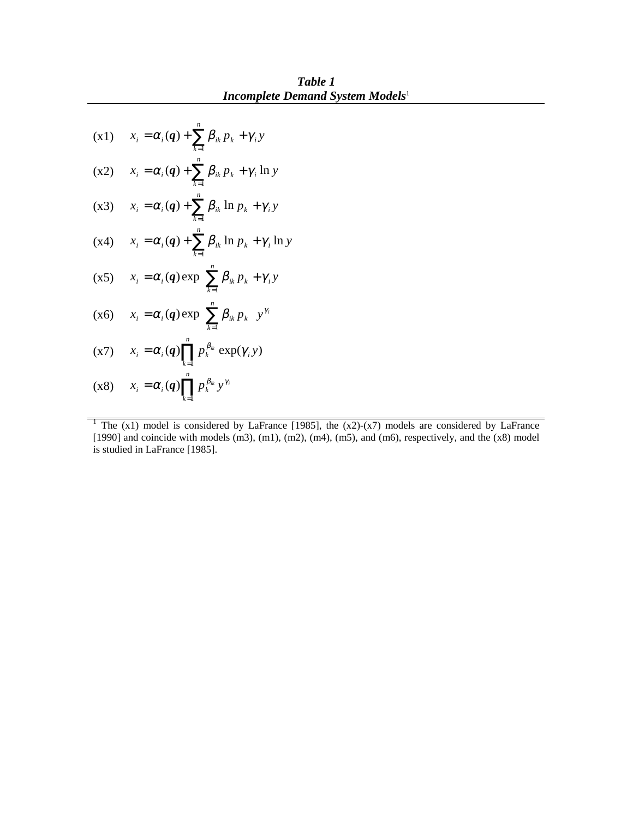*Table 1 Incomplete Demand System Models*<sup>1</sup>

$$
(x1) \t x_i = \alpha_i(q) + \sum_{k=1}^n \beta_{ik} p_k + \gamma_i y
$$
  
\n
$$
(x2) \t x_i = \alpha_i(q) + \sum_{k=1}^n \beta_{ik} p_k + \gamma_i \ln y
$$
  
\n
$$
(x3) \t x_i = \alpha_i(q) + \sum_{k=1}^n \beta_{ik} \ln p_k + \gamma_i y
$$
  
\n
$$
(x4) \t x_i = \alpha_i(q) + \sum_{k=1}^n \beta_{ik} \ln p_k + \gamma_i \ln y
$$
  
\n
$$
(x5) \t x_i = \alpha_i(q) \exp \left\{ \sum_{k=1}^n \beta_{ik} p_k + \gamma_i y \right\}
$$
  
\n
$$
(x6) \t x_i = \alpha_i(q) \exp \left\{ \sum_{k=1}^n \beta_{ik} p_k \right\} y^{\gamma_i}
$$
  
\n
$$
(x7) \t x_i = \alpha_i(q) \prod_{k=1}^n p_k^{\beta_{ik}} \exp(\gamma_i y)
$$
  
\n
$$
(x8) \t x_i = \alpha_i(q) \prod_{k=1}^n p_k^{\beta_{ik}} y^{\gamma_i}
$$

<sup>1</sup> The  $(x1)$  model is considered by LaFrance [1985], the  $(x2)-(x7)$  models are considered by LaFrance [1990] and coincide with models (m3), (m1), (m2), (m4), (m5), and (m6), respectively, and the (x8) model is studied in LaFrance [1985].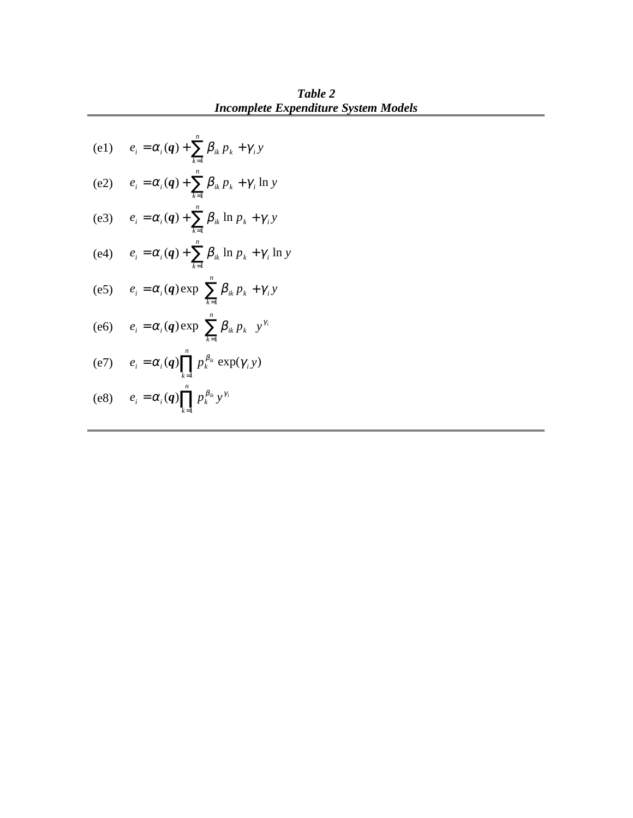(e1)  $e_i = \alpha_i(q) + \sum \beta_{ik} p_k + \gamma_i y$ *n*  $\mu_{i} = \alpha_{i}(q) + \sum_{k=1} B_{ik} p_{k} + \gamma$ (e2)  $e_i = \alpha_i(\mathbf{q}) + \sum \beta_{ik} p_k + \gamma_i \ln y$ *n k*  $\mu_i = \alpha_i(\boldsymbol{q}) + \sum \beta_{ik} p_k + \gamma_i \ln \eta$  $= \alpha_i(q) + \sum_{k=1} \beta_{ik} p_k + \gamma$ (e3)  $e_i = \alpha_i(\mathbf{q}) + \sum \beta_{ik} \ln p_k + \gamma_i y$ *n*  $\beta_{i} = \alpha_{i}(q) + \sum_{k=1} B_{ik} \ln p_{k} + \gamma$ (e4)  $e_i = \alpha_i(q) + \sum \beta_{ik} \ln p_k + \gamma_i \ln y$ *n k*  $\hat{\mu}_{i} = \alpha_{i}(q) + \sum \beta_{ik} \ln p_{k} + \gamma_{i} \ln p_{i}$  $= \alpha_i(q) + \sum_{k=1} B_{ik} \ln p_k + \gamma$ (e5)  $e_i = \alpha_i(q) \exp\left\{\sum_{k=1}^n \beta_{ik} p_k + \gamma_i y\right\}$  $\overline{\phantom{a}}$  $\mathsf{L}$ {  $e_i = \alpha_i(q) \exp \left\{ \sum_{k=1}^n \beta_{ik} p_k + \gamma_i y \right\}$ *n k*  $\alpha_i = \alpha_i(q) \exp\left\{ \sum \beta_{ik} p_k + \gamma \right\}$ 1 (*q*) exp (e6)  $e_i = \alpha_i(q) \exp\left\{ \sum \beta_{ik} p_k \right\} y^{\gamma_i}$ *n k*  $\alpha_i = \alpha_i(q) \exp\left\{\sum_{k=1}^N \beta_{ik} p_k\right\}$  $\overline{\phantom{a}}$  $\mathsf{L}$ {  $=\alpha_i(q) \exp \left\{ \sum_{k=1}^n \right\}$ (e7)  $e_i = \alpha_i (q) \prod p_k^{\beta_k} \exp(\gamma_i y)$ 1  $e_i = \alpha_i(q) \prod p_k^{\beta_{ik}} \exp(\gamma_i y)$ *n k*  $p_k = \alpha_i(q) \prod_{k=1} p_k^{\beta_{ik}} \exp(\gamma_k)$ (e8)  $e_i = \alpha_i(q) \prod p_k^{\beta_{ik}} y^{\gamma_i}$ *n k*  $i = \alpha_i \langle \mathbf{q} \rangle$  |  $P_k$  $=\alpha_i(q)\prod_{k=1}p_k^{\beta_{ik}}y^{\gamma}$ 1 (*q*)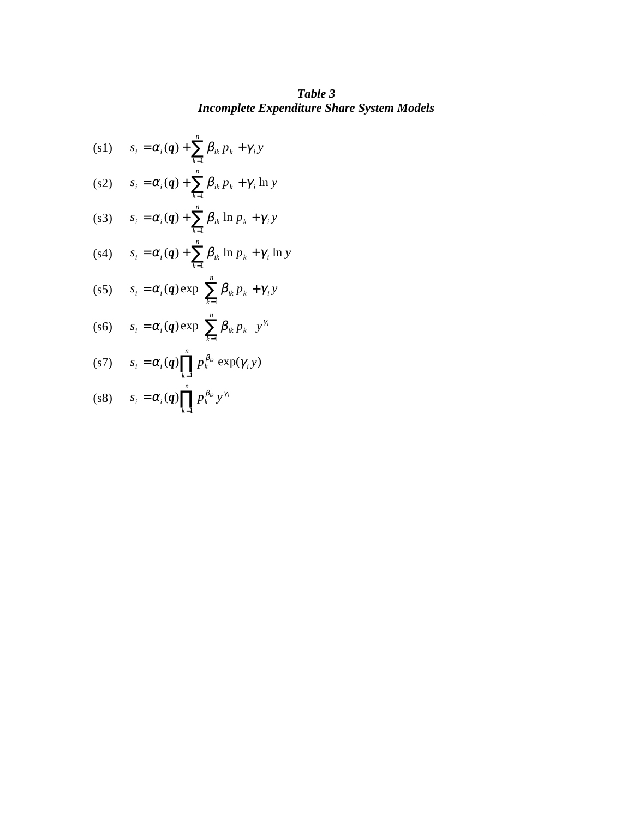**Incomplete Expenditure Shar**  
\n(s1) 
$$
s_i = \alpha_i(q) + \sum_{k=1}^n \beta_{ik} p_k + \gamma_i y
$$
  
\n(s2)  $s_i = \alpha_i(q) + \sum_{k=1}^n \beta_{ik} p_k + \gamma_i \ln y$   
\n(s3)  $s_i = \alpha_i(q) + \sum_{k=1}^n \beta_{ik} \ln p_k + \gamma_i y$   
\n(s4)  $s_i = \alpha_i(q) + \sum_{k=1}^n \beta_{ik} \ln p_k + \gamma_i \ln y$   
\n(s5)  $s_i = \alpha_i(q) \exp \left\{ \sum_{k=1}^n \beta_{ik} p_k + \gamma_i y \right\}$   
\n(s6)  $s_i = \alpha_i(q) \exp \left\{ \sum_{k=1}^n \beta_{ik} p_k \right\} y^{\gamma_i}$   
\n(s7)  $s_i = \alpha_i(q) \prod_{k=1}^n p_k^{\beta_{ik}} \exp(\gamma_i y)$   
\n(s8)  $s_i = \alpha_i(q) \prod_{k=1}^n p_k^{\beta_{ik}} y^{\gamma_i}$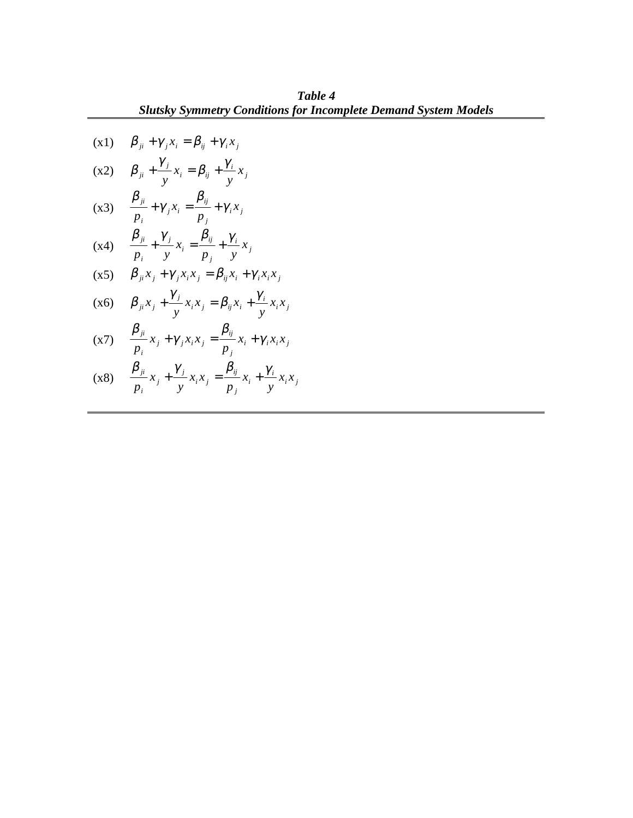**Table 4**  
\n**Subl Example 4**  
\n**(x1)** 
$$
\beta_{ji} + \gamma_{j}x_{i} = \beta_{ij} + \gamma_{i}x_{j}
$$
  
\n**(x2)**  $\beta_{ji} + \frac{\gamma_{j}}{y}x_{i} = \beta_{ij} + \frac{\gamma_{i}}{y}x_{j}$   
\n**(x3)**  $\frac{\beta_{ji}}{p_{i}} + \gamma_{j}x_{i} = \frac{\beta_{ij}}{p_{j}} + \gamma_{i}x_{j}$   
\n**(x4)**  $\frac{\beta_{ji}}{p_{i}} + \frac{\gamma_{j}}{y}x_{i} = \frac{\beta_{ij}}{p_{j}} + \frac{\gamma_{i}}{y}x_{j}$   
\n**(x5)**  $\beta_{ji}x_{j} + \gamma_{j}x_{i}x_{j} = \beta_{ij}x_{i} + \gamma_{i}x_{i}x_{j}$   
\n**(x6)**  $\beta_{ji}x_{j} + \frac{\gamma_{j}}{y}x_{i}x_{j} = \beta_{ij}x_{i} + \frac{\gamma_{i}}{y}x_{i}x_{j}$   
\n**(x7)**  $\frac{\beta_{ji}}{p_{i}}x_{j} + \gamma_{j}x_{i}x_{j} = \frac{\beta_{ij}}{p_{j}}x_{i} + \gamma_{i}x_{i}x_{j}$   
\n**(x8)**  $\frac{\beta_{ji}}{p_{i}}x_{j} + \frac{\gamma_{j}}{y}x_{i}x_{j} = \frac{\beta_{ij}}{p_{j}}x_{i} + \frac{\gamma_{i}}{y}x_{i}x_{j}$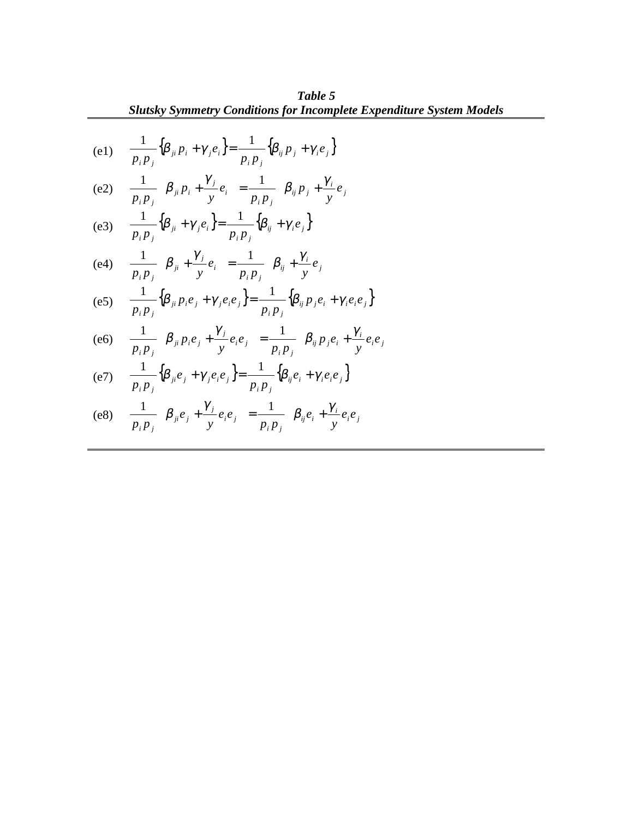Table 5

\nSublence, 
$$
\frac{1}{p_i p_j} \{ \beta_{ji} p_i + \gamma_{j} e_i \} = \frac{1}{p_i p_j} \{ \beta_{ij} p_j + \gamma_{i} e_j \}
$$

\n(e1)

\n
$$
\frac{1}{p_i p_j} \{ \beta_{ji} p_i + \gamma_{j} e_i \} = \frac{1}{p_i p_j} \{ \beta_{ij} p_j + \gamma_{i} e_j \}
$$
\n(e2)

\n
$$
\frac{1}{p_i p_j} \{ \beta_{ji} p_i + \frac{\gamma_{j}}{y} e_i \} = \frac{1}{p_i p_j} \{ \beta_{ij} p_j + \frac{\gamma_{i}}{y} e_j \}
$$
\n(e3)

\n
$$
\frac{1}{p_i p_j} \{ \beta_{ji} + \gamma_{j} e_i \} = \frac{1}{p_i p_j} \{ \beta_{ij} + \gamma_{i} e_j \}
$$
\n(e4)

\n
$$
\frac{1}{p_i p_j} \{ \beta_{ji} p_i e_j + \gamma_{j} e_i e_j \} = \frac{1}{p_i p_j} \{ \beta_{ij} p_j e_i + \gamma_{i} e_i e_j \}
$$
\n(e5)

\n
$$
\frac{1}{p_i p_j} \{ \beta_{ji} p_i e_j + \gamma_{j} e_i e_j \} = \frac{1}{p_i p_j} \{ \beta_{ij} p_j e_i + \gamma_{i} e_i e_j \}
$$
\n(e6)

\n
$$
\frac{1}{p_i p_j} \{ \beta_{ji} e_j + \gamma_{j} e_i e_j \} = \frac{1}{p_i p_j} \{ \beta_{ij} p_j e_i + \gamma_{j} e_i e_j \}
$$
\n(e7)

\n
$$
\frac{1}{p_i p_j} \{ \beta_{ji} e_j + \gamma_{j} e_i e_j \} = \frac{1}{p_i p_j} \{ \beta_{ij} e_i + \gamma_{i} e_i e_j \}
$$
\n(e8)

\n
$$
\frac{1}{p_i p_j} \{ \beta_{ji} e_j + \gamma_{j} e_i e_j \} = \frac{1}{p_i p_j} \{ \beta_{ji} e_i + \gamma_{i} e_i e_j \}
$$

$$
\text{(e8)} \quad \frac{1}{p_i p_j} \left\{ \beta_{ji} e_j + \frac{\gamma_j}{y} e_i e_j \right\} = \frac{1}{p_i p_j} \left\{ \beta_{ij} e_i + \frac{\gamma_i}{y} e_i e_j \right\}
$$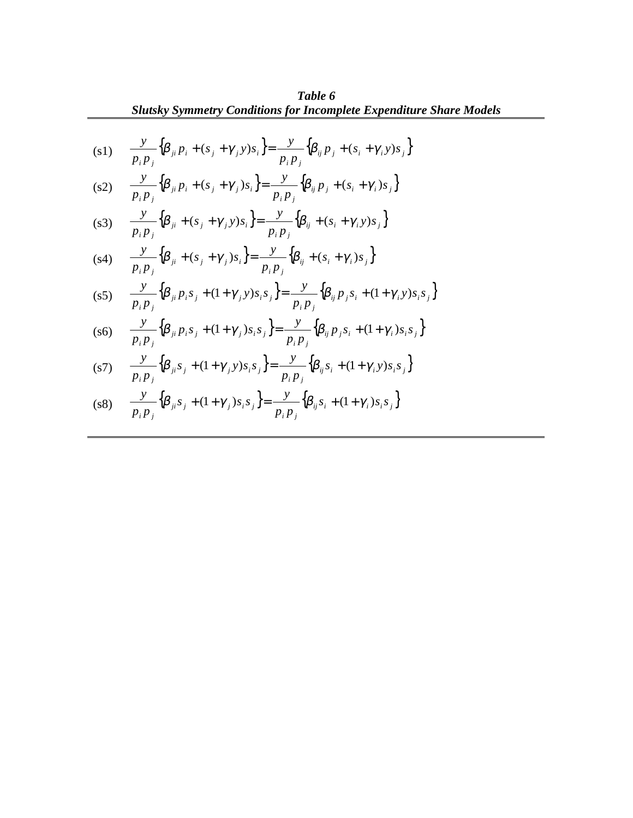**Table 6**  
\n**Subl** 6  
\n(s1) 
$$
\frac{y}{p_i p_j} \{\beta_{ji} p_i + (s_j + \gamma_j y)s_i\} = \frac{y}{p_i p_j} \{\beta_{ij} p_j + (s_i + \gamma_i y)s_j\}
$$
\n(s2) 
$$
\frac{y}{p_i p_j} \{\beta_{ji} p_i + (s_j + \gamma_j)s_i\} = \frac{y}{p_i p_j} \{\beta_{ij} p_j + (s_i + \gamma_i)s_j\}
$$
\n(s3) 
$$
\frac{y}{p_i p_j} \{\beta_{ji} + (s_j + \gamma_j y)s_i\} = \frac{y}{p_i p_j} \{\beta_{ij} + (s_i + \gamma_i y)s_j\}
$$
\n(s4) 
$$
\frac{y}{p_i p_j} \{\beta_{ji} + (s_j + \gamma_j y)s_i\} = \frac{y}{p_i p_j} \{\beta_{ij} + (s_i + \gamma_i y)s_j\}
$$
\n(s5) 
$$
\frac{y}{p_i p_j} \{\beta_{ji} p_i s_j + (1 + \gamma_j y)s_i s_j\} = \frac{y}{p_i p_j} \{\beta_{ij} p_j s_i + (1 + \gamma_i y)s_i s_j\}
$$
\n(s6) 
$$
\frac{y}{p_i p_j} \{\beta_{ji} p_i s_j + (1 + \gamma_j y)s_i s_j\} = \frac{y}{p_i p_j} \{\beta_{ij} p_j s_i + (1 + \gamma_i y)s_i s_j\}
$$
\n(s7) 
$$
\frac{y}{p_i p_j} \{\beta_{ji} s_j + (1 + \gamma_j y)s_i s_j\} = \frac{y}{p_i p_j} \{\beta_{ij} s_i + (1 + \gamma_i y)s_i s_j\}
$$

$$
(s8) \qquad \frac{y}{p_i p_j} \Big\{ \beta_{ji} s_j + (1 + \gamma_j) s_i s_j \Big\} = \frac{y}{p_i p_j} \Big\{ \beta_{ij} s_i + (1 + \gamma_i) s_i s_j \Big\}
$$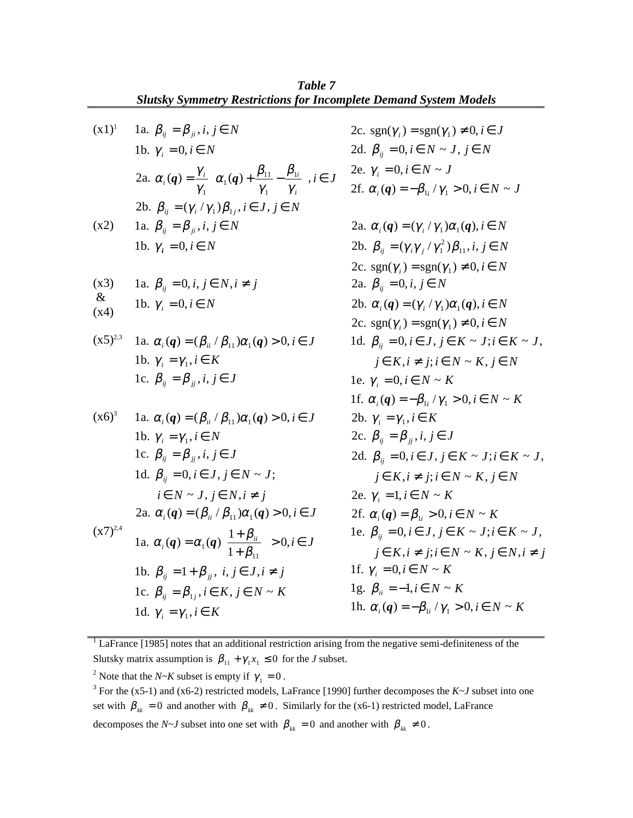|              | <b>Slutsky Symmetry Restrictions for Incomplete Demand System Models</b>                                                                        |                                                                            |
|--------------|-------------------------------------------------------------------------------------------------------------------------------------------------|----------------------------------------------------------------------------|
| $(x1)^1$     | 1a. $\beta_{ij} = \beta_{ji}, i, j \in N$                                                                                                       | 2c. sgn( $\gamma_i$ ) = sgn( $\gamma_1$ ) $\neq$ 0, $i \in J$              |
|              |                                                                                                                                                 |                                                                            |
|              | 1b. $\gamma_i = 0, i \in N$                                                                                                                     | 2d. $\beta_{ii} = 0, i \in N \sim J, j \in N$                              |
|              | 2a. $\alpha_i(q) = \frac{\gamma_i}{\gamma_i} \left\{ \alpha_1(q) + \frac{\beta_{11}}{\gamma_1} - \frac{\beta_{1i}}{\gamma_i} \right\}, i \in J$ | 2e. $\gamma_i = 0, i \in N \sim J$                                         |
|              |                                                                                                                                                 | 2f. $\alpha_i(q) = -\beta_{1i}/\gamma_1 > 0, i \in N \sim J$               |
|              | 2b. $\beta_{ii} = (\gamma_i / \gamma_1) \beta_{1i}, i \in J, j \in N$                                                                           |                                                                            |
| (x2)         | 1a. $\beta_{ij} = \beta_{ji}, i, j \in N$                                                                                                       | 2a. $\alpha_i(q) = (\gamma_i / \gamma_1) \alpha_1(q), i \in N$             |
|              | 1b. $\gamma_i = 0, i \in N$                                                                                                                     | 2b. $\beta_{ij} = (\gamma_i \gamma_j / \gamma_1^2) \beta_{11}, i, j \in N$ |
|              |                                                                                                                                                 | 2c. sgn( $\gamma_i$ ) = sgn( $\gamma_1$ ) $\neq$ 0, $i \in N$              |
| (x3)         | 1a. $\beta_{ii} = 0, i, j \in N, i \neq j$                                                                                                      | 2a. $\beta_{ij} = 0, i, j \in N$                                           |
| $\&$<br>(x4) | 1b. $\gamma_i = 0, i \in N$                                                                                                                     | 2b. $\alpha_i(q) = (\gamma_i / \gamma_1) \alpha_1(q), i \in N$             |
|              |                                                                                                                                                 | 2c. sgn( $\gamma_i$ ) = sgn( $\gamma_1$ ) $\neq$ 0, $i \in N$              |
| $(x5)^{2,3}$ | 1a. $\alpha_i(q) = (\beta_{ii} / \beta_{11}) \alpha_1(q) > 0, i \in J$                                                                          | 1d. $\beta_{ij} = 0, i \in J, j \in K \sim J; i \in K \sim J,$             |
|              | 1b. $\gamma_i = \gamma_1, i \in K$                                                                                                              | $j \in K, i \neq j; i \in N \sim K, j \in N$                               |
|              | 1c. $\beta_{ii} = \beta_{ii}, i, j \in J$                                                                                                       | 1e. $\gamma_i = 0, i \in N \sim K$                                         |
|              |                                                                                                                                                 | 1f. $\alpha_i(q) = -\beta_{1i}/\gamma_1 > 0, i \in N \sim K$               |
| $(x6)^3$     | 1a. $\alpha_i(q) = (\beta_{ii} / \beta_{11}) \alpha_1(q) > 0, i \in J$                                                                          | 2b. $\gamma_i = \gamma_1, i \in K$                                         |
|              | 1b. $\gamma_i = \gamma_1, i \in N$                                                                                                              | 2c. $\beta_{ii} = \beta_{ii}, i, j \in J$                                  |
|              | 1c. $\beta_{ii} = \beta_{ii}, i, j \in J$                                                                                                       | 2d. $\beta_{ij} = 0, i \in J, j \in K \sim J; i \in K \sim J,$             |
|              | 1d. $\beta_{ii} = 0, i \in J, j \in N \sim J;$                                                                                                  | $i \in K, i \neq j; i \in N \sim K, j \in N$                               |
|              | $i \in N \sim J, j \in N, i \neq j$                                                                                                             | 2e. $\gamma_i = 1, i \in N \sim K$                                         |
|              | 2a. $\alpha_i(q) = (\beta_{ii} / \beta_{11}) \alpha_1(q) > 0, i \in J$                                                                          | 2f. $\alpha_i(q) = \beta_{1i} > 0, i \in N \sim K$                         |
| $(x7)^{2,4}$ |                                                                                                                                                 | 1e. $\beta_{ij} = 0, i \in J, j \in K \sim J; i \in K \sim J,$             |
|              | 1a. $\alpha_i(q) = \alpha_1(q) \left\{ \frac{1+\beta_{ii}}{1+\beta_{ii}} \right\} > 0, i \in J$                                                 | $j \in K, i \neq j; i \in N \sim K, j \in N, i \neq j$                     |
|              | 1b. $\beta_{ij} = 1 + \beta_{ji}$ , $i, j \in J, i \neq j$                                                                                      | 1f. $\gamma_i = 0, i \in N \sim K$                                         |
|              | 1c. $\beta_{ij} = \beta_{1j}, i \in K, j \in N \sim K$                                                                                          | 1g. $\beta_{ii} = -1, i \in N \sim K$                                      |
|              | 1d. $\gamma_i = \gamma_1, i \in K$                                                                                                              | 1h. $\alpha_i(q) = -\beta_{1i}/\gamma_1 > 0, i \in N \sim K$               |

 $1$  LaFrance [1985] notes that an additional restriction arising from the negative semi-definiteness of the Slutsky matrix assumption is  $\beta_{11} + \gamma_1 x_1 \leq 0$  for the *J* subset.

<sup>2</sup> Note that the *N*~*K* subset is empty if  $\gamma_1 = 0$ .

<sup>3</sup> For the (x5-1) and (x6-2) restricted models, LaFrance [1990] further decomposes the  $K \sim J$  subset into one set with  $\beta_{kk} = 0$  and another with  $\beta_{kk} \neq 0$ . Similarly for the (x6-1) restricted model, LaFrance decomposes the *N~J* subset into one set with  $\beta_{kk} = 0$  and another with  $\beta_{kk} \neq 0$ .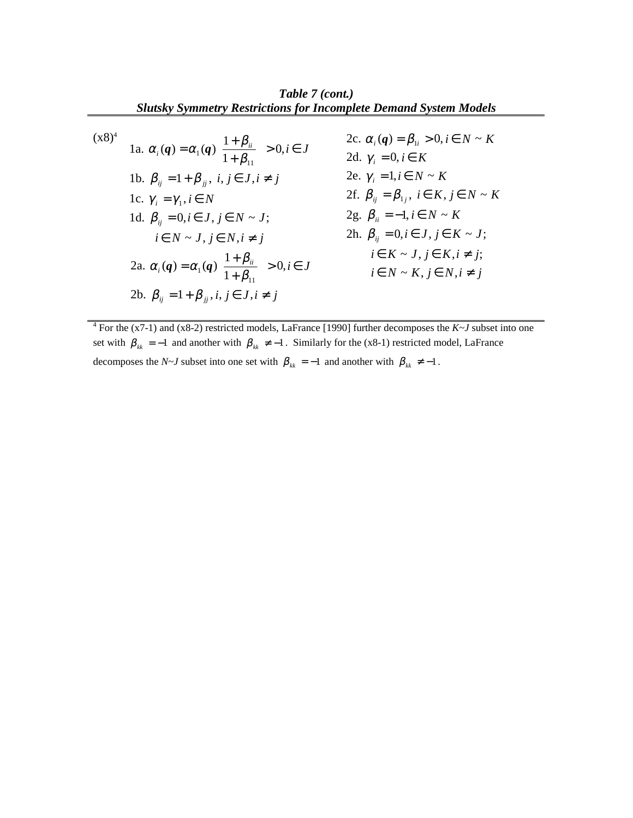*Table 7 (cont.) Slutsky Symmetry Restrictions for Incomplete Demand System Models*

$$
(x8)^4
$$

$$
\begin{array}{ll}\n\text{1a. } \alpha_i(\mathbf{q}) = \alpha_1(\mathbf{q}) \left\{ \frac{1 + \beta_{ii}}{1 + \beta_{11}} \right\} > 0, i \in J \\
\text{1b. } \beta_{ij} = 1 + \beta_{jj}, \ i, j \in J, i \neq j\n\end{array}\n\quad\n\begin{array}{ll}\n\text{2c. } \alpha_i(\mathbf{q}) = \beta_{1i} > 0, i \in N \sim K \\
\text{2d. } \gamma_i = 0, i \in K \\
\text{2e. } \gamma_i = 1, i \in N \sim K\n\end{array}
$$
\n
$$
\begin{array}{ll}\n\text{1c. } \gamma_i = \gamma_1, i \in N \\
\text{1d. } \beta_{ij} = 0, i \in J, j \in N \sim J; \\
\text{1e. } \gamma = 0, i \in J, j \in N \sim K\n\end{array}\n\quad\n\begin{array}{ll}\n\text{2e. } \gamma_i = 1, i \in N \sim K \\
\text{2f. } \beta_{ij} = \beta_{1j}, \ i \in K, j \in N \sim K \\
\text{2g. } \beta_{ii} = -1, i \in N \sim K\n\end{array}
$$
\n
$$
\begin{array}{ll}\n\text{2g. } \beta_{ii} = -1, i \in N \sim K \\
\text{2h. } \beta_{ij} = 0, i \in J, j \in K \sim J; \\
\text{i.e. } K \sim J, j \in K, i \neq j;\n\end{array}
$$
\n
$$
\begin{array}{ll}\n\text{2a. } \alpha_i(\mathbf{q}) = \alpha_1(\mathbf{q}) \left\{ \frac{1 + \beta_{ii}}{1 + \beta_{11}} \right\} > 0, i \in J \\
\text{2b. } \beta_{ij} = 1 + \beta_{jj}, i, j \in J, i \neq j\n\end{array}
$$

4 For the (x7-1) and (x8-2) restricted models, LaFrance [1990] further decomposes the *K~J* subset into one set with  $\beta_{kk} = -1$  and another with  $\beta_{kk} \neq -1$ . Similarly for the (x8-1) restricted model, LaFrance decomposes the *N~J* subset into one set with  $\beta_{kk} = -1$  and another with  $\beta_{kk} \neq -1$ .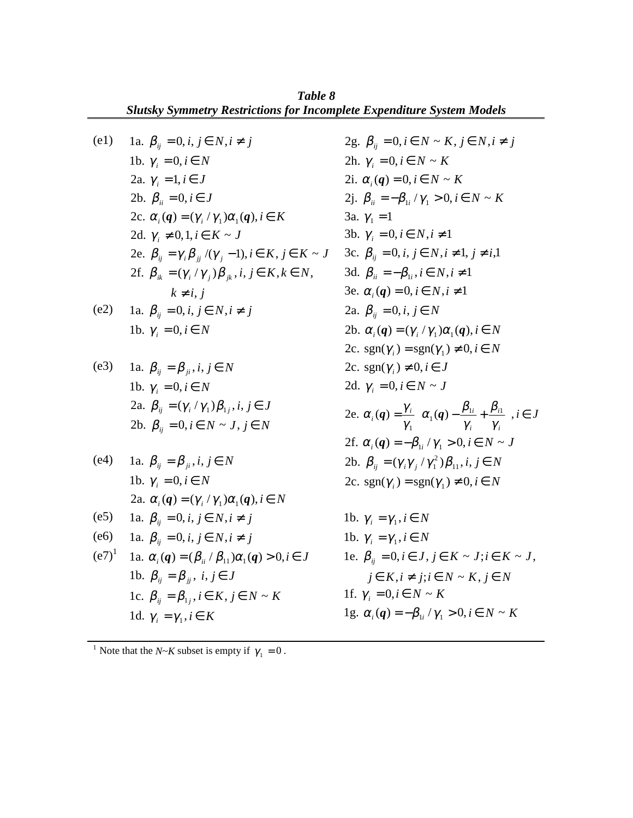|      | Table 8<br><b>Slutsky Symmetry Restrictions for Incomplete Expenditure System Models</b> |                                                                                                                                         |
|------|------------------------------------------------------------------------------------------|-----------------------------------------------------------------------------------------------------------------------------------------|
| (e1) | 1a. $\beta_{ii} = 0, i, j \in N, i \neq j$                                               | 2g. $\beta_{ii} = 0, i \in N \sim K, j \in N, i \neq j$                                                                                 |
|      | 1b. $\gamma_i = 0, i \in N$                                                              | 2h. $\gamma_i = 0, i \in N \sim K$                                                                                                      |
|      | 2a. $\gamma_i = 1, i \in J$                                                              | 2i. $\alpha_i(q) = 0, i \in N \sim K$                                                                                                   |
|      | 2b. $\beta_{ii} = 0, i \in J$                                                            | 2j. $\beta_{ii} = -\beta_{1i}/\gamma_1 > 0, i \in N \sim K$                                                                             |
|      | 2c. $\alpha_i(q) = (\gamma_i / \gamma_1) \alpha_i(q), i \in K$                           | 3a. $\gamma_1 = 1$                                                                                                                      |
|      | 2d. $\gamma_i \neq 0, 1, i \in K \sim J$                                                 | 3b. $\gamma_i = 0, i \in N, i \neq 1$                                                                                                   |
|      | 2e. $\beta_{ii} = \gamma_i \beta_{ii} / (\gamma_i - 1), i \in K, j \in K \sim J$         | 3c. $\beta_{ii} = 0, i, j \in N, i \neq 1, j \neq i, 1$                                                                                 |
|      | 2f. $\beta_{ik} = (\gamma_i / \gamma_i) \beta_{ik}, i, j \in K, k \in N$ ,               | 3d. $\beta_{ii} = -\beta_{1i}, i \in N, i \neq 1$                                                                                       |
|      | $k \neq i, j$                                                                            | 3e. $\alpha_i(q) = 0, i \in N, i \neq 1$                                                                                                |
| (e2) | 1a. $\beta_{ii} = 0, i, j \in N, i \neq j$                                               | 2a. $\beta_{ii} = 0, i, j \in N$                                                                                                        |
|      | 1b. $\gamma_i = 0, i \in N$                                                              | 2b. $\alpha_i(q) = (\gamma_i / \gamma_1) \alpha_1(q), i \in N$                                                                          |
|      |                                                                                          | 2c. $sgn(\gamma_i) = sgn(\gamma_1) \neq 0, i \in N$                                                                                     |
| (e3) | 1a. $\beta_{ii} = \beta_{ii}, i, j \in N$                                                | 2c. sgn( $\gamma_i$ ) $\neq$ 0, $i \in J$                                                                                               |
|      | 1b. $\gamma_i = 0, i \in N$                                                              | 2d. $\gamma_i = 0, i \in N \sim J$                                                                                                      |
|      | 2a. $\beta_{ii} = (\gamma_i / \gamma_1) \beta_{1i}, i, j \in J$                          | 2e. $\alpha_i(q) = \frac{\gamma_i}{\gamma_i} \left\{ \alpha_1(q) - \frac{\beta_{1i}}{\gamma} + \frac{\beta_{i1}}{\gamma_i} \right\}, i$ |
|      | 2b. $\beta_{ii} = 0, i \in N \sim J, j \in N$                                            |                                                                                                                                         |

\n- (e4) \n
	\n- 1a. 
	$$
	\beta_{ij} = \beta_{ji}, i, j \in N
	$$
	\n- 1b.  $\gamma_i = 0, i \in N$
	\n- 2a.  $\alpha_i(q) = (\gamma_i / \gamma_1)\alpha_1(q), i \in N$
	\n\n
\n- (e5) \n
	\n- 1a.  $\beta_{ij} = 0, i, j \in N, i \neq j$
	\n\n
\n- (e6) \n
	\n- 1a.  $\alpha_{ij} = 0, i, j \in N, i \neq j$
	\n\n
\n- (e7)<sup>1</sup>\n
	\n- 1a.  $\alpha_i(q) = (\beta_{ii} / \beta_{11})\alpha_1(q) > 0, i \in J$
	\n\n
\n- 1b.  $\beta_{ij} = \beta_{jj}, i, j \in J$
\n- 1c.  $\beta_{ij} = \beta_{1j}, i \in K, j \in N \sim K$
\n- 1d.  $\gamma_i = \gamma_1, i \in K$
\n
\n\n

 $\in J$ *i i*  $\alpha_i(q) = \frac{I_i}{N} \left\{ \alpha_1(q) - \frac{P_{1i}}{N} + \frac{P_{i1}}{N} \right\}, i \in$ J  $\mathsf{L}$  $\frac{\partial}{\partial \gamma_1} \left\{ \alpha_1(q) - \frac{\gamma_1}{\gamma_i} + \frac{\gamma_2}{\gamma_i} \right\}$ 2f.  $\alpha_i(q) = -\beta_{1i}/\gamma_1 > 0, i \in N \sim J$ 2b.  $\beta_{ij} = (\gamma_i \gamma_j / \gamma_1^2) \beta_{11}, i, j \in N$ 2c. sgn( $\gamma_i$ ) = sgn( $\gamma_1$ )  $\neq$  0, *i*  $\in$  *N* 1b.  $\gamma_i = \gamma_1, i \in N$ 1b.  $\gamma_i = \gamma_1, i \in N$  $j_{ij} = 0, i \in J, j \in K \sim J; i \in K \sim J$  $= 0, i \in J, j \in K \sim J; i \in$ 1e.  $\beta_{ii} = 0, i \in J, j \in K \sim J; i \in K \sim J,$ 

$$
j \in K, i \neq j; i \in N \sim K, j \in N
$$
  
1f.  $\gamma_i = 0, i \in N \sim K$   
1g.  $\alpha_i(q) = -\beta_{1i} / \gamma_1 > 0, i \in N \sim K$ 

<sup>1</sup> Note that the *N*~*K* subset is empty if  $\gamma_1 = 0$ .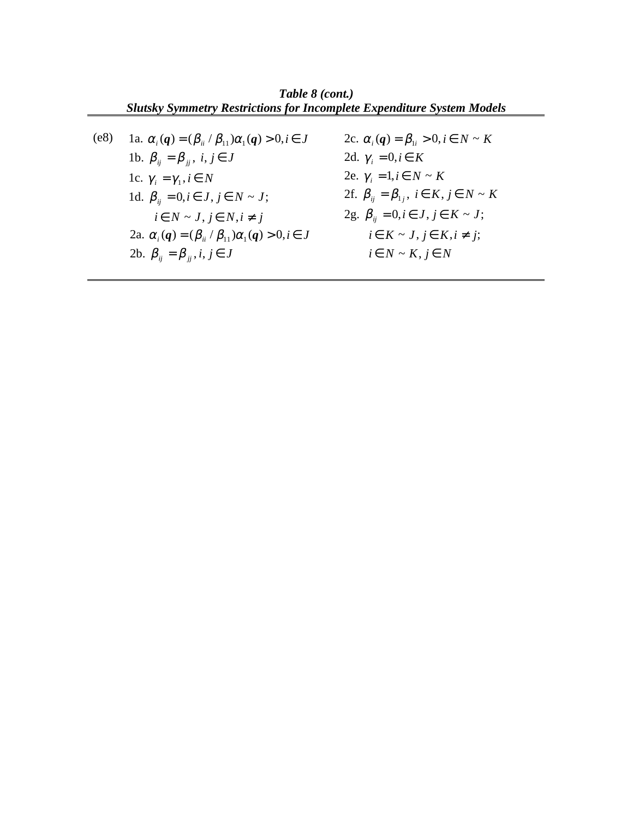*Table 8 (cont.) Slutsky Symmetry Restrictions for Incomplete Expenditure System Models* (e8)  $i \in N \sim J, j \in N, i \neq j$ *i*  $\beta_{ij} = 0, i \in J, j \in N \sim J;$ 1c.  $\gamma_i = \gamma_1, i \in N$ 1b.  $\beta_{ij} = \beta_{ji}$ ,  $i, j \in J$ 1a.  $\alpha_i(q) = (\beta_{ii} / \beta_{11})\alpha_1(q) > 0, i \in J$ 2a.  $\alpha_i(q) = (\beta_{ii} / \beta_{11}) \alpha_1(q) > 0, i \in J$ 2b.  $\beta_{ij} = \beta_{ji}, i, j \in J$ 2c.  $\alpha_i(q) = \beta_{1i} > 0, i \in N \sim K$ 2d.  $\gamma_i = 0, i \in K$ 2e.  $\gamma_i = 1, i \in N \sim K$  $i \in N \sim K, j \in N$  $i \in K \sim J, j \in K, i \neq j;$  $2g. \ \beta_{ij} = 0, i \in J, j \in K \sim J;$ 2f.  $\beta_{ij} = \beta_{1j}, i \in K, j \in N \sim K$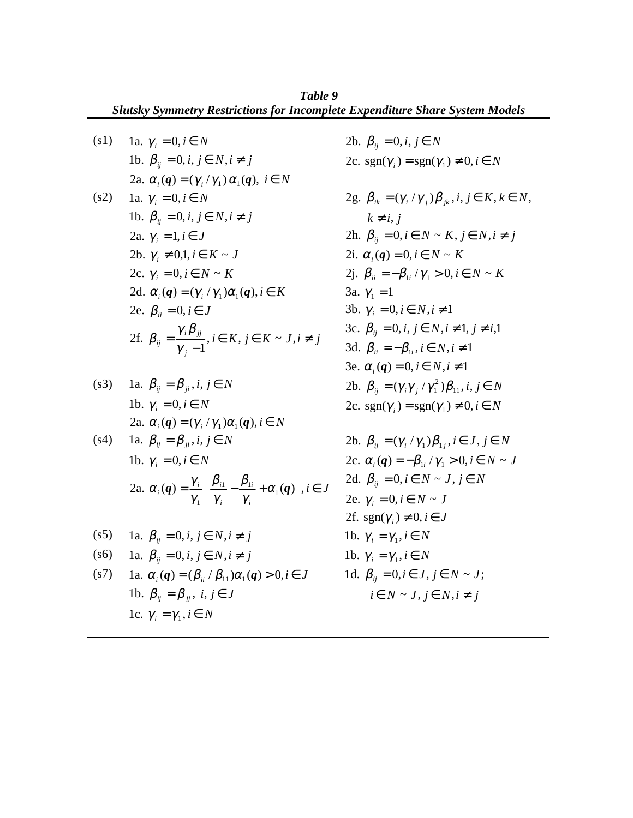(s1) 1a.  $\gamma_i = 0, i \in N$ *i*  $\beta_{ij} = 0, i, j \in N, i \neq j$ 2a.  $\alpha_i(q) = (\gamma_i/\gamma_1) \alpha_1(q), i \in N$ (s2) 1a.  $\gamma_i = 0, i \in N$ *i* **b**.  $\beta_{ij} = 0, i, j \in N, i \neq j$ 2a.  $\gamma_i = 1, i \in J$ 2c.  $\gamma_i = 0, i \in N \sim K$ 2b.  $\gamma_i \neq 0, 1, i \in K \sim J$ 2d.  $\alpha_i(q) = (\gamma_i / \gamma_1) \alpha_1(q), i \in K$ 

2e. 
$$
\beta_{ii} = 0, i \in J
$$
  
2f.  $\beta_{ij} = \frac{\gamma_i \beta_{jj}}{\gamma_j - 1}, i \in K, j \in K \sim J, i \neq j$ 

\n- (s3) 1a. 
$$
\beta_{ij} = \beta_{ji}, i, j \in N
$$
\n- 1b.  $\gamma_i = 0, i \in N$
\n- 2a.  $\alpha_i(q) = (\gamma_i / \gamma_1) \alpha_1(q), i \in N$
\n- (s4) 1a.  $\beta_{ij} = \beta_{ji}, i, j \in N$
\n

$$
\begin{aligned}\n\text{1a. } \mathcal{P}_{ij} &= \mathcal{P}_{ji}, \, l, \, j \in \mathbb{N} \\
\text{1b. } \gamma_i &= 0, \, i \in \mathbb{N} \\
\text{2a. } \alpha_i(\mathbf{q}) &= \frac{\gamma_i}{\gamma_1} \left\{ \frac{\beta_{i1}}{\gamma_i} - \frac{\beta_{1i}}{\gamma_i} + \alpha_1(\mathbf{q}) \right\}, \, i \in \mathbb{J}\n\end{aligned}
$$

*i J*

\n- (s5) \n 
$$
1a. \beta_{ij} = 0, i, j \in N, i \neq j
$$
\n
\n- (s6) \n  $1a. \beta_{ij} = 0, i, j \in N, i \neq j$ \n
\n- (s7) \n  $1a. \alpha_i(q) = (\beta_{ii} / \beta_{11})\alpha_1(q) > 0, i \in J$ \n
\n- (s7) \n  $1b. \gamma_i = \gamma_1, i \in N$ \n
\n- (s8) \n  $\beta_{ij} = 0, i, j \in J$ \n
\n- (s9) \n  $\beta_{ij} = \beta_{ji}, i, j \in J$ \n
\n- (s0) \n  $\beta_{ij} = \gamma_1, i \in N$ \n
\n- (s1) \n  $\beta_{ij} = 0, i \in J, j \in N$ \n
\n

2b. 
$$
\beta_{ij} = 0, i, j \in N
$$
  
\n2c.  $sgn(\gamma_i) = sgn(\gamma_1) \neq 0, i \in N$   
\n2g.  $\beta_{ik} = (\gamma_i / \gamma_j) \beta_{jk}, i, j \in K, k \in N$ ,  
\n $k \neq i, j$   
\n2h.  $\beta_{ij} = 0, i \in N \sim K, j \in N, i \neq j$   
\n2i.  $\alpha_i(\boldsymbol{q}) = 0, i \in N \sim K$   
\n2j.  $\beta_{ii} = -\beta_{1i} / \gamma_1 > 0, i \in N \sim K$   
\n3a.  $\gamma_1 = 1$   
\n3b.  $\gamma_i = 0, i \in N, i \neq 1$   
\n3c.  $\beta_{ij} = 0, i, j \in N, i \neq 1, j \neq i, 1$   
\n3d.  $\beta_{ii} = -\beta_{1i}, i \in N, i \neq 1$   
\n3e.  $\alpha_i(\boldsymbol{q}) = 0, i \in N, i \neq 1$   
\n2b.  $\beta_{ij} = (\gamma_i \gamma_j / \gamma_1^2) \beta_{11}, i, j \in N$   
\n2c.  $sgn(\gamma_i) = sgn(\gamma_1) \neq 0, i \in N$ 

2b. 
$$
\beta_{ij} = (\gamma_i / \gamma_1)\beta_{1j}, i \in J, j \in N
$$
  
\n2c.  $\alpha_i(q) = -\beta_{1i} / \gamma_1 > 0, i \in N \sim J$   
\n2d.  $\beta_{ij} = 0, i \in N \sim J, j \in N$   
\n2e.  $\gamma_i = 0, i \in N \sim J$   
\n2f.  $sgn(\gamma_i) \neq 0, i \in J$   
\n1b.  $\gamma_i = \gamma_1, i \in N$   
\n1b.  $\beta_{ij} = 0, i \in J, j \in N \sim J$ ;  
\n $i \in N \sim J, j \in N, i \neq j$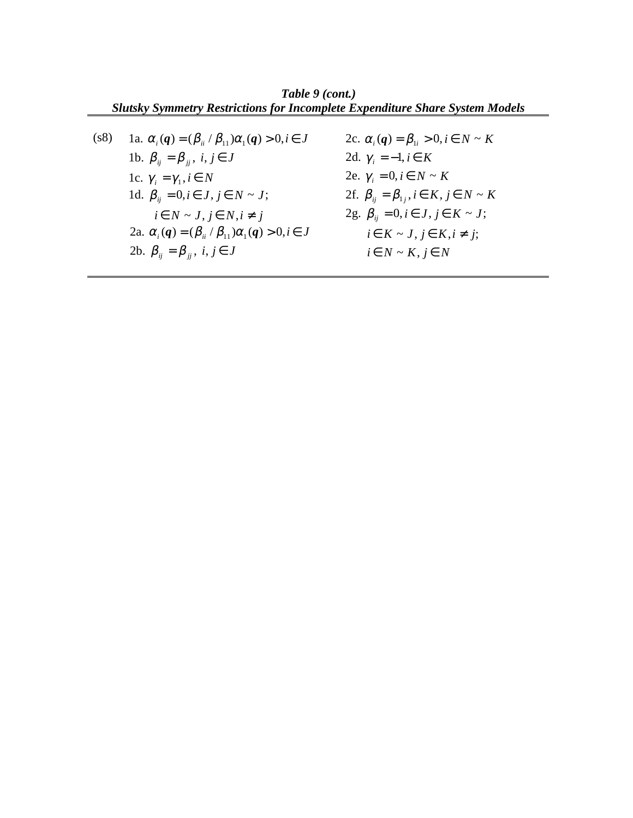*Table 9 (cont.) Slutsky Symmetry Restrictions for Incomplete Expenditure Share System Models*

(s8) 1c.  $\gamma_i = \gamma_1, i \in N$ 1b.  $\beta_{ij} = \beta_{ji}$ ,  $i, j \in J$ 1a.  $\alpha_i(q) = (\beta_{ii} / \beta_{11})\alpha_1(q) > 0, i \in J$  $i \in N \sim J, j \in N, i \neq j$ *i*  $\beta_{ij} = 0, i \in J, j \in N \sim J;$ 2b.  $\beta_{ij} = \beta_{jj}, i, j \in J$ 2a.  $\alpha_i(q) = (\beta_{ii} / \beta_{11}) \alpha_1(q) > 0, i \in J$  2c.  $\alpha_i(q) = \beta_{1i} > 0, i \in N \sim K$ 2d.  $\gamma_i = -1, i \in K$ 2e.  $\gamma_i = 0, i \in N \sim K$ 2f.  $\beta_{ij} = \beta_{1j}, i \in K, j \in N \sim K$  $i \in N \sim K, j \in N$  $i \in K \sim J, j \in K, i \neq j;$  $2g. \ \beta_{ij} = 0, i \in J, j \in K \sim J;$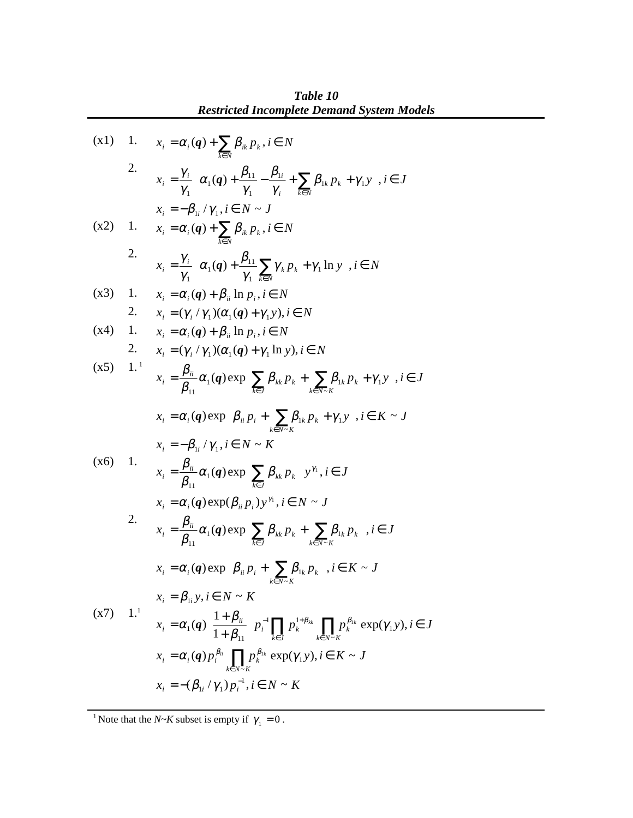**Restricted Incomplete Demand System Models**  
\n(x1) 1. 
$$
x_i = \alpha_i(q) + \sum_{k \in N} \beta_{ik} p_k, i \in N
$$
  
\n2.  $x_i = \frac{\gamma_i}{\gamma_1} \left\{ \alpha_i(q) + \frac{\beta_{11}}{\gamma_1} - \frac{\beta_{1i}}{\gamma_i} + \sum_{k \in N} \beta_{1k} p_k + \gamma_1 y \right\}, i \in J$   
\n $x_i = -\beta_{1i} / \gamma_1, i \in N \sim J$   
\n(x2) 1.  $x_i = \alpha_i(q) + \sum_{k \in N} \beta_{ik} p_k, i \in N$   
\n2.  $x_i = \frac{\gamma_i}{\gamma_1} \left\{ \alpha_1(q) + \frac{\beta_{11}}{\gamma_1} \sum_{k \in N} \gamma_k p_k + \gamma_1 \ln y \right\}, i \in N$   
\n(x3) 1.  $x_i = \alpha_i(q) + \beta_{ii} \ln p_i, i \in N$   
\n2.  $x_i = (\gamma_i / \gamma_1)(\alpha_i(q) + \gamma_1 y), i \in N$   
\n2.  $x_i = (\gamma_i / \gamma_1)(\alpha_i(q) + \gamma_1 y), i \in N$   
\n2.  $x_i = (\gamma_i / \gamma_1)(\alpha_i(q) + \gamma_1 \ln y), i \in N$   
\n $\alpha_j = \frac{\beta_{ij}}{\beta_{11}} \alpha_i(q) \exp \left\{ \sum_{k \in J} \beta_{ik} p_k + \sum_{k \in N \sim K} \beta_{ik} p_k + \gamma_1 y \right\}, i \in J$   
\n $x_i = \alpha_i(q) \exp \left\{ \beta_{ii} p_i + \sum_{k \in N \sim K} \beta_{ki} p_k + \gamma_1 y \right\}, i \in K \sim J$   
\n $x_i = -\beta_{1i} / \gamma_1, i \in N \sim K$   
\n $x_i = \frac{\beta_{ii}}{\beta_{11}} \alpha_i(q) \exp \left\{ \sum_{k \in J} \beta_{ik} p_k \right\} y^{n}, i \in J$   
\n $x_i = \alpha_i(q) \exp(\beta_{ii} p_i) y^{n}, i \in N \sim J$   
\n2.  $x_i = \alpha_i(q) \exp \left\{ \sum_{k \in J} \beta_{ik} p$ 

*Table 10*

<sup>1</sup> Note that the *N*~*K* subset is empty if  $\gamma_1 = 0$ .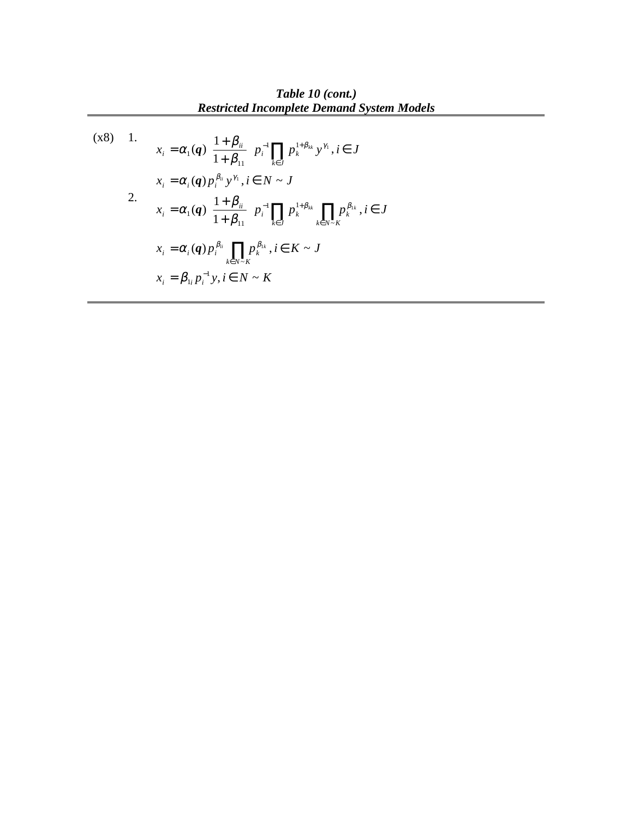*Table 10 (cont.) Restricted Incomplete Demand System Models*

$$
(x8) \quad 1. \qquad x_{i} = \alpha_{1}(q) \left\{ \frac{1 + \beta_{ii}}{1 + \beta_{11}} \right\} p_{i}^{-1} \prod_{k \in J} p_{k}^{1 + \beta_{kk}} y^{\gamma_{1}}, i \in J
$$
\n
$$
x_{i} = \alpha_{i}(q) p_{i}^{\beta_{ii}} y^{\gamma_{1}}, i \in N \sim J
$$
\n
$$
x_{i} = \alpha_{1}(q) \left\{ \frac{1 + \beta_{ii}}{1 + \beta_{11}} \right\} p_{i}^{-1} \prod_{k \in J} p_{k}^{1 + \beta_{kk}} \prod_{k \in N \sim K} p_{k}^{\beta_{1k}}, i \in J
$$
\n
$$
x_{i} = \alpha_{i}(q) p_{i}^{\beta_{ii}} \prod_{k \in N \sim K} p_{k}^{\beta_{1k}}, i \in K \sim J
$$
\n
$$
x_{i} = \beta_{1i} p_{i}^{-1} y, i \in N \sim K
$$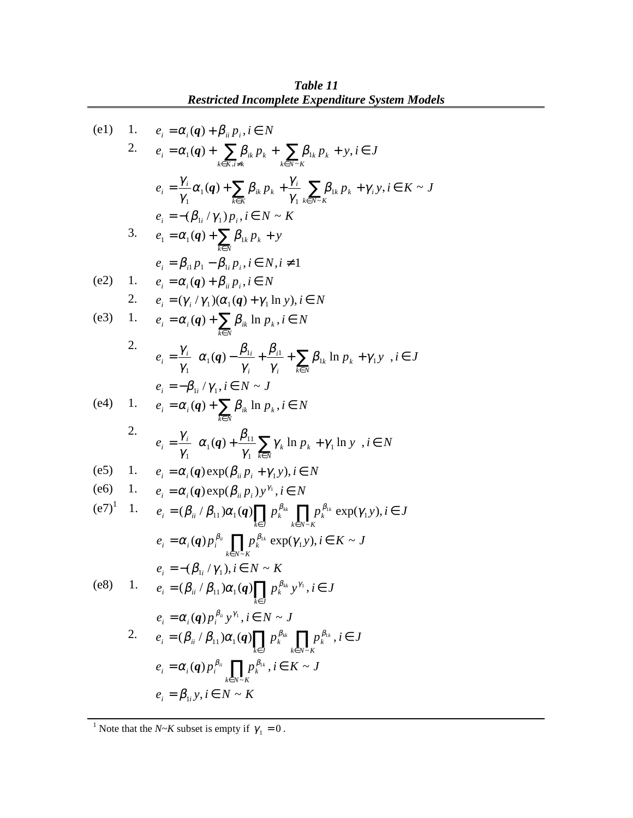$$
\begin{array}{ll}\n\text{(e1)} & 1. & e_i = \alpha_i(\boldsymbol{q}) + \beta_{ii} p_i, i \in N \\
2. & e_i = \alpha_i(\boldsymbol{q}) + \sum_{k \in K, i \neq k} \beta_{ik} p_k + \sum_{k \in N \leq K} \beta_{ik} p_k + y, i \in J \\
e_i = \frac{\gamma_i}{\gamma_i} \alpha_i(\boldsymbol{q}) + \sum_{k \in K} \beta_{ik} p_k + \frac{\gamma_i}{\gamma_i} \sum_{k \in N \leq K} \beta_{ik} p_k + \gamma_i y, i \in K \sim J \\
e_i = -(\beta_{ii} / \gamma_1) p_i, i \in N \sim K \\
3. & e_1 = \alpha_i(\boldsymbol{q}) + \sum_{k \in N} \beta_{ik} p_k + y \\
e_i = \beta_{ii} p_1 - \beta_{ii} p_i, i \in N, i \neq 1 \\
\text{(e2)} & 1. & e_i = \alpha_i(\boldsymbol{q}) + \beta_{ii} p_i, i \in N \\
2. & e_i = (\gamma_i / \gamma_1) (\alpha_i(\boldsymbol{q}) + \gamma_1 \ln y), i \in N \\
\text{(e3)} & 1. & e_i = \alpha_i(\boldsymbol{q}) + \sum_{k \in N} \beta_{ik} \ln p_k, i \in N \\
e_i = \frac{\gamma_i}{\gamma_1} \left\{ \alpha_i(\boldsymbol{q}) - \frac{\beta_{ii}}{\gamma_i} + \frac{\beta_{i1}}{\gamma_i} + \sum_{k \in N} \beta_{ik} \ln p_k + \gamma_1 y \right\}, i \in J \\
e_i = -\beta_{ii} / \gamma_1, i \in N \sim J \\
\text{(e4)} & 1. & e_i = \alpha_i(\boldsymbol{q}) + \sum_{k \in N} \beta_{ik} \ln p_k, i \in N \\
\text{(e5)} & 1. & e_i = \alpha_i(\boldsymbol{q}) + \sum_{k \in N} \beta_{ik} \ln p_k, i \in N \\
\text{(e6)} & 1. & e_i = \alpha_i(\boldsymbol{q}) \exp(\beta_{ii} p_i + \gamma_1 y), i \in N \\
\text{(e6)} & 1. & e_i = \alpha_i(\boldsymbol{q}) \exp(\beta_{ii} p_i + \gamma_1 y), i \in N \\
\text{(e7)} & 1. & e_i = \alpha_i(\boldsymbol{q}) \exp
$$

<sup>1</sup> Note that the *N*~*K* subset is empty if  $\gamma_1 = 0$ .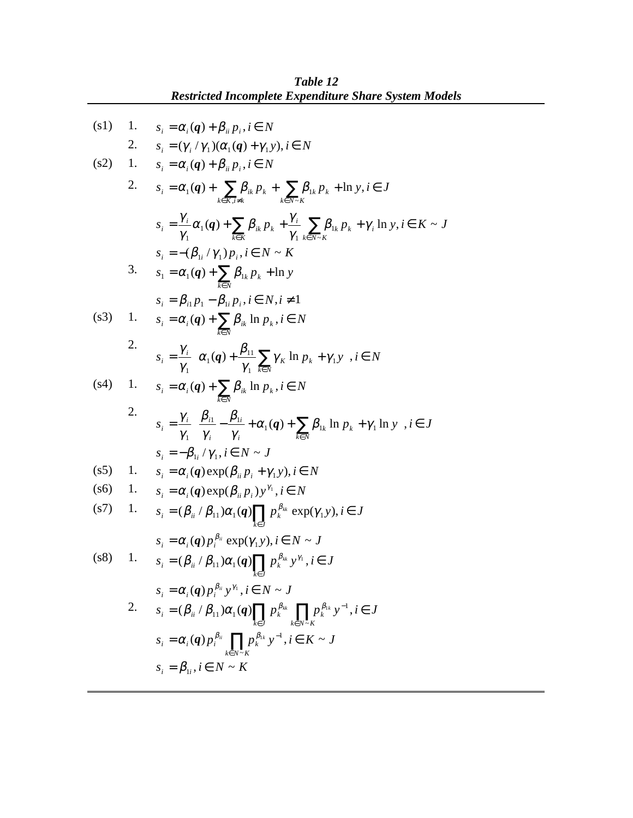(s1) 1. 
$$
s_i = \alpha_i(q) + \beta_{ii} p_i, i \in N
$$
  
\n2.  $s_i = (\gamma_i/\gamma_1)(\alpha_i(q) + \gamma_1 y), i \in N$   
\n(s2) 1.  $s_i = \alpha_i(q) + \beta_{ii} p_i, i \in N$   
\n2.  $s_i = \alpha_i(q) + \sum_{k \in K, i \neq k} \beta_{ik} p_k + \sum_{k \in N \subseteq K} \beta_{ik} p_k + \ln y, i \in J$   
\n $s_i = \frac{\gamma_i}{\gamma_1} \alpha_1(q) + \sum_{k \in K} \beta_{ik} p_k + \frac{\gamma_i}{\gamma_1} \sum_{k \in N \subseteq K} \beta_{ik} p_k + \gamma_i \ln y, i \in K \sim J$   
\n $s_i = -(\beta_{1i}/\gamma_1)p_i, i \in N \sim K$   
\n3.  $s_i = \alpha_i(q) + \sum_{k \in N} \beta_{ik} p_k + \ln y$   
\n $s_i = \beta_{i1} p_1 - \beta_{i1} p_i, i \in N, i \neq 1$   
\n(s3) 1.  $s_i = \alpha_i(q) + \sum_{k \in N} \beta_{ik} \ln p_k, i \in N$   
\n2.  $s_i = \frac{\gamma_i}{\gamma_1} \left\{ \alpha_1(q) + \frac{\beta_{11}}{\gamma_1} \sum_{k \in N} \gamma_k \ln p_k + \gamma_1 y \right\}, i \in N$   
\n(s4) 1.  $s_i = \alpha_i(q) + \sum_{k \in N} \beta_{ik} \ln p_k, i \in N$   
\n2.  $s_i = \frac{\gamma_i}{\gamma_1} \left\{ \frac{\beta_{i1}}{\gamma_i} - \frac{\beta_{1i}}{\gamma_i} + \alpha_1(q) + \sum_{k \in N} \beta_{1k} \ln p_k + \gamma_1 \ln y \right\}, i \in J$   
\n $s_i = -\beta_{1i}/\gamma_1, i \in N \sim J$   
\n(s5) 1.  $s_i = \alpha_i(q) \exp(\beta_{ii} p_i) y^{s_i}, i \in N$   
\n(s6) 1.  $s_i = \alpha_i(q) \exp(\beta_{ii} p_i) y^{s_i}, i \in N$   
\n(s7) 1.  $s_i = (\beta_{ii}/$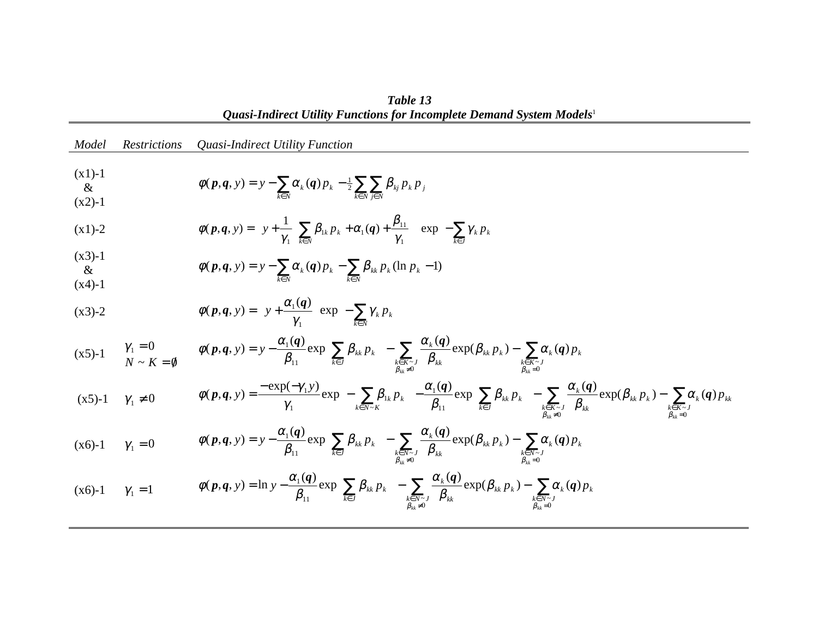*Quasi-Indirect Utility Functions for Incomplete Demand System Models*<sup>1</sup> *Model Restrictions Quasi-Indirect Utility Function*  $(x1)-1$  & $(x2)-1$  $y - \sum_{k \in N} \alpha_k(q) p_k - \frac{1}{2} \sum_{k \in N} \sum_{j \in N}$ ∈ ∈∈ $\phi(p,q, y) = y - \sum_{k} \alpha_{k}(q) p_{k} - \frac{1}{2} \sum_{k} \sum_{k} \beta_{kj} p_{k} p_{j}$  $(\boldsymbol{p}, \boldsymbol{q}, y) = y - \sum_{k} \alpha_k(\boldsymbol{q}) p_k - \frac{1}{2}$ (x1)-2  $\phi(p,q,y) = \left\{ y + \frac{1}{\gamma_1} \sum_{k \in N} \beta_{1k} p_k + \alpha_1(q) + \frac{P_{11}}{\gamma_1} \right\} \exp\left\{ - \sum_{k \in J} \gamma_k p_k \right\}$ ן  $\mathsf{l}$ ⇃  $\left\{ \exp \left\{ -\right.$ ł 1  $\mathsf{l}$ ∛  $\int$  $\overline{\phantom{a}}$  $\rfloor$  $\left[\sum_{k} \beta_{1k} p_k + \alpha_1(q) + \frac{\beta_{11}}{\mu_{12}}\right]$ L  $=\left\{\left|y+\frac{1}{\gamma_1}\right|\sum_{k\in\mathbb{N}}\beta_{1k}p_k+\alpha_1(q)+\frac{\beta_{11}}{\gamma_1}\right\}\exp\left\{-\sum_{k\in\mathbb{J}}\right\}$  $\left[\sum_{k \in N} P_{1k} P_k + \alpha_1 \Delta Y + \gamma_1 \right] \left[\sum_{k \in J} P_k P_k\right]$ *y*) = { $y + \sum \beta_{1k} p_k + \alpha_1(q) + \cdots$  { $\exp\{-\sum \gamma_k p_k\}$ γ  $\frac{1}{\gamma} \left| \sum_{k \in N} \beta_{1k} p_k + \alpha_1(q) + \frac{\beta_1}{\gamma} \right|$  $\phi(\boldsymbol{p},\boldsymbol{q},y) = \left\{ y + \frac{1}{N} \right\} \sum \beta_{1k} p_k + \alpha_1(\boldsymbol{q}) + \frac{\beta_{11}}{N} \left\vert \begin{matrix} 1 \\ 1 \end{matrix} \right\vert \exp\left[ \begin{matrix} 1 \\ 1 \end{matrix} \right]$ 1 $P_{1k} P_k + \alpha_1(q) + \frac{P_{11}}{P_{11}}$ 1 $p$ ,  $q$ ,  $y$ ) =  $\{y + -1\}$ ,  $p_{1k} p_k + \alpha_1 (q)$  $(x3)-1$  & $(x4)-1$  $= y - \sum_{k \in N} \alpha_k(q) p_k - \sum_{k \in N} \beta_{kk} p_k(\ln p_k -$ ∈ ∈ $\phi(\mathbf{p}, \mathbf{q}, y) = y - \sum_{k} \alpha_{k}(\mathbf{q}) p_{k} - \sum_{k} \beta_{kk} p_{k} (\ln p_{k} - 1)$ (x3)-2  $\phi(p,q, y) = \left\{ y + \frac{\omega_1(q)}{\gamma_1} \exp\left\{-\sum_{k \in N} \gamma_k p_k \right\} \right\}$ ן  $\mathsf{l}$ ┤  $\left\{ \exp\left\{ -\right.$  $\{$ ן  $\mathcal{L}$ ┤  $y$ ) =  $\left\{ y + \frac{\alpha_1(q)}{y} \right\} \exp \left\{ - \sum_{k} \gamma_k p_k \right\}$ *k*∈*N*γ α  $\phi(p,q, y) = \left\{ y + \frac{\alpha_1(q)}{q} \right\} \exp$ 1 $(x5)-1$  $\gamma_1 = 0$   $\phi(p,q,y) = y - \frac{\alpha_1(q)}{\beta_{11}} \exp\left\{\sum_{k \in J} \beta_{kk} p_k\right\} - \sum_{k \in K \sim J} \frac{\alpha_k(q)}{\beta_{kk}} \exp(\beta_{kk} p_k) - \sum_{k \in K \sim J \atop k \in K \sim J} \frac{\alpha_k(q)}{\beta_{kk}} \exp(\beta_{kk} p_k)$  <sup>∈</sup> <sup>≠</sup> <sup>∈</sup> <sup>∈</sup>  $\int_{k \in K \sim J}$   $\int_{R_k}$   $\int_{R_k}$   $\exp(\mathbf{p}_{kk} p_k)$   $\{$ ן  $\mathsf{l}$ ┤  $= y - \frac{\alpha_1(q)}{q} \exp\left\{$ 11  $\mathsf{L}\mathsf{k}\in J$   $\mathsf{J}$   $\mathsf{k}\in K\sim J$   $\mathsf{P}'\mathsf{k}\mathsf{k}$   $\mathsf{k}\in K\sim$   $\mathsf{R}\mathsf{L}\rightarrow\mathsf{R}$  $(p,q, y) = y - \frac{\alpha_1(q)}{q} \exp\left\{\sum \beta_{ik} p_k \right\} - \sum \frac{\alpha_k(q)}{q} \exp(\beta_{ik} p_k) - \sum \alpha_k(q)$ *kk* $k \leftarrow V$   $P_{kk}$ *k K J k k k K J kk k kk k k J*  $y = y - \frac{y - \mu}{\sigma} \exp\{\sum p_{kk} p_k\} - \sum \frac{y - \mu}{\sigma} \exp(p_{kk} p_k) - \sum \alpha_k (q) p_k$  $\beta_{kk} \neq 0$   $\beta$  $\frac{\beta_k \otimes \mathbf{q}}{\beta_k} \exp(\beta_{kk} p_k) - \sum_{k \in K \sim J} \alpha_k$  $\beta_{\scriptscriptstyle{k\bar{k}}} p_{\scriptscriptstyle{k}}$  -  $\sum_{\alpha} \frac{\alpha}{\alpha}$ β  $\phi(\boldsymbol{p},\boldsymbol{q},y) = y - \frac{\alpha_1(\boldsymbol{q})}{2} \exp\left\{\sum \beta_{ik} p_k\right\} - \sum \frac{\alpha_k(\boldsymbol{q})}{2} \exp(\beta_{ik} p_k) - \sum \alpha_k(\boldsymbol{q})$  $(x5)-1$   $\gamma_1 \neq 0$  $\sum \beta_{1k} p_k \left\{ -\frac{\omega_1(\mathbf{q})}{\rho} \exp \left\{ \sum \beta_{kk} p_k \right\} - \sum \frac{\omega_k(\mathbf{q})}{\rho} \exp(\beta_{kk} p_k) - \sum \frac{\omega_k(\mathbf{q})}{\rho} \right\}$ =∈ ≠∈ ∈ ∈  $\int_{k \in K \sim J}$   $\frac{1}{\beta_{kk}}$   $\exp(\mathcal{P}_{kk} P_k)$   $\{$ ן  $\overline{\phantom{a}}$ ┤  $\left\} - \frac{\alpha_1(q)}{\beta_{11}} \exp \right\}$  $\{$ ן  $\overline{\phantom{a}}$ ┤ ∫\_  $=\frac{-\epsilon_{\text{A}}\mu}{\epsilon}$ 11  $\begin{array}{ccc} 1 & \text{if } k \in J \\ k \in J & \text{if } k \in K \sim J \\ \beta_{11} \neq 0 & \text{if } \beta_{11} = 0 \end{array}$ 1 ~  $\left[\begin{array}{cc} & \mathbf{C}\mathbf{A}\mathbf{P} \\ 1 & \mathbf{A}\mathbf{E}\mathbf{N}\mathbf{A}\mathbf{R} \end{array}\right]$  $\mathbf{1}(\mathbf{p}, \mathbf{q}, y) = \frac{-\exp(-\gamma_1 y)}{\exp(-\gamma_2)} \exp\left\{-\sum_{k} \beta_{k k} p_k\right\} - \frac{\alpha_1(\mathbf{q})}{\exp(-\gamma_2)} \exp\left\{\sum_{k} \beta_{k k} p_k\right\} - \sum_{k} \frac{\alpha_k(\mathbf{q})}{\exp(-\gamma_k)} \exp(\beta_{k k} p_k) - \sum_{k} \alpha_k(\mathbf{q})$  $k_k \neq 0$  *Pkk k K J k kk k K J kk k kk k k J kk k k N K*  $h(x) = \frac{-\exp(-\gamma_1 y)}{\exp(-\gamma_2 y)} \exp\left\{-\sum_{k} \beta_{1k} p_k\right\} - \frac{\alpha_1(q)}{q} \exp\left\{\sum_{k} \beta_{kk} p_k\right\} - \sum_{k} \frac{\alpha_k(q)}{q} \exp(\beta_{k} p_k) - \sum_{k} \alpha_k(q) p_k$  $\beta_{kk} \neq 0$  β  $\frac{\beta_k \otimes \mathbf{q}}{\beta_k} \exp(\beta_{kk} p_k) - \sum_{k \in K \sim J} \alpha_k$  $\beta_{kk} p_k$  -  $\sum_{k} \frac{\alpha}{k}$ β  $\beta_{1k} p_k$  -  $\frac{\alpha}{\alpha}$ γ  $\phi(\boldsymbol{p},\boldsymbol{q},y) = \frac{-\exp(-\gamma_1y)}{\pi} \exp\{-\sum_j \beta_{jk} p_k\} - \frac{\alpha_1(\boldsymbol{q})}{2} \exp\{\sum_j \beta_{kk} p_k\} - \sum_j \frac{\alpha_k(\boldsymbol{q})}{2} \exp(\beta_{kk} p_k) - \sum_j \alpha_k(\boldsymbol{q})\$  $(x6)-1$  $\gamma_1 = 0$  $\sum \beta_{kk} p_k$  -  $\sum \frac{\alpha_k(q)}{q} \exp(\beta_{kk} p_k) - \sum$ =∈ ≠∈ ∈  $\int_{k \in N \setminus J}$   $\frac{2}{\beta_{kk}}$   $\frac{2}{\beta_{kk}}$  $\{$ ן  $\mathsf{l}$ ┤  $= y - \frac{\alpha_1(q)}{q} \exp\left\{$ 11  $\begin{array}{ccc} & \text{if } k \in J \\ & \text{if } k \in J \end{array}$   $\begin{array}{ccc} & \text{if } k \in N \sim J \\ & \text{if } k \neq 0 \end{array}$   $\begin{array}{ccc} & \text{if } k \in N \sim J \\ & \text{if } k \neq 0 \end{array}$  $(p,q, y) = y - \frac{\alpha_1(q)}{q} \exp\left\{\sum \beta_{ik} p_k \right\} - \sum \frac{\alpha_k(q)}{q} \exp(\beta_{ik} p_k) - \sum \alpha_k(q)$ *kk* $k \neq 0$   $\qquad \qquad P_{kk}$ *k N J k k k N J kk k kk k k J*  $f(y) = y - \frac{y - \mu}{2} \exp\{\sum p_{kk} p_k\} - \sum \frac{y - \mu}{2} \exp(p_{kk} p_k) - \sum \alpha_k (q) p_k$  $\beta_{kk} \neq 0$   $\beta$  $\frac{\beta_k \otimes \mathbf{q}}{\beta_k} \exp(\beta_{kk} p_k) - \sum_{k \in N \sim J} \alpha_k$  $\beta_{kk} p_k$   $\Big\}$  -  $\sum_{k} \frac{\alpha}{k}$ β  $\phi(\boldsymbol{p},\boldsymbol{q},y) = y - \frac{\alpha_1(\boldsymbol{q})}{2} \exp\left\{\sum \beta_{kk} p_k\right\} - \sum \frac{\alpha_k(\boldsymbol{q})}{2} \exp(\beta_{kk} p_k) - \sum \alpha_k(\boldsymbol{q})$  $(x6)-1$  $\gamma_1 = 1$  $\phi(\boldsymbol{p}, \boldsymbol{q}, y) = \ln y - \frac{\mu_1(\boldsymbol{q})}{\beta_{11}} \exp \left\{ \sum_{k \in J} \beta_{kk} p_k \right\} - \sum_{\substack{k \in N \sim J \\ \beta_{kk} \neq 0}} \frac{\mu_k(\boldsymbol{q})}{\beta_{kk}} \exp(\beta_{kk} p_k) - \sum_{\substack{k \in N \sim J \\ \beta_{kk} = 0}} \frac{\mu_k(\boldsymbol{q})}{\beta_{kk}} \exp(\beta_{kk} p_k)$  $\int_{k \in N^{\sim} J}^{-1} \frac{1}{\beta_{kk}} \exp(\mu_{kk} p_k)$  $\{$ ן  $\mathsf{l}$ ⇃  $=\ln y - \frac{\alpha_1(q)}{2} \exp \left\{$ 11  $\begin{array}{ccc} 1 & \text{if } k \in J \\ k \in J & \text{if } k \in N \sim J \\ \beta_{11} \neq 0 & \text{if } \beta_{12} = 0 \end{array}$  $(p,q, y) = \ln y - \frac{\alpha_1(q)}{q} \exp\left\{\sum \beta_{ik} p_k\right\} - \sum \frac{\alpha_k(q)}{q} \exp(\beta_{ik} p_k) - \sum \alpha_k(q)$ *kk* $k \neq 0$   $\qquad \qquad P_{kk}$ *k N J k k k N J kk k kk k k J*  $h(y) = \ln y - \frac{y - \mu}{\rho} \exp\{\sum p_{kk} p_k\} - \sum \frac{y - \mu}{\rho} \exp(p_{kk} p_k) - \sum \alpha_k (q) p_k$  $\beta_{kk} \neq 0$  β  $\frac{\beta_k \otimes \mathbf{q}}{\beta_k} \exp(\beta_{kk} p_k) - \sum_{k \in N \sim J} \alpha_k$  $\beta_{\scriptscriptstyle{k\bar{k}}} p_{\scriptscriptstyle{k}}$  -  $\sum_{\alpha} \frac{\alpha}{\alpha}$ β  $\phi(\boldsymbol{p}, \boldsymbol{q}, y) = \ln y - \frac{\alpha_1(\boldsymbol{q})}{2} \exp\left\{\sum \beta_{ik} p_k\right\} - \sum \frac{\alpha_k(\boldsymbol{q})}{2} \exp(\beta_{ik} p_k) - \sum \alpha_k(\boldsymbol{q})$ 

*Table 13*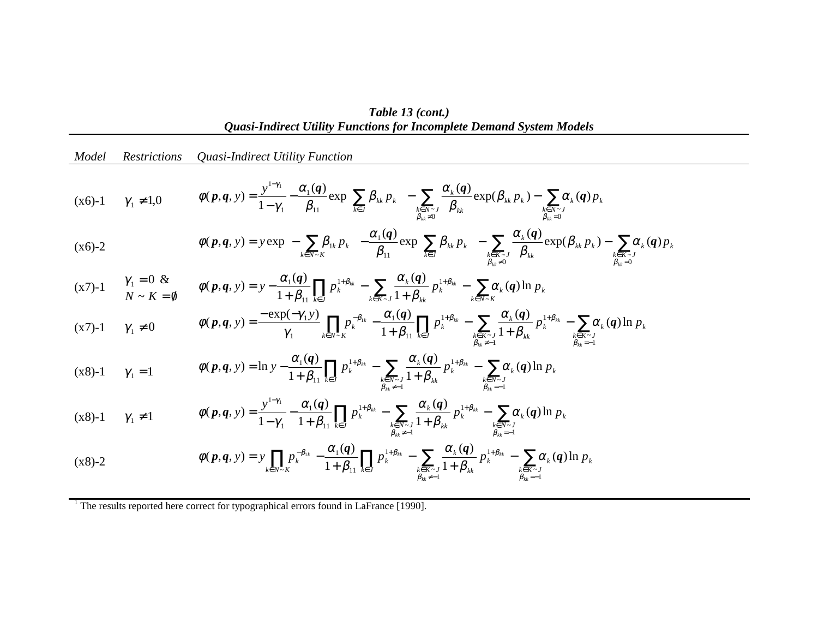*Table 13 (cont.) Quasi-Indirect Utility Functions for Incomplete Demand System Models*

| Model                      | <i>Restrictions</i>          | Quasi-Indirect Utility Function                                                                                                                                                                                                                                                                                                                                                                                                              |
|----------------------------|------------------------------|----------------------------------------------------------------------------------------------------------------------------------------------------------------------------------------------------------------------------------------------------------------------------------------------------------------------------------------------------------------------------------------------------------------------------------------------|
|                            | $(x6)-1$ $\gamma_1 \neq 1,0$ | $\phi(\boldsymbol{p},\boldsymbol{q},y) = \frac{y^{1-\gamma_1}}{1-\gamma_1} - \frac{\alpha_1(\boldsymbol{q})}{\beta_{11}} \exp\left\{\sum_{k\in J} \beta_{kk} p_k \right\} - \sum_{k\in N \preceq J \atop \beta=\Delta_0} \frac{\alpha_k(\boldsymbol{q})}{\beta_{kk}} \exp(\beta_{kk} p_k) - \sum_{k\in N \preceq J \atop \beta_{kk}=0} \alpha_k(\boldsymbol{q}) p_k$                                                                         |
| $(x6)-2$                   |                              | $\phi(\textbf{\emph{p}},\textbf{\emph{q}},y)=y\exp\left\{-\sum_{k\in N-K}\!\beta_{\mathrm{lk}}p_k\right\}-\frac{\alpha_{\mathrm{l}}(\textbf{\emph{q}})}{\beta_{\mathrm{l1}}}\exp\!\left\{\!\sum_{k\in J}\beta_{k k}\,p_k\right\}-\sum_{k\in K-J\atop\alpha_{\mathrm{m}},\alpha_{\mathrm{l}}}\!\frac{\alpha_{k}(\textbf{\emph{q}})}{\beta_{k k}}\exp(\beta_{k k}\,p_k)-\sum_{k\in K-J\atop\beta_{k k}=0}\!\alpha_{k}(\textbf{\emph{q}})\,p_k$ |
|                            |                              | $\alpha(x7)-1$ $\gamma_1 = 0$ & $\phi(p,q, y) = y - \frac{\alpha_1(q)}{1+\beta_1} \prod_{k \in I} p_k^{1+\beta_{kk}} - \sum_{k \in K} \frac{\alpha_k(q)}{1+\beta_k} p_k^{1+\beta_{kk}} - \sum_{k \in N \setminus K} \alpha_k(q) \ln p_k$                                                                                                                                                                                                     |
|                            | $(x7)-1$ $\gamma_1 \neq 0$   | $\phi(p,q,y) = \frac{-\exp(-\gamma_1 y)}{\gamma_1} \prod_{k \in N \sim K} p_k^{-\beta_{1k}} - \frac{\alpha_1(q)}{1+\beta_{11}} \prod_{k \in J} p_k^{1+\beta_{kk}} - \sum_{\substack{k \in K \sim J \\ R \to +1}} \frac{\alpha_k(q)}{1+\beta_{kk}} p_k^{1+\beta_{kk}} - \sum_{\substack{k \in K \sim J \\ \beta_{kk}=-1}} \alpha_k(q) \ln p_k$                                                                                                |
| $(x8)-1$ $\gamma_1 = 1$    |                              | $\phi(\mathbf{p}, \mathbf{q}, y) = \ln y - \frac{\alpha_1(\mathbf{q})}{1 + \beta_{11}} \prod_{k \in J} p_k^{1 + \beta_{kk}} - \sum_{\substack{k \in N \sim J \\ \beta_{k+1} = 1}} \frac{\alpha_k(\mathbf{q})}{1 + \beta_{kk}} p_k^{1 + \beta_{kk}} - \sum_{\substack{k \in N \sim J \\ \beta_{kk} = -1}} \alpha_k(\mathbf{q}) \ln p_k$                                                                                                       |
| $(x8)-1$ $\gamma_1 \neq 1$ |                              | $\phi(p,q,y) = \frac{y^{1-\gamma_1}}{1-\gamma_1} - \frac{\alpha_1(q)}{1+\beta_{11}} \prod_{k \in J} p_k^{1+\beta_{kk}} - \sum_{\substack{k \in N \sim J \\ \delta}} \frac{\alpha_k(q)}{1+\beta_{kk}} p_k^{1+\beta_{kk}} - \sum_{\substack{k \in N \sim J \\ \delta_{n-1}}} \alpha_k(q) \ln p_k$                                                                                                                                              |
|                            |                              | $\alpha = \alpha$ $\alpha$ (a) $\alpha = \alpha$ (a) $\alpha$                                                                                                                                                                                                                                                                                                                                                                                |

$$
(x8)-2 \qquad \phi(p,q,y) = y \prod_{k \in N \sim K} p_k^{-\beta_{1k}} - \frac{\alpha_1(q)}{1+\beta_{11}} \prod_{k \in J} p_k^{1+\beta_{kk}} - \sum_{\substack{k \in K \sim J \\ \beta_{kk} \neq -1}} \frac{\alpha_k(q)}{1+\beta_{kk}} p_k^{1+\beta_{kk}} - \sum_{\substack{k \in K \sim J \\ \beta_{kk} = -1}} \alpha_k(q) \ln p_k
$$

<sup>1</sup> The results reported here correct for typographical errors found in LaFrance [1990].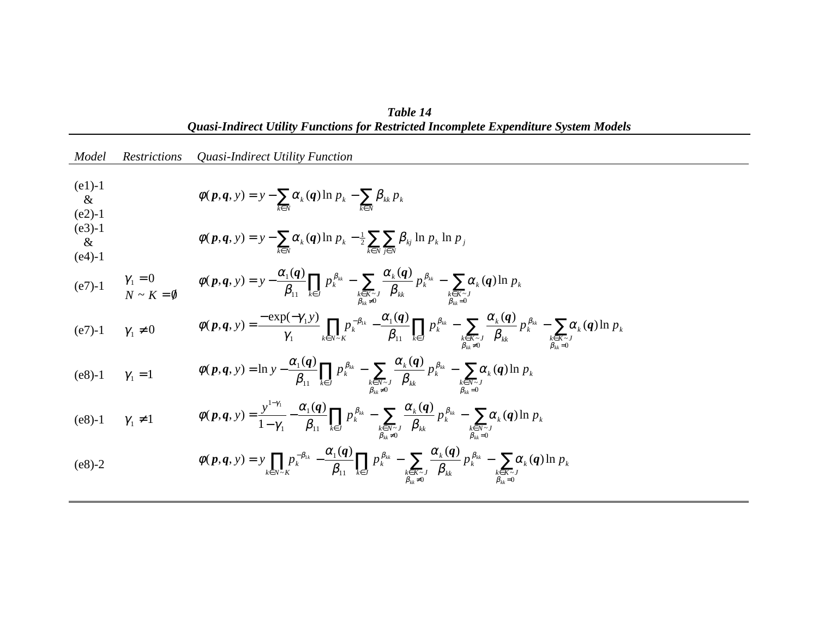| Model                            | <i>Restrictions</i> | Quasi-Indirect Utility Function                                                                                                                                                                                                                                                                                                                                                                        |
|----------------------------------|---------------------|--------------------------------------------------------------------------------------------------------------------------------------------------------------------------------------------------------------------------------------------------------------------------------------------------------------------------------------------------------------------------------------------------------|
| $(e1) - 1$<br>$\&$<br>$(e2) - 1$ |                     | $\phi(\boldsymbol{p},\boldsymbol{q},y) = y - \sum_{k \in \mathbb{N}} \alpha_k(\boldsymbol{q}) \ln p_k - \sum_{k \in \mathbb{N}} \beta_{kk} p_k$                                                                                                                                                                                                                                                        |
| $(e3)-1$<br>$\&$<br>$(e4)-1$     |                     | $\phi(p,q, y) = y - \sum_{k \in N} \alpha_k(q) \ln p_k - \frac{1}{2} \sum_{k \in N} \sum_{j \in N} \beta_{kj} \ln p_k \ln p_j$                                                                                                                                                                                                                                                                         |
|                                  |                     | (e7)-1 $\gamma_1 = 0$ $\phi(p,q, y) = y - \frac{\alpha_1(q)}{\beta_{11}} \prod_{k \in J} p_k^{\beta_{kk}} - \sum_{\substack{k \in K \sim J \\ \beta_{kk} \neq 0}} \frac{\alpha_k(q)}{\beta_{kk}} p_k^{\beta_{kk}} - \sum_{\substack{k \in K \sim J \\ \beta_{kk} = 0}} \alpha_k(q) \ln p_k$                                                                                                            |
| $(e7) - 1$                       | $\gamma_1 \neq 0$   | $\phi(p,q,y) = \frac{-\exp(-\gamma_1 y)}{\gamma_1} \prod_{k \in N \sim K} p_k^{-\beta_{1k}} - \frac{\alpha_1(q)}{\beta_{11}} \prod_{k \in J} p_k^{\beta_{kk}} - \sum_{\substack{k \in K \sim J \\ \beta_{1:k} \neq 0}} \frac{\alpha_k(q)}{\beta_{kk}} p_k^{\beta_{kk}} - \sum_{\substack{k \in K \sim J \\ \beta_{kk} = 0}} \alpha_k(q) \ln p_k$                                                       |
| $(e8) - 1$ $\gamma_1 = 1$        |                     | $\phi(p,q,y) = \ln y - \frac{\alpha_1(q)}{\beta_1} \prod_{k \in J} p_k^{\beta_{kk}} - \sum_{\substack{k \in N \sim J \\ \beta_{k, \neq 0}}} \frac{\alpha_k(q)}{\beta_{kk}} p_k^{\beta_{kk}} - \sum_{\substack{k \in N \sim J \\ \beta_{kk} = 0}} \alpha_k(q) \ln p_k$                                                                                                                                  |
| (e8)-1 $\gamma_1 \neq 1$         |                     | $\phi(p,q,y) = \frac{y^{1-\gamma_1}}{1-\gamma_1} - \frac{\alpha_1(q)}{\beta_{11}} \prod_{k \in J} p_k^{\beta_{kk}} - \sum_{\substack{k \in N \sim J \\ \beta_{k, \gamma} = 0}} \frac{\alpha_k(q)}{\beta_{kk}} p_k^{\beta_{kk}} - \sum_{\substack{k \in N \sim J \\ \beta_{k, \gamma} = 0}} \alpha_k(q) \ln p_k$                                                                                        |
| $(e8)-2$                         |                     | $\phi(\textbf{\textit{p}}, \textbf{\textit{q}}, y) = y \prod_{k \in N \sim K} p_k^{-\beta_{1k}} - \frac{\alpha_1(\textbf{\textit{q}})}{\beta_{11}} \prod_{k \in J} p_k^{\beta_{kk}} - \sum_{\substack{k \in K \sim J \\ \beta_{1k} \neq 0}} \frac{\alpha_k(\textbf{\textit{q}})}{\beta_k} p_k^{\beta_{kk}} - \sum_{\substack{k \in K \sim J \\ \beta_{1k} = 0}} \alpha_k(\textbf{\textit{q}}) \ln p_k$ |

| Table 14                                                                             |
|--------------------------------------------------------------------------------------|
| Quasi-Indirect Utility Functions for Restricted Incomplete Expenditure System Models |
|                                                                                      |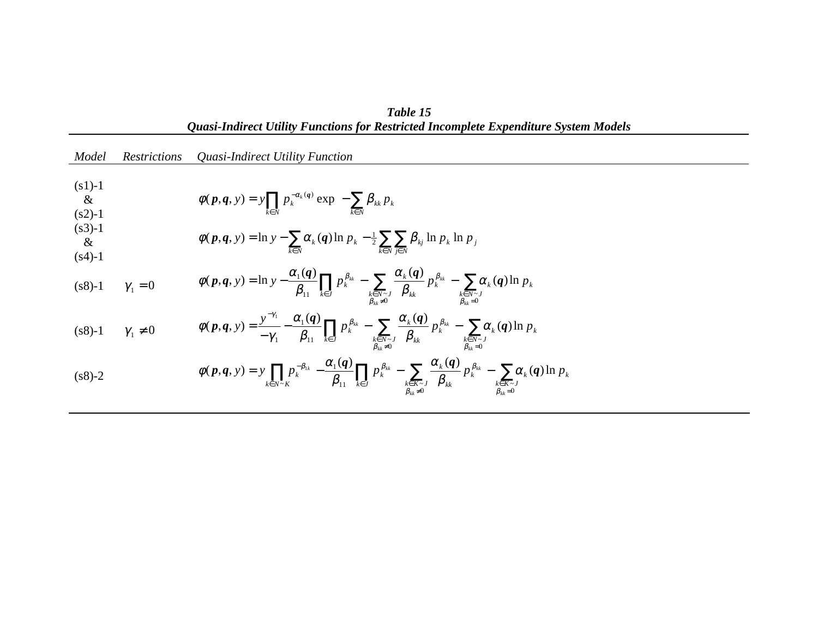| олизентан се отниу і ансионя јог кемпенси інсотрісіс Ехрепаните бумет тоасія |                     |                                                                                                                                                                                                                                                                                                                                                                                                          |
|------------------------------------------------------------------------------|---------------------|----------------------------------------------------------------------------------------------------------------------------------------------------------------------------------------------------------------------------------------------------------------------------------------------------------------------------------------------------------------------------------------------------------|
| Model                                                                        | <i>Restrictions</i> | Quasi-Indirect Utility Function                                                                                                                                                                                                                                                                                                                                                                          |
| $(s1) - 1$<br>$\&$<br>$(s2)-1$<br>$(s3)-1$<br>$\&$<br>$(s4)-1$               |                     | $\phi(\boldsymbol{p},\boldsymbol{q},y) = y \prod_{k \in \mathbb{N}} p_k^{-\alpha_k(\boldsymbol{q})} \exp \left\{-\sum_{k \in \mathbb{N}} \beta_{kk} p_k \right\}$<br>$\phi(p,q, y) = \ln y - \sum_{k \in N} \alpha_k(q) \ln p_k - \frac{1}{2} \sum_{k \in N} \sum_{i \in N} \beta_{kj} \ln p_k \ln p_j$                                                                                                  |
| $(s8)-1$                                                                     | $\gamma_1=0$        | $\phi(p,q, y) = \ln y - \frac{\alpha_1(q)}{\beta_{11}} \prod_{k \in J} p_k^{\beta_{kk}} - \sum_{\substack{k \in N \sim J \\ \beta_{kk} \neq 0}} \frac{\alpha_k(q)}{\beta_{kk}} p_k^{\beta_{kk}} - \sum_{\substack{k \in N \sim J \\ \beta_{kk} = 0}} \alpha_k(q) \ln p_k$                                                                                                                                |
| $(s8) - 1$                                                                   | $\gamma_1 \neq 0$   | $\phi(p,q,y) = \frac{y^{-\gamma_1}}{-\gamma_1} - \frac{\alpha_1(q)}{\beta_{11}} \prod_{k \in J} p_k^{\beta_{kk}} - \sum_{\substack{k \in N \sim J \\ \beta_{kk} \neq 0}} \frac{\alpha_k(q)}{\beta_{kk}} p_k^{\beta_{kk}} - \sum_{\substack{k \in N \sim J \\ \beta_{kk} = 0}} \alpha_k(q) \ln p_k$                                                                                                       |
| $(s8)-2$                                                                     |                     | $\phi(\textbf{\textit{p}}, \textbf{\textit{q}}, y) = y \prod_{k \in N \sim K} p_k^{-\beta_{1k}} - \frac{\alpha_1(\textbf{\textit{q}})}{\beta_{11}} \prod_{k \in J} p_k^{\beta_{kk}} - \sum_{\substack{k \in K \sim J \\ \beta_{1k} \neq 0}} \frac{\alpha_k(\textbf{\textit{q}})}{\beta_{k}} p_k^{\beta_{kk}} - \sum_{\substack{k \in K \sim J \\ \beta_{1k} = 0}} \alpha_k(\textbf{\textit{q}}) \ln p_k$ |

*Table 15 Quasi-Indirect Utility Functions for Restricted Incomplete Expenditure System Models*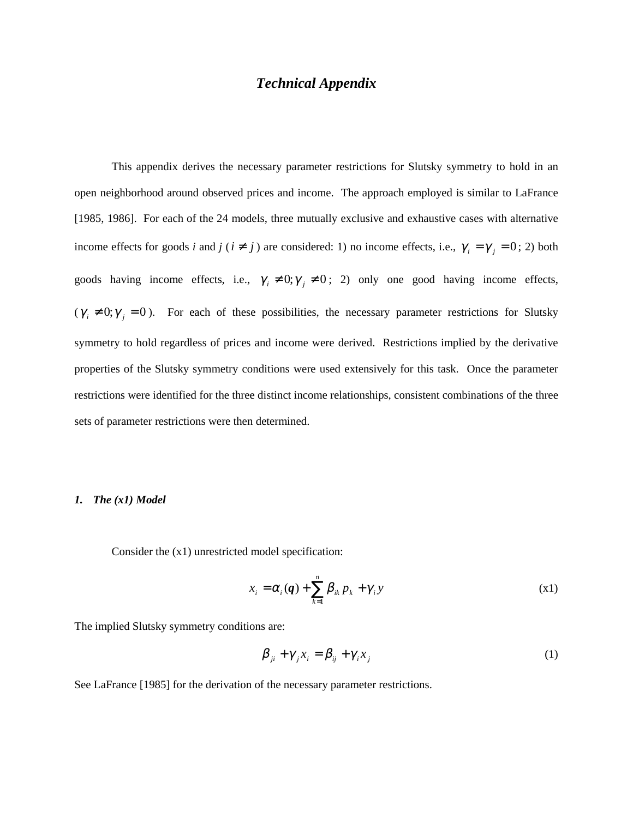## *Technical Appendix*

This appendix derives the necessary parameter restrictions for Slutsky symmetry to hold in an open neighborhood around observed prices and income. The approach employed is similar to LaFrance [1985, 1986]. For each of the 24 models, three mutually exclusive and exhaustive cases with alternative income effects for goods *i* and *j* ( $i \neq j$ ) are considered: 1) no income effects, i.e.,  $\gamma_i = \gamma_j = 0$ ; 2) both goods having income effects, i.e.,  $\gamma_i \neq 0$ ;  $\gamma_j \neq 0$ ; 2) only one good having income effects,  $(\gamma_i \neq 0; \gamma_j = 0)$ . For each of these possibilities, the necessary parameter restrictions for Slutsky symmetry to hold regardless of prices and income were derived. Restrictions implied by the derivative properties of the Slutsky symmetry conditions were used extensively for this task. Once the parameter restrictions were identified for the three distinct income relationships, consistent combinations of the three sets of parameter restrictions were then determined.

#### *1. The (x1) Model*

Consider the (x1) unrestricted model specification:

$$
x_i = \alpha_i(q) + \sum_{k=1}^n \beta_{ik} p_k + \gamma_i y \tag{x1}
$$

The implied Slutsky symmetry conditions are:

$$
\beta_{ji} + \gamma_j x_i = \beta_{ij} + \gamma_i x_j \tag{1}
$$

See LaFrance [1985] for the derivation of the necessary parameter restrictions.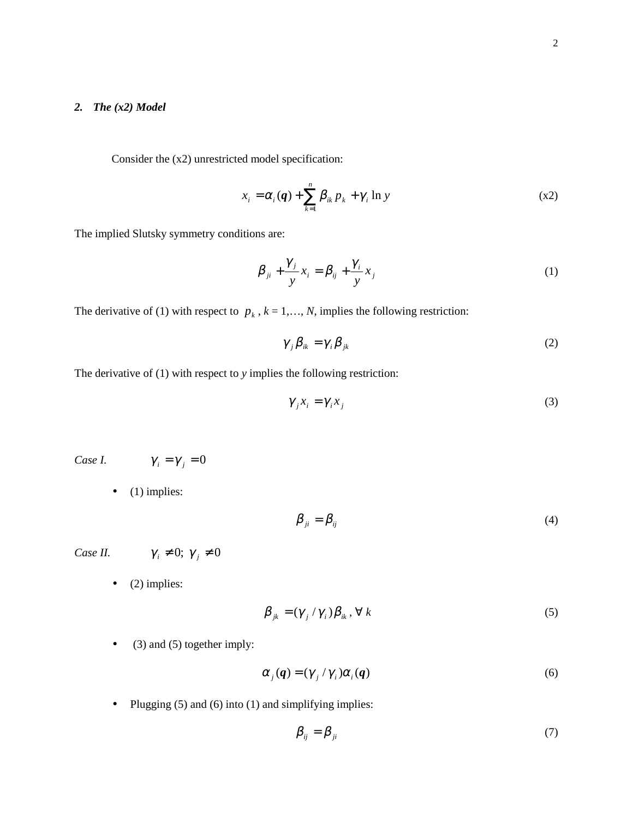#### *2. The (x2) Model*

Consider the (x2) unrestricted model specification:

$$
x_i = \alpha_i(\boldsymbol{q}) + \sum_{k=1}^n \beta_{ik} p_k + \gamma_i \ln y \tag{x2}
$$

The implied Slutsky symmetry conditions are:

$$
\beta_{ji} + \frac{\gamma_j}{y} x_i = \beta_{ij} + \frac{\gamma_i}{y} x_j \tag{1}
$$

The derivative of (1) with respect to  $p_k$ ,  $k = 1, ..., N$ , implies the following restriction:

$$
\gamma_{j}\beta_{ik} = \gamma_{i}\beta_{jk} \tag{2}
$$

The derivative of (1) with respect to *y* implies the following restriction:

$$
\gamma_j x_i = \gamma_i x_j \tag{3}
$$

*Case I.*  $\gamma_i = \gamma_j = 0$ 

 $\bullet$  (1) implies:

$$
\beta_{ji} = \beta_{ij} \tag{4}
$$

*Case II.*  $\gamma_i \neq 0; \gamma_j \neq 0$ 

 $\bullet$  (2) implies:

$$
\beta_{jk} = (\gamma_j / \gamma_i) \beta_{ik}, \forall k
$$
\n<sup>(5)</sup>

• (3) and (5) together imply:

$$
\alpha_j(q) = (\gamma_j / \gamma_i) \alpha_i(q) \tag{6}
$$

• Plugging  $(5)$  and  $(6)$  into  $(1)$  and simplifying implies:

$$
\beta_{ij} = \beta_{ji} \tag{7}
$$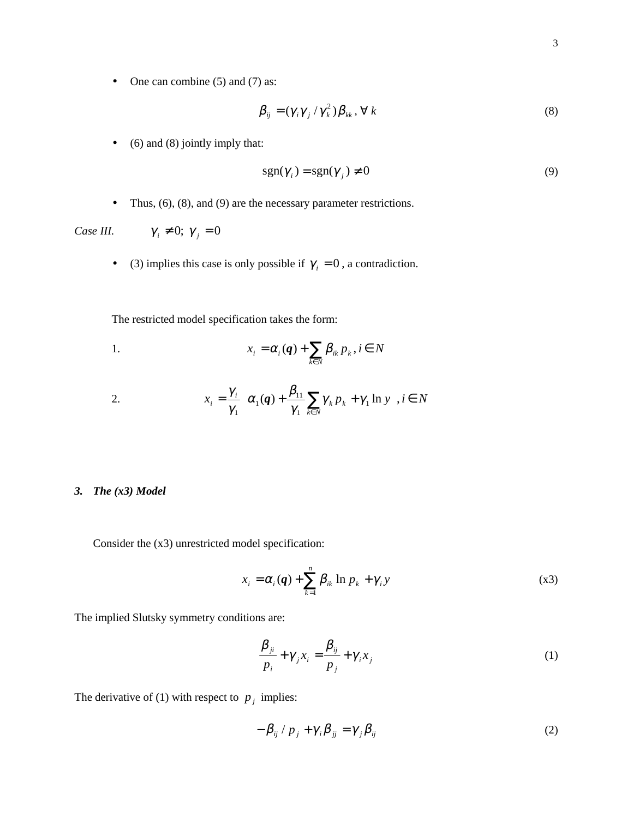• One can combine (5) and (7) as:

$$
\beta_{ij} = (\gamma_i \gamma_j / \gamma_k^2) \beta_{kk}, \forall k
$$
\n(8)

• (6) and (8) jointly imply that:

$$
sgn(\gamma_i) = sgn(\gamma_j) \neq 0
$$
\n(9)

• Thus,  $(6)$ ,  $(8)$ , and  $(9)$  are the necessary parameter restrictions.

*Case III.*  $\gamma_i \neq 0; \gamma_j = 0$ 

• (3) implies this case is only possible if  $\gamma_i = 0$ , a contradiction.

The restricted model specification takes the form:

1. 
$$
x_i = \alpha_i(\boldsymbol{q}) + \sum_{k \in N} \beta_{ik} p_k, i \in N
$$

2. 
$$
x_i = \frac{\gamma_i}{\gamma_1} \left\{ \alpha_1(\boldsymbol{q}) + \frac{\beta_{11}}{\gamma_1} \sum_{k \in N} \gamma_k p_k + \gamma_1 \ln y \right\}, i \in N
$$

### *3. The (x3) Model*

Consider the (x3) unrestricted model specification:

$$
x_i = \alpha_i(\boldsymbol{q}) + \sum_{k=1}^n \beta_{ik} \ln p_k + \gamma_i y \tag{83}
$$

The implied Slutsky symmetry conditions are:

$$
\frac{\beta_{ji}}{p_i} + \gamma_j x_i = \frac{\beta_{ij}}{p_j} + \gamma_i x_j \tag{1}
$$

The derivative of (1) with respect to  $p_j$  implies:

$$
-\beta_{ij} / p_j + \gamma_i \beta_{jj} = \gamma_j \beta_{ij} \tag{2}
$$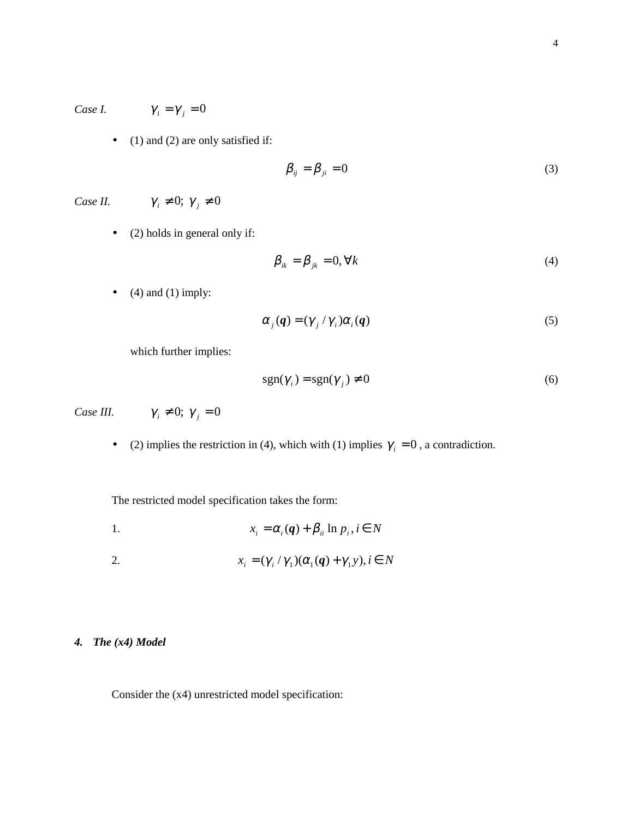*Case I.*  $\gamma_i = \gamma_j = 0$ 

• (1) and (2) are only satisfied if:

$$
\beta_{ij} = \beta_{ji} = 0 \tag{3}
$$

*Case II.*  $\gamma_i \neq 0; \gamma_j \neq 0$ 

• (2) holds in general only if:

$$
\beta_{ik} = \beta_{jk} = 0, \forall k \tag{4}
$$

 $\bullet$  (4) and (1) imply:

$$
\alpha_j(q) = (\gamma_j / \gamma_i) \alpha_i(q) \tag{5}
$$

which further implies:

$$
sgn(\gamma_i) = sgn(\gamma_j) \neq 0 \tag{6}
$$

*Case III.*  $\gamma_i \neq 0; \gamma_j = 0$ 

• (2) implies the restriction in (4), which with (1) implies  $\gamma_i = 0$ , a contradiction.

The restricted model specification takes the form:

1.  $x_i = \alpha_i(\mathbf{q}) + \beta_{ii} \ln p_i, i \in N$ 

2. 
$$
x_i = (\gamma_i / \gamma_1)(\alpha_1(q) + \gamma_1 y), i \in N
$$

### *4. The (x4) Model*

Consider the (x4) unrestricted model specification: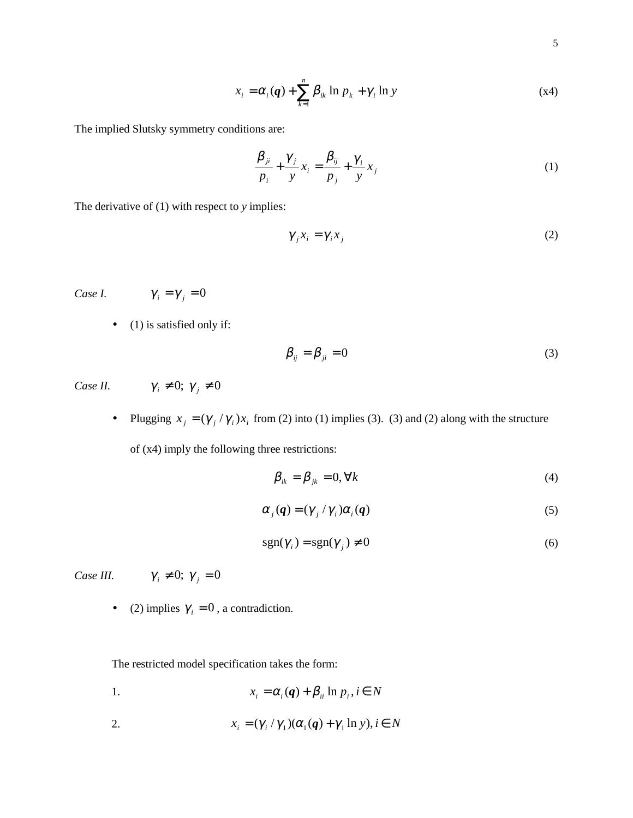$$
x_i = \alpha_i(\boldsymbol{q}) + \sum_{k=1}^n \beta_{ik} \ln p_k + \gamma_i \ln y \tag{x4}
$$

The implied Slutsky symmetry conditions are:

$$
\frac{\beta_{ji}}{p_i} + \frac{\gamma_j}{y} x_i = \frac{\beta_{ij}}{p_j} + \frac{\gamma_i}{y} x_j
$$
\n(1)

The derivative of (1) with respect to *y* implies:

$$
\gamma_j x_i = \gamma_i x_j \tag{2}
$$

*Case I.*  $\gamma_i = \gamma_j = 0$ 

 $\bullet$  (1) is satisfied only if:

$$
\beta_{ij} = \beta_{ji} = 0 \tag{3}
$$

*Case II.*  $\gamma_i \neq 0; \gamma_j \neq 0$ 

• Plugging  $x_j = (\gamma_j / \gamma_i)x_i$  from (2) into (1) implies (3). (3) and (2) along with the structure

of (x4) imply the following three restrictions:

$$
\beta_{ik} = \beta_{jk} = 0, \forall k \tag{4}
$$

$$
\alpha_j(q) = (\gamma_j / \gamma_i) \alpha_i(q) \tag{5}
$$

$$
sgn(\gamma_i) = sgn(\gamma_j) \neq 0
$$
\n(6)

*Case III.*  $\gamma_i \neq 0; \gamma_j = 0$ 

• (2) implies  $\gamma_i = 0$ , a contradiction.

The restricted model specification takes the form:

1. 
$$
x_i = \alpha_i(\mathbf{q}) + \beta_{ii} \ln p_i, i \in N
$$

2. 
$$
x_i = (\gamma_i / \gamma_1)(\alpha_1(\boldsymbol{q}) + \gamma_1 \ln y), i \in N
$$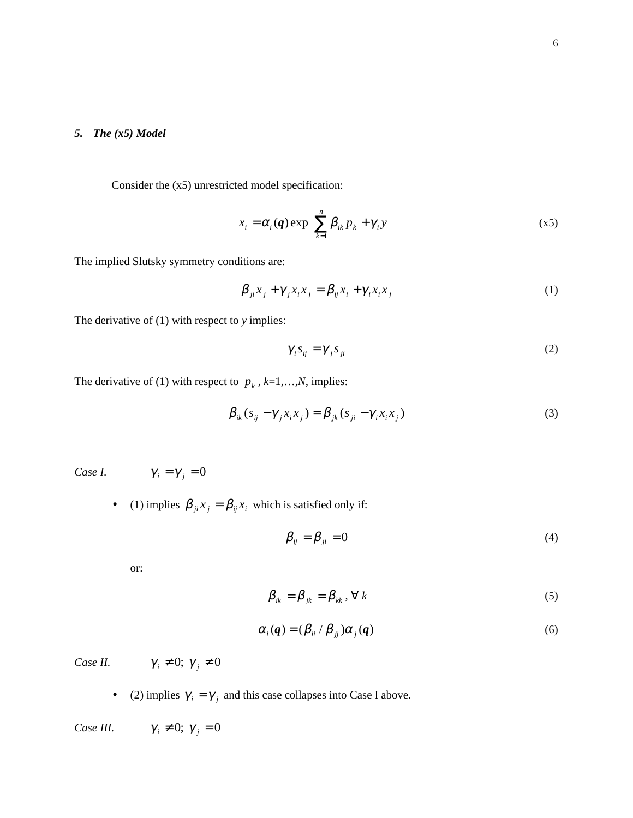#### *5. The (x5) Model*

Consider the (x5) unrestricted model specification:

$$
x_i = \alpha_i(\boldsymbol{q}) \exp\left\{ \sum_{k=1}^n \beta_{ik} p_k + \gamma_i y \right\} \tag{x5}
$$

The implied Slutsky symmetry conditions are:

$$
\beta_{ji}x_j + \gamma_j x_i x_j = \beta_{ij} x_i + \gamma_i x_i x_j \tag{1}
$$

The derivative of (1) with respect to *y* implies:

$$
\gamma_i s_{ij} = \gamma_j s_{ji} \tag{2}
$$

The derivative of (1) with respect to  $p_k$ ,  $k=1,...,N$ , implies:

$$
\beta_{ik}(s_{ij} - \gamma_j x_i x_j) = \beta_{jk}(s_{ji} - \gamma_i x_i x_j)
$$
\n(3)

*Case I.*  $\gamma_i = \gamma_j = 0$ 

• (1) implies  $\beta_{ji} x_j = \beta_{ij} x_i$  which is satisfied only if:

$$
\beta_{ij} = \beta_{ji} = 0 \tag{4}
$$

or:

$$
\beta_{ik} = \beta_{jk} = \beta_{kk}, \forall k
$$
\n(5)

$$
\alpha_i(\boldsymbol{q}) = (\beta_{ii} / \beta_{jj}) \alpha_j(\boldsymbol{q}) \tag{6}
$$

*Case II.*  $\gamma_i \neq 0; \gamma_j \neq 0$ 

• (2) implies  $\gamma_i = \gamma_j$  and this case collapses into Case I above.

*Case III.*  $\gamma_i \neq 0; \gamma_j = 0$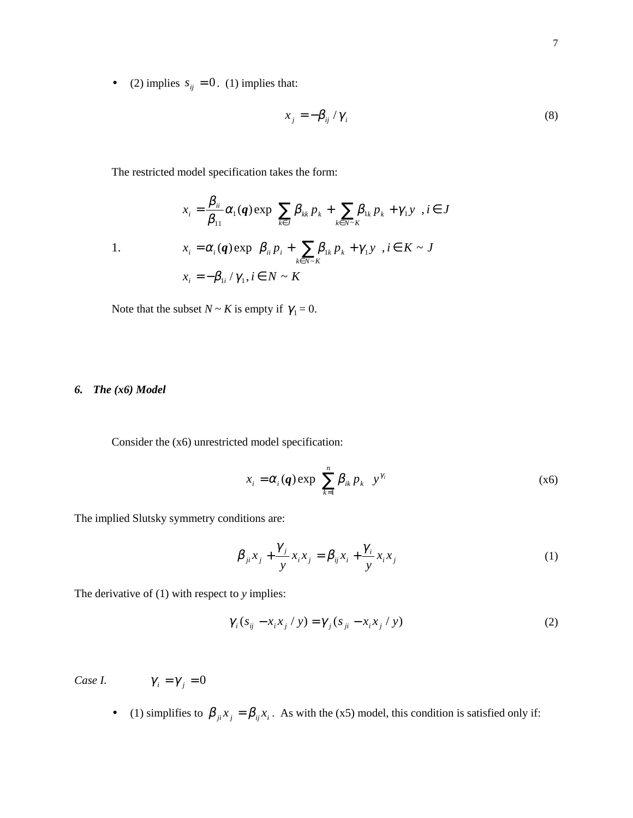• (2) implies  $s_{ij} = 0$ . (1) implies that:

$$
x_j = -\beta_{ij} / \gamma_i \tag{8}
$$

The restricted model specification takes the form:

1.  
\n
$$
x_{i} = \frac{\beta_{ii}}{\beta_{11}} \alpha_{1}(q) \exp \left\{ \sum_{k \in J} \beta_{kk} p_{k} + \sum_{k \in N \sim K} \beta_{1k} p_{k} + \gamma_{1} y \right\}, i \in J
$$
\n
$$
x_{i} = \alpha_{i}(q) \exp \left\{ \beta_{ii} p_{i} + \sum_{k \in N \sim K} \beta_{1k} p_{k} + \gamma_{1} y \right\}, i \in K \sim J
$$
\n
$$
x_{i} = -\beta_{1i} / \gamma_{1}, i \in N \sim K
$$

Note that the subset  $N \sim K$  is empty if  $\gamma_1 = 0$ .

#### *6. The (x6) Model*

Consider the (x6) unrestricted model specification:

$$
x_i = \alpha_i(\boldsymbol{q}) \exp\left\{ \sum_{k=1}^n \beta_{ik} p_k \right\} y^{\gamma_i}
$$
 (x6)

The implied Slutsky symmetry conditions are:

$$
\beta_{ji}x_j + \frac{\gamma_j}{y}x_ix_j = \beta_{ij}x_i + \frac{\gamma_i}{y}x_ix_j \tag{1}
$$

The derivative of (1) with respect to *y* implies:

$$
\gamma_i (s_{ij} - x_i x_j / y) = \gamma_j (s_{ji} - x_i x_j / y)
$$
\n(2)

*Case I.* 

$$
\gamma_i = \gamma_i = 0
$$

• (1) simplifies to  $\beta_{ji} x_j = \beta_{ij} x_i$ . As with the (x5) model, this condition is satisfied only if: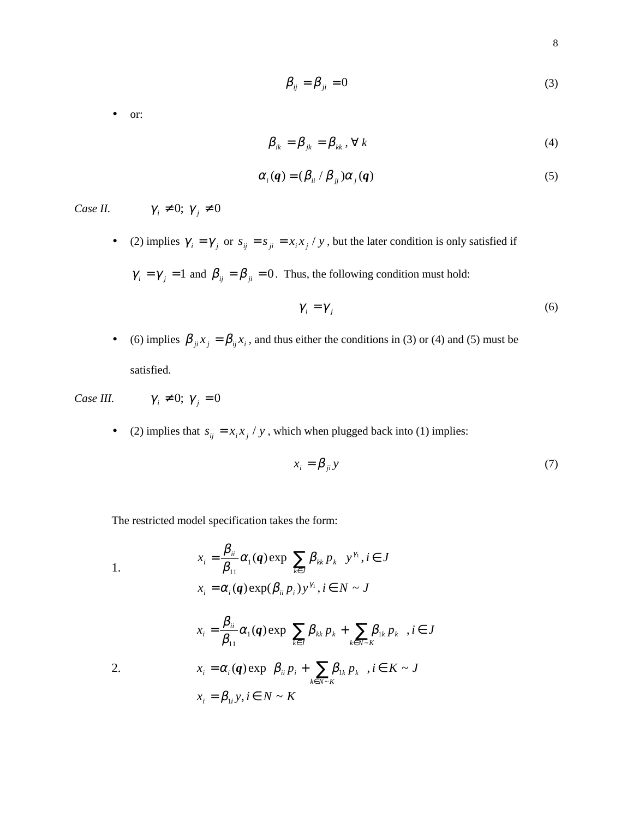$$
\beta_{ij} = \beta_{ji} = 0 \tag{3}
$$

• or:

$$
\beta_{ik} = \beta_{jk} = \beta_{kk}, \forall k
$$
\n(4)

$$
\alpha_i(\mathbf{q}) = (\beta_{ii} / \beta_{jj}) \alpha_j(\mathbf{q}) \tag{5}
$$

- *Case II.*  $\gamma_i \neq 0; \gamma_j \neq 0$ 
	- (2) implies  $\gamma_i = \gamma_j$  or  $s_{ij} = s_{ji} = x_i x_j / y$ , but the later condition is only satisfied if

 $\gamma_i = \gamma_j = 1$  and  $\beta_{ij} = \beta_{ji} = 0$ . Thus, the following condition must hold:

$$
\gamma_i = \gamma_j \tag{6}
$$

• (6) implies  $\beta_{ji} x_j = \beta_{ij} x_i$ , and thus either the conditions in (3) or (4) and (5) must be satisfied.

*Case III.*  $\gamma_i \neq 0; \gamma_j = 0$ 

• (2) implies that  $s_{ij} = x_i x_j / y$ , which when plugged back into (1) implies:

$$
x_i = \beta_{ji} y \tag{7}
$$

The restricted model specification takes the form:

1. 
$$
x_{i} = \frac{\beta_{ii}}{\beta_{11}} \alpha_{1}(q) \exp\left\{\sum_{k \in J} \beta_{kk} p_{k}\right\} y^{\gamma_{1}}, i \in J
$$

$$
x_{i} = \alpha_{i}(q) \exp(\beta_{ii} p_{i}) y^{\gamma_{1}}, i \in N \sim J
$$

$$
x_{i} = \frac{\beta_{ii}}{\beta_{11}} \alpha_{1}(q) \exp \left\{ \sum_{k \in J} \beta_{kk} p_{k} + \sum_{k \in N \sim K} \beta_{1k} p_{k} \right\}, i \in J
$$
  
2.  

$$
x_{i} = \alpha_{i}(q) \exp \left\{ \beta_{ii} p_{i} + \sum_{k \in N \sim K} \beta_{1k} p_{k} \right\}, i \in K \sim J
$$
  

$$
x_{i} = \beta_{1i} y, i \in N \sim K
$$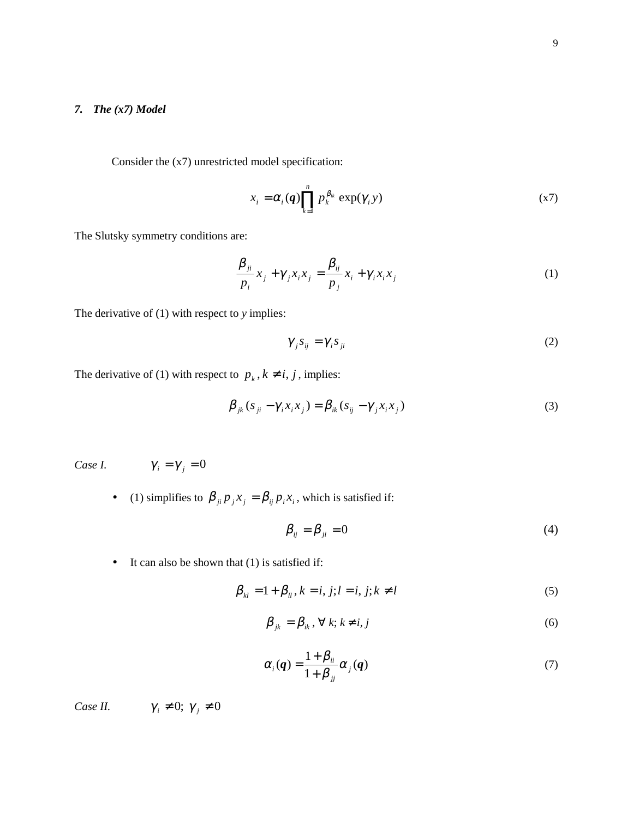### *7. The (x7) Model*

Consider the (x7) unrestricted model specification:

$$
x_i = \alpha_i(q) \prod_{k=1}^n p_k^{\beta_k} \exp(\gamma_i y) \tag{X7}
$$

The Slutsky symmetry conditions are:

$$
\frac{\beta_{ji}}{p_i}x_j + \gamma_j x_i x_j = \frac{\beta_{ij}}{p_j}x_i + \gamma_i x_i x_j
$$
\n(1)

The derivative of (1) with respect to *y* implies:

$$
\gamma_j s_{ij} = \gamma_i s_{ji} \tag{2}
$$

The derivative of (1) with respect to  $p_k$ ,  $k \neq i$ ,  $j$ , implies:

$$
\beta_{jk}(s_{ji} - \gamma_i x_i x_j) = \beta_{ik}(s_{ij} - \gamma_j x_i x_j)
$$
\n(3)

*Case I.*  $\gamma_i = \gamma_j$ 

$$
\gamma_{+}=0
$$

• (1) simplifies to  $\beta_{ji} p_j x_j = \beta_{ij} p_i x_i$ , which is satisfied if:

$$
\beta_{ij} = \beta_{ji} = 0 \tag{4}
$$

• It can also be shown that (1) is satisfied if:

$$
\beta_{kl} = 1 + \beta_{ll}, k = i, j; l = i, j; k \neq l
$$
\n(5)

$$
\beta_{jk} = \beta_{ik}, \forall k; k \neq i, j \tag{6}
$$

$$
\alpha_i(\boldsymbol{q}) = \frac{1 + \beta_{ii}}{1 + \beta_{jj}} \alpha_j(\boldsymbol{q}) \tag{7}
$$

*Case II.*  $\gamma_i \neq 0; \gamma_j \neq 0$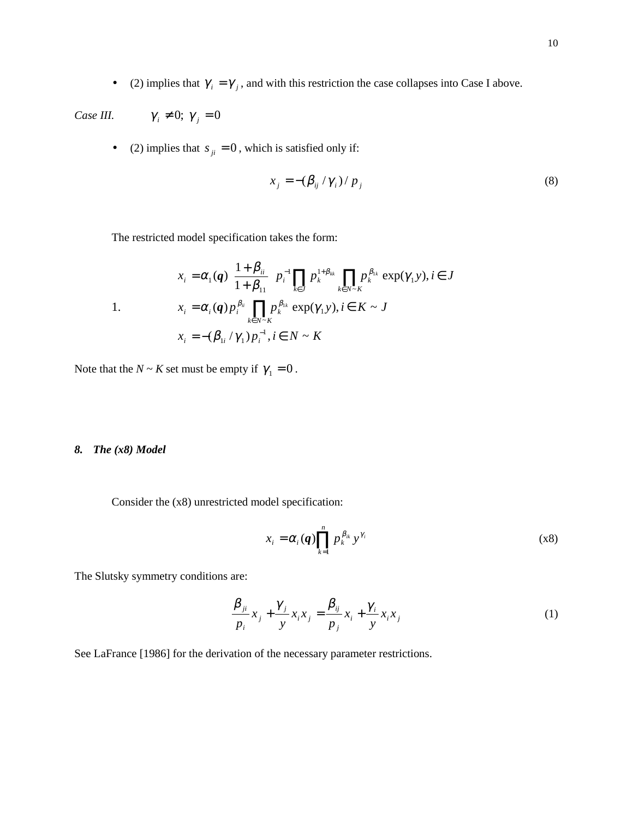• (2) implies that  $\gamma_i = \gamma_j$ , and with this restriction the case collapses into Case I above.

*Case III.*  $\gamma_i \neq 0; \gamma_j = 0$ 

• (2) implies that  $s_{ji} = 0$ , which is satisfied only if:

$$
x_j = -(\beta_{ij} / \gamma_i) / p_j \tag{8}
$$

The restricted model specification takes the form:

1.  
\n
$$
x_{i} = \alpha_{1}(q) \left\{ \frac{1 + \beta_{ii}}{1 + \beta_{11}} \right\} p_{i}^{-1} \prod_{k \in J} p_{k}^{1 + \beta_{kk}} \prod_{k \in N \sim K} p_{k}^{\beta_{1k}} \exp(\gamma_{1} y), i \in J
$$
\n
$$
x_{i} = \alpha_{i}(q) p_{i}^{\beta_{ii}} \prod_{k \in N \sim K} p_{k}^{\beta_{1k}} \exp(\gamma_{1} y), i \in K \sim J
$$
\n
$$
x_{i} = -(\beta_{1i} / \gamma_{1}) p_{i}^{-1}, i \in N \sim K
$$

Note that the  $N \sim K$  set must be empty if  $\gamma_1 = 0$ .

#### *8. The (x8) Model*

Consider the (x8) unrestricted model specification:

$$
x_i = \alpha_i(\boldsymbol{q}) \prod_{k=1}^n p_k^{\beta_{ik}} y^{\gamma_i}
$$
 (x8)

The Slutsky symmetry conditions are:

$$
\frac{\beta_{ji}}{p_i}x_j + \frac{\gamma_j}{y}x_ix_j = \frac{\beta_{ij}}{p_j}x_i + \frac{\gamma_i}{y}x_ix_j
$$
\n(1)

See LaFrance [1986] for the derivation of the necessary parameter restrictions.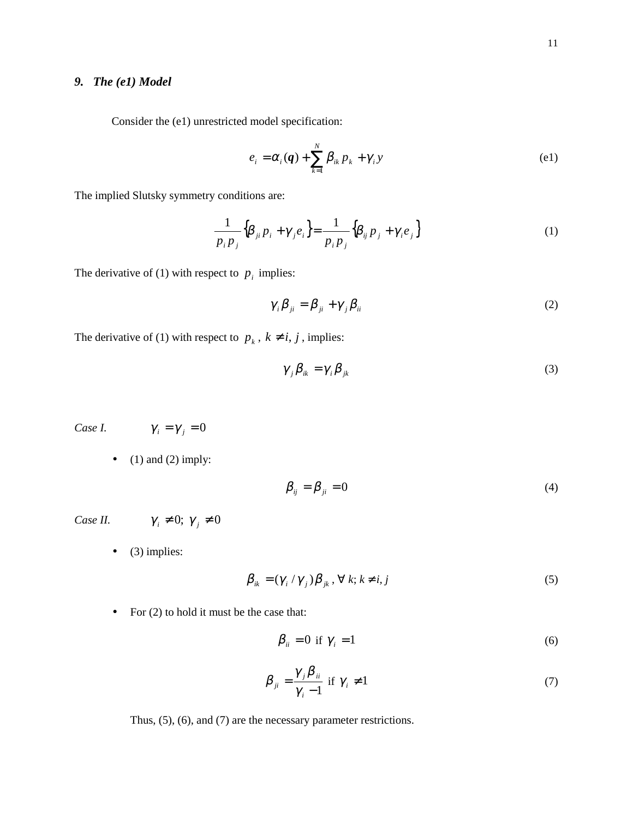### *9. The (e1) Model*

Consider the (e1) unrestricted model specification:

$$
e_i = \alpha_i(\boldsymbol{q}) + \sum_{k=1}^N \beta_{ik} p_k + \gamma_i y \tag{e1}
$$

The implied Slutsky symmetry conditions are:

$$
\frac{1}{p_i p_j} \left\{ \beta_{ji} p_i + \gamma_j e_i \right\} = \frac{1}{p_i p_j} \left\{ \beta_{ij} p_j + \gamma_i e_j \right\} \tag{1}
$$

The derivative of (1) with respect to  $p_i$  implies:

$$
\gamma_i \beta_{ji} = \beta_{ji} + \gamma_j \beta_{ii} \tag{2}
$$

The derivative of (1) with respect to  $p_k$ ,  $k \neq i, j$ , implies:

$$
\gamma_{j}\beta_{ik} = \gamma_{i}\beta_{jk} \tag{3}
$$

*Case I.*  $\gamma_i = \gamma_j = 0$ 

• (1) and (2) imply:

$$
\beta_{ij} = \beta_{ji} = 0 \tag{4}
$$

*Case II.*  $\gamma_i \neq 0; \gamma_j \neq 0$ 

 $\bullet$  (3) implies:

$$
\beta_{ik} = (\gamma_i / \gamma_j) \beta_{jk}, \forall k; k \neq i, j \tag{5}
$$

• For (2) to hold it must be the case that:

$$
\beta_{ii} = 0 \text{ if } \gamma_i = 1 \tag{6}
$$

$$
\beta_{ji} = \frac{\gamma_j \beta_{ii}}{\gamma_i - 1} \text{ if } \gamma_i \neq 1 \tag{7}
$$

Thus, (5), (6), and (7) are the necessary parameter restrictions.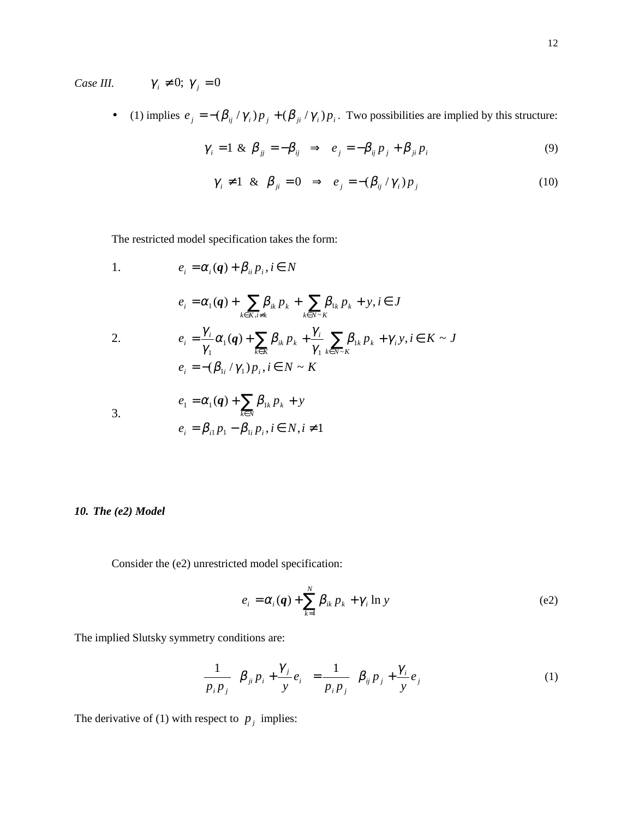*Case III.*  $\gamma_i \neq 0; \gamma_j = 0$ 

• (1) implies  $e_j = -(\beta_{ij}/\gamma_i)p_j + (\beta_{ji}/\gamma_i)p_i$ . Two possibilities are implied by this structure:

$$
\gamma_i = 1 \& \beta_{jj} = -\beta_{ij} \Rightarrow e_j = -\beta_{ij} p_j + \beta_{ji} p_i \tag{9}
$$

$$
\gamma_i \neq 1 \& \beta_{ji} = 0 \Rightarrow e_j = -(\beta_{ij} / \gamma_i) p_j \tag{10}
$$

The restricted model specification takes the form:

1. 
$$
e_{i} = \alpha_{i}(q) + \beta_{ii} p_{i}, i \in N
$$

$$
e_{i} = \alpha_{1}(q) + \sum_{k \in K, i \neq k} \beta_{ik} p_{k} + \sum_{k \in N-K} \beta_{1k} p_{k} + y, i \in J
$$
  
2. 
$$
e_{i} = \frac{\gamma_{i}}{\gamma_{1}} \alpha_{1}(q) + \sum_{k \in K} \beta_{ik} p_{k} + \frac{\gamma_{i}}{\gamma_{1}} \sum_{k \in N-K} \beta_{1k} p_{k} + \gamma_{i} y, i \in K \sim J
$$

$$
e_{i} = -(\beta_{1i} / \gamma_{1}) p_{i}, i \in N \sim K
$$

$$
e_{1} = \alpha_{1}(q) + \sum_{k \in N} \beta_{1k} p_{k} + y
$$
  
3.

$$
e_i = \beta_{i1} p_1 - \beta_{1i} p_i, i \in N, i \neq 1
$$

*10. The (e2) Model*

Consider the (e2) unrestricted model specification:

$$
e_i = \alpha_i(\boldsymbol{q}) + \sum_{k=1}^{N} \beta_{ik} p_k + \gamma_i \ln y
$$
 (e2)

The implied Slutsky symmetry conditions are:

$$
\frac{1}{p_i p_j} \left\{ \beta_{ji} p_i + \frac{\gamma_j}{y} e_i \right\} = \frac{1}{p_i p_j} \left\{ \beta_{ij} p_j + \frac{\gamma_i}{y} e_j \right\} \tag{1}
$$

The derivative of (1) with respect to  $p_j$  implies: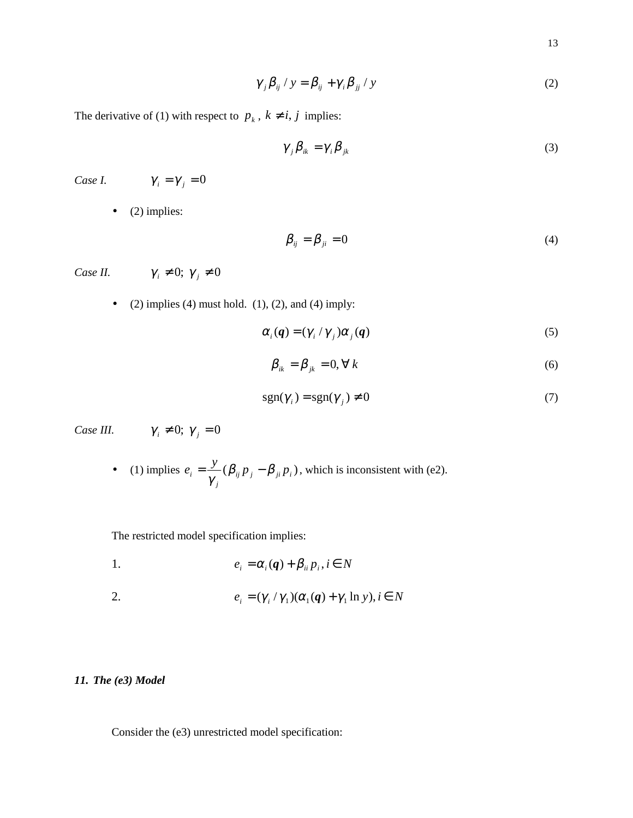$$
\gamma_{j} \beta_{ij} / y = \beta_{ij} + \gamma_{i} \beta_{jj} / y \tag{2}
$$

The derivative of (1) with respect to  $p_k$ ,  $k \neq i, j$  implies:

$$
\gamma_{j}\beta_{ik} = \gamma_{i}\beta_{jk} \tag{3}
$$

*Case I.*  $\gamma_i = \gamma_j = 0$ 

 $\bullet$  (2) implies:

$$
\beta_{ij} = \beta_{ji} = 0 \tag{4}
$$

*Case II.*  $\gamma_i \neq 0; \gamma_j \neq 0$ 

• (2) implies (4) must hold. (1), (2), and (4) imply:

$$
\alpha_i(\boldsymbol{q}) = (\gamma_i / \gamma_j) \alpha_j(\boldsymbol{q}) \tag{5}
$$

$$
\beta_{ik} = \beta_{jk} = 0, \forall k \tag{6}
$$

$$
sgn(\gamma_i) = sgn(\gamma_j) \neq 0 \tag{7}
$$

*Case III.*  $\gamma_i \neq 0; \gamma_j = 0$ 

• (1) implies  $e_i = \frac{y}{\sqrt{i}} (\beta_{ij} p_j - \beta_{ji} p_i)$ *j*  $e_i = \frac{y}{\gamma_i} (\beta_{ij} p_j - \beta_{ji} p_i)$ , which is inconsistent with (e2).

The restricted model specification implies:

1.  $e_i = \alpha_i(q) + \beta_{ii} p_i, i \in N$ 

2. 
$$
e_i = (\gamma_i / \gamma_1)(\alpha_1(\boldsymbol{q}) + \gamma_1 \ln y), i \in N
$$

### *11. The (e3) Model*

Consider the (e3) unrestricted model specification: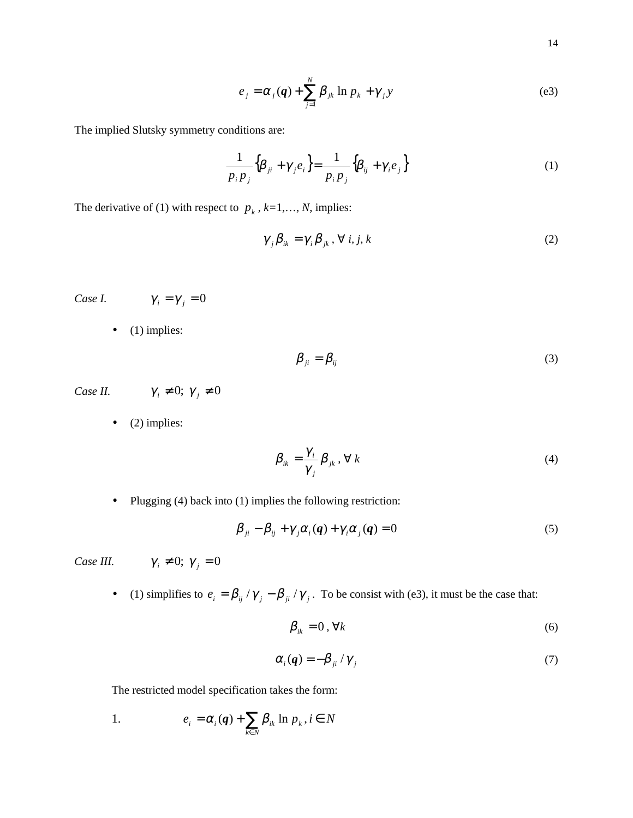$$
e_j = \alpha_j(q) + \sum_{j=1}^N \beta_{jk} \ln p_k + \gamma_j y \tag{e3}
$$

The implied Slutsky symmetry conditions are:

$$
\frac{1}{p_i p_j} \left\{ \beta_{ji} + \gamma_j e_i \right\} = \frac{1}{p_i p_j} \left\{ \beta_{ij} + \gamma_i e_j \right\} \tag{1}
$$

The derivative of (1) with respect to  $p_k$ ,  $k=1,..., N$ , implies:

$$
\gamma_{j}\beta_{ik} = \gamma_{i}\beta_{jk}, \forall i, j, k
$$
 (2)

*Case I.*  $\gamma_i = \gamma_j = 0$ 

 $\bullet$  (1) implies:

$$
\beta_{ji} = \beta_{ij} \tag{3}
$$

*Case II.*  $\gamma_i \neq 0; \gamma_j \neq 0$ 

 $\bullet$  (2) implies:

$$
\beta_{ik} = \frac{\gamma_i}{\gamma_j} \beta_{jk}, \forall k
$$
\n(4)

• Plugging (4) back into (1) implies the following restriction:

$$
\beta_{ji} - \beta_{ij} + \gamma_j \alpha_i(q) + \gamma_i \alpha_j(q) = 0 \tag{5}
$$

*Case III.*  $\gamma_i \neq 0; \gamma_j = 0$ 

• (1) simplifies to  $e_i = \beta_{ij} / \gamma_j - \beta_{ji} / \gamma_j$ . To be consist with (e3), it must be the case that:

$$
\beta_{ik} = 0, \forall k \tag{6}
$$

$$
\alpha_i(\boldsymbol{q}) = -\beta_{ji} / \gamma_j \tag{7}
$$

The restricted model specification takes the form:

1. 
$$
e_i = \alpha_i(\boldsymbol{q}) + \sum_{k \in N} \beta_{ik} \ln p_k, i \in N
$$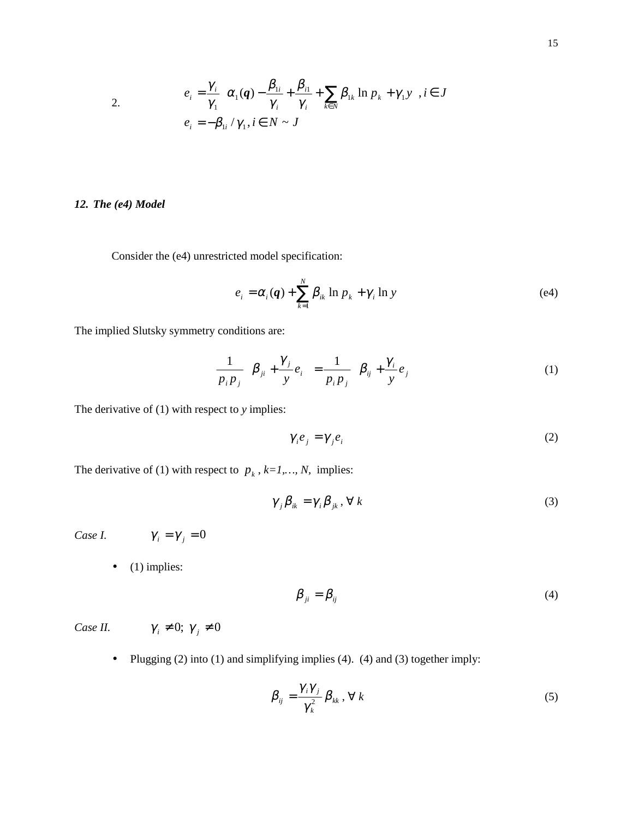2. 
$$
e_i = \frac{\gamma_i}{\gamma_1} \left\{ \alpha_1(\boldsymbol{q}) - \frac{\beta_{1i}}{\gamma_i} + \frac{\beta_{i1}}{\gamma_i} + \sum_{k \in N} \beta_{1k} \ln p_k + \gamma_1 y \right\}, i \in J
$$

$$
e_i = -\beta_{1i} / \gamma_1, i \in N \sim J
$$

### *12. The (e4) Model*

Consider the (e4) unrestricted model specification:

$$
e_i = \alpha_i(\boldsymbol{q}) + \sum_{k=1}^N \beta_{ik} \ln p_k + \gamma_i \ln y \tag{e4}
$$

The implied Slutsky symmetry conditions are:

$$
\frac{1}{p_i p_j} \left\{ \beta_{ji} + \frac{\gamma_j}{y} e_i \right\} = \frac{1}{p_i p_j} \left\{ \beta_{ij} + \frac{\gamma_i}{y} e_j \right\} \tag{1}
$$

The derivative of (1) with respect to *y* implies:

$$
\gamma_i e_j = \gamma_j e_i \tag{2}
$$

The derivative of (1) with respect to  $p_k$ ,  $k=1,..., N$ , implies:

$$
\gamma_{j}\beta_{ik} = \gamma_{i}\beta_{jk}, \forall k
$$
 (3)

Case I. 
$$
\gamma_i = \gamma_j = 0
$$

 $\bullet$  (1) implies:

$$
\beta_{ji} = \beta_{ij} \tag{4}
$$

*Case II.*  $\gamma_i \neq 0; \gamma_j \neq 0$ 

• Plugging (2) into (1) and simplifying implies (4). (4) and (3) together imply:

$$
\beta_{ij} = \frac{\gamma_i \gamma_j}{\gamma_k^2} \beta_{kk}, \forall k
$$
\n(5)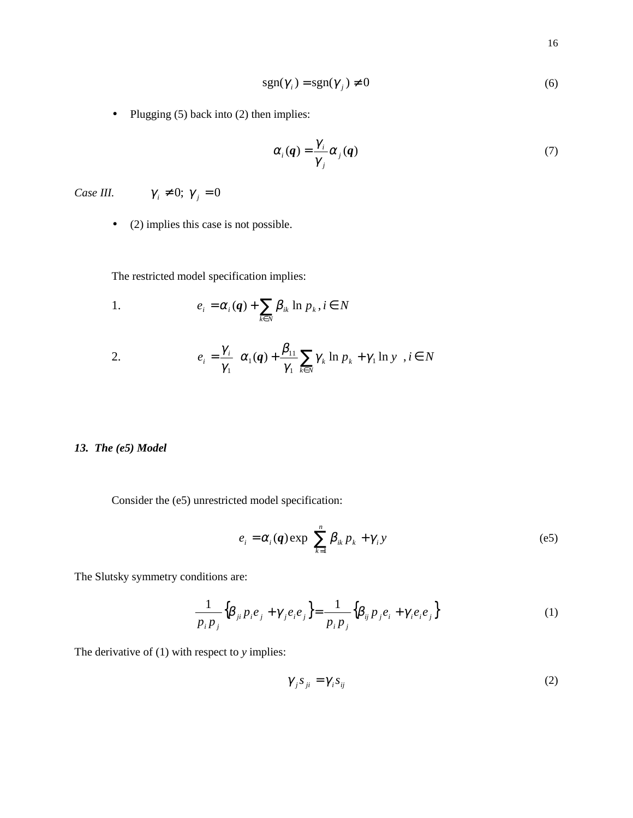$$
sgn(\gamma_i) = sgn(\gamma_j) \neq 0
$$
 (6)

• Plugging (5) back into (2) then implies:

$$
\alpha_i(q) = \frac{\gamma_i}{\gamma_j} \alpha_j(q) \tag{7}
$$

*Case III.*  $\gamma_i \neq 0; \gamma_j = 0$ 

• (2) implies this case is not possible.

The restricted model specification implies:

1. 
$$
e_i = \alpha_i(\boldsymbol{q}) + \sum_{k \in N} \beta_{ik} \ln p_k, i \in N
$$

2. 
$$
e_i = \frac{\gamma_i}{\gamma_1} \left\{ \alpha_1(\boldsymbol{q}) + \frac{\beta_{11}}{\gamma_1} \sum_{k \in N} \gamma_k \ln p_k + \gamma_1 \ln y \right\}, i \in N
$$

### *13. The (e5) Model*

Consider the (e5) unrestricted model specification:

$$
e_i = \alpha_i(\mathbf{q}) \exp\left\{ \sum_{k=1}^n \beta_{ik} p_k + \gamma_i y \right\} \tag{e5}
$$

The Slutsky symmetry conditions are:

$$
\frac{1}{p_i p_j} \Big\{ \beta_{ji} p_i e_j + \gamma_j e_i e_j \Big\} = \frac{1}{p_i p_j} \Big\{ \beta_{ij} p_j e_i + \gamma_i e_i e_j \Big\} \tag{1}
$$

The derivative of (1) with respect to *y* implies:

$$
\gamma_j s_{ji} = \gamma_i s_{ij} \tag{2}
$$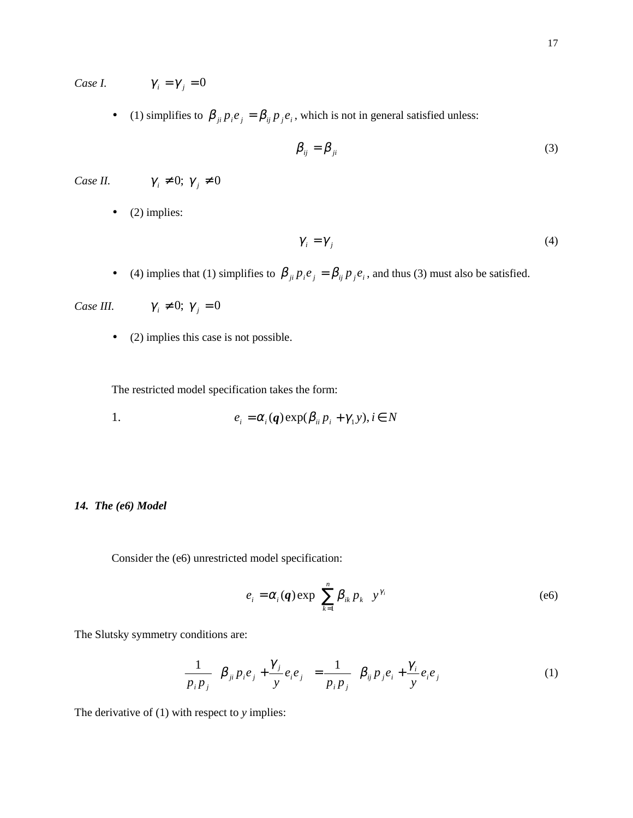*Case I.*  $\gamma_i = \gamma_j = 0$ 

• (1) simplifies to  $\beta_{ji} p_i e_j = \beta_{ij} p_j e_i$ , which is not in general satisfied unless:

$$
\beta_{ij} = \beta_{ji} \tag{3}
$$

*Case II.*  $\gamma_i \neq 0; \gamma_j \neq 0$ 

 $\bullet$  (2) implies:

$$
\gamma_i = \gamma_j \tag{4}
$$

• (4) implies that (1) simplifies to  $\beta_{ji} p_i e_j = \beta_{ij} p_j e_i$ , and thus (3) must also be satisfied.

*Case III.*  $\gamma_i \neq 0; \gamma_j = 0$ 

• (2) implies this case is not possible.

The restricted model specification takes the form:

1. 
$$
e_i = \alpha_i(\mathbf{q}) \exp(\beta_{ii} p_i + \gamma_1 y), i \in N
$$

### *14. The (e6) Model*

Consider the (e6) unrestricted model specification:

$$
e_i = \alpha_i(\boldsymbol{q}) \exp\left\{ \sum_{k=1}^n \beta_{ik} p_k \right\} y^{\gamma_i}
$$
 (e6)

The Slutsky symmetry conditions are:

$$
\frac{1}{p_i p_j} \left\{ \beta_{ji} p_i e_j + \frac{\gamma_j}{y} e_i e_j \right\} = \frac{1}{p_i p_j} \left\{ \beta_{ij} p_j e_i + \frac{\gamma_i}{y} e_i e_j \right\}
$$
(1)

The derivative of (1) with respect to *y* implies: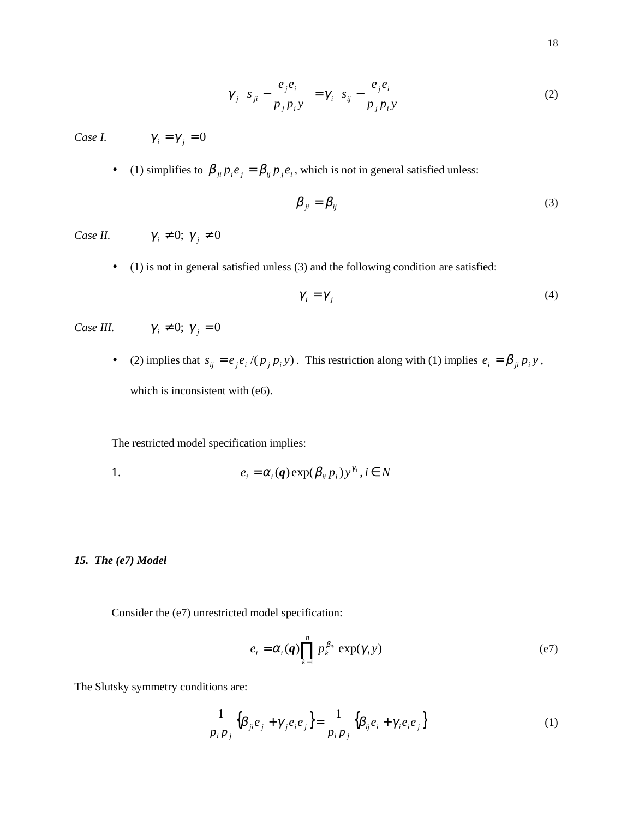$$
\gamma_j \left\{ s_{ji} - \frac{e_j e_i}{p_j p_i y} \right\} = \gamma_i \left\{ s_{ij} - \frac{e_j e_i}{p_j p_i y} \right\}
$$
 (2)

*Case I.*  $\gamma_i = \gamma_j = 0$ 

• (1) simplifies to  $\beta_{ji} p_i e_j = \beta_{ij} p_j e_i$ , which is not in general satisfied unless:

$$
\beta_{ji} = \beta_{ij} \tag{3}
$$

*Case II.*  $\gamma_i \neq 0; \gamma_j \neq 0$ 

- 
- (1) is not in general satisfied unless (3) and the following condition are satisfied:

$$
\gamma_i = \gamma_j \tag{4}
$$

*Case III.*  $\gamma_i \neq 0$ ;  $\gamma_j = 0$ 

• (2) implies that  $s_{ij} = e_j e_i / (p_j p_i y)$ . This restriction along with (1) implies  $e_i = \beta_{ji} p_i y$ , which is inconsistent with (e6).

The restricted model specification implies:

1. 
$$
e_i = \alpha_i(\mathbf{q}) \exp(\beta_{ii} p_i) y^{\gamma_i}, i \in N
$$

*15. The (e7) Model*

Consider the (e7) unrestricted model specification:

$$
e_i = \alpha_i(\boldsymbol{q}) \prod_{k=1}^n p_k^{\beta_{ik}} \exp(\gamma_i y) \tag{e7}
$$

The Slutsky symmetry conditions are:

$$
\frac{1}{p_i p_j} \left\{ \beta_{ji} e_j + \gamma_j e_i e_j \right\} = \frac{1}{p_i p_j} \left\{ \beta_{ij} e_i + \gamma_i e_i e_j \right\} \tag{1}
$$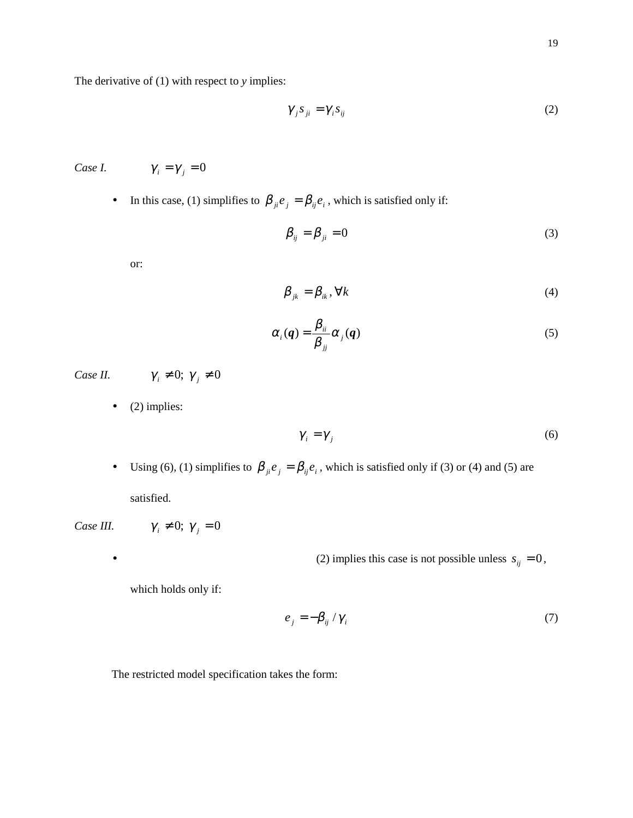The derivative of (1) with respect to *y* implies:

$$
\gamma_j s_{ji} = \gamma_i s_{ij} \tag{2}
$$

*Case I.*  $\gamma_i = \gamma_j = 0$ 

• In this case, (1) simplifies to  $\beta_{ji} e_j = \beta_{ij} e_i$ , which is satisfied only if:

$$
\beta_{ij} = \beta_{ji} = 0 \tag{3}
$$

or:

$$
\beta_{jk} = \beta_{ik}, \forall k \tag{4}
$$

$$
\alpha_i(q) = \frac{\beta_{ii}}{\beta_{jj}} \alpha_j(q)
$$
\n(5)

*Case II.*  $\gamma_i \neq 0; \gamma_j \neq 0$ 

 $\bullet$  (2) implies:

$$
\gamma_i = \gamma_j \tag{6}
$$

• Using (6), (1) simplifies to  $\beta_{ji}e_j = \beta_{ij}e_i$ , which is satisfied only if (3) or (4) and (5) are satisfied.

*Case III.*  $\gamma_i \neq 0; \gamma_j = 0$ 

• (2) implies this case is not possible unless  $s_{ij} = 0$ ,

which holds only if:

$$
e_j = -\beta_{ij} / \gamma_i \tag{7}
$$

The restricted model specification takes the form: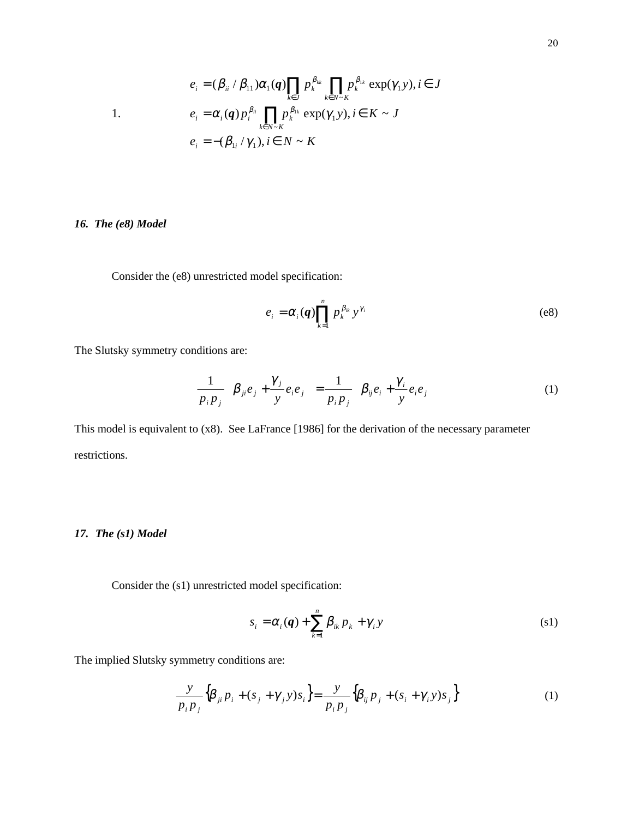$$
e_i = (\beta_{ii} / \beta_{11})\alpha_1(q) \prod_{k \in J} p_k^{\beta_{1k}} \prod_{k \in N \sim K} p_k^{\beta_{1k}} \exp(\gamma_1 y), i \in J
$$
  
\n1.  
\n
$$
e_i = \alpha_i(q) p_i^{\beta_{ii}} \prod_{k \in N \sim K} p_k^{\beta_{1k}} \exp(\gamma_1 y), i \in K \sim J
$$
  
\n
$$
e_i = -(\beta_{1i} / \gamma_1), i \in N \sim K
$$

### *16. The (e8) Model*

Consider the (e8) unrestricted model specification:

$$
e_i = \alpha_i(q) \prod_{k=1}^n p_k^{\beta_{ik}} y^{\gamma_i}
$$
 (e8)

The Slutsky symmetry conditions are:

$$
\frac{1}{p_i p_j} \left\{ \beta_{ji} e_j + \frac{\gamma_j}{y} e_i e_j \right\} = \frac{1}{p_i p_j} \left\{ \beta_{ij} e_i + \frac{\gamma_i}{y} e_i e_j \right\}
$$
(1)

This model is equivalent to (x8). See LaFrance [1986] for the derivation of the necessary parameter restrictions.

### *17. The (s1) Model*

Consider the (s1) unrestricted model specification:

$$
s_i = \alpha_i(q) + \sum_{k=1}^n \beta_{ik} p_k + \gamma_i y \tag{81}
$$

The implied Slutsky symmetry conditions are:

$$
\frac{y}{p_i p_j} \Big\{ \beta_{ji} p_i + (s_j + \gamma_j y) s_i \Big\} = \frac{y}{p_i p_j} \Big\{ \beta_{ij} p_j + (s_i + \gamma_i y) s_j \Big\} \tag{1}
$$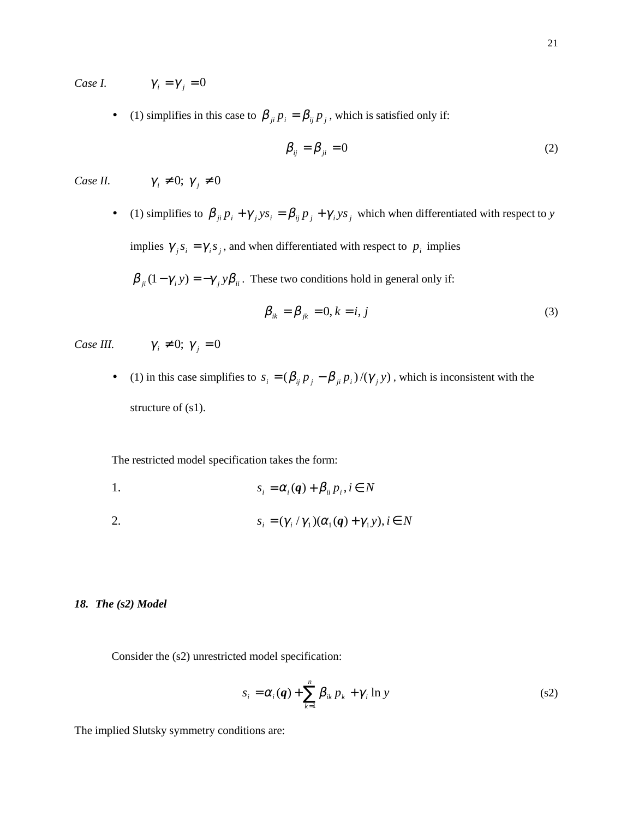*Case I.*  $\gamma_i = \gamma_j = 0$ 

• (1) simplifies in this case to  $\beta_{ji} p_i = \beta_{ij} p_j$ , which is satisfied only if:

$$
\beta_{ij} = \beta_{ji} = 0 \tag{2}
$$

*Case II.*  $\gamma_i \neq 0; \gamma_j \neq 0$ 

• (1) simplifies to  $\beta_{ji} p_i + \gamma_j y s_i = \beta_{ij} p_j + \gamma_i y s_j$  which when differentiated with respect to *y* implies  $\gamma_i s_i = \gamma_i s_j$ , and when differentiated with respect to  $p_i$  implies

$$
\beta_{ji}(1-\gamma_i y) = -\gamma_j y \beta_{ii}
$$
. These two conditions hold in general only if:

$$
\beta_{ik} = \beta_{jk} = 0, k = i, j \tag{3}
$$

*Case III.*  $\gamma_i \neq 0$ ;  $\gamma_j = 0$ 

• (1) in this case simplifies to  $s_i = (\beta_{ij} p_j - \beta_{ji} p_i) / (\gamma_j y)$ , which is inconsistent with the structure of (s1).

The restricted model specification takes the form:

1.  $s_i = \alpha_i(q) + \beta_{ii} p_i, i \in N$ 

2. 
$$
s_i = (\gamma_i / \gamma_1)(\alpha_1(q) + \gamma_1 y), i \in N
$$

### *18. The (s2) Model*

Consider the (s2) unrestricted model specification:

$$
s_i = \alpha_i(\boldsymbol{q}) + \sum_{k=1}^n \beta_{ik} p_k + \gamma_i \ln y \tag{82}
$$

The implied Slutsky symmetry conditions are: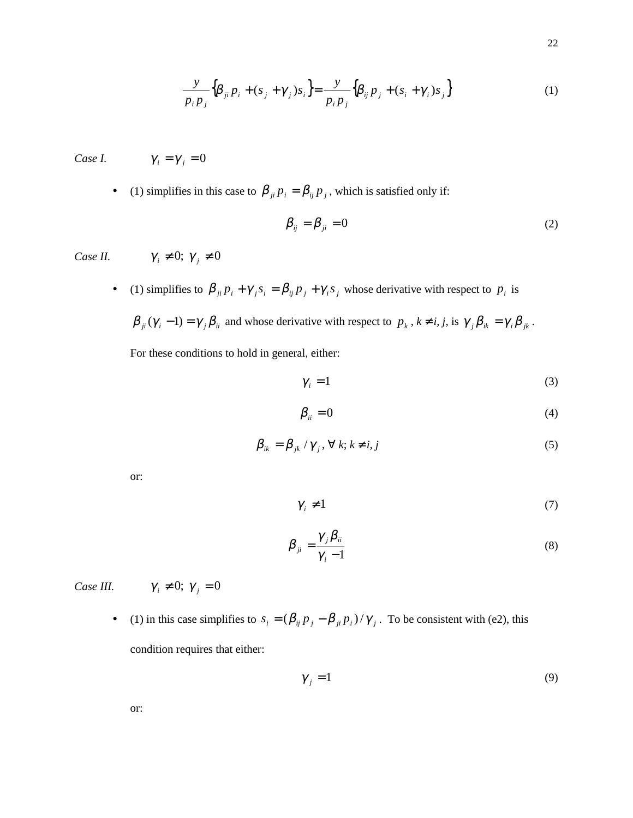$$
\frac{y}{p_i p_j} \Big\{ \beta_{ji} p_i + (s_j + \gamma_j) s_i \Big\} = \frac{y}{p_i p_j} \Big\{ \beta_{ij} p_j + (s_i + \gamma_i) s_j \Big\} \tag{1}
$$

*Case I.*  $\gamma_i = \gamma_j = 0$ 

• (1) simplifies in this case to  $\beta_{ji} p_i = \beta_{ij} p_j$ , which is satisfied only if:

$$
\beta_{ij} = \beta_{ji} = 0 \tag{2}
$$

*Case II.*  $\gamma_i \neq 0; \gamma_j \neq 0$ 

- (1) simplifies to  $\beta_{ji} p_i + \gamma_j s_i = \beta_{ij} p_j + \gamma_i s_j$  whose derivative with respect to  $p_i$  is
	- $\beta_{ji}(\gamma_i 1) = \gamma_j \beta_{ii}$  and whose derivative with respect to  $p_k$ ,  $k \neq i, j$ , is  $\gamma_j \beta_{ik} = \gamma_i \beta_{jk}$ . For these conditions to hold in general, either:

$$
\gamma_i = 1 \tag{3}
$$

$$
\beta_{ii} = 0 \tag{4}
$$

$$
\beta_{ik} = \beta_{jk} / \gamma_j, \forall k; k \neq i, j \tag{5}
$$

or:

$$
\gamma_i \neq 1 \tag{7}
$$

$$
\beta_{ji} = \frac{\gamma_j \beta_{ii}}{\gamma_i - 1} \tag{8}
$$

*Case III.*  $\gamma_i \neq 0; \gamma_j = 0$ 

• (1) in this case simplifies to  $s_i = (\beta_{ij} p_j - \beta_{ji} p_i) / \gamma_j$ . To be consistent with (e2), this condition requires that either:

 $\gamma_{i} = 1$  (9)

or: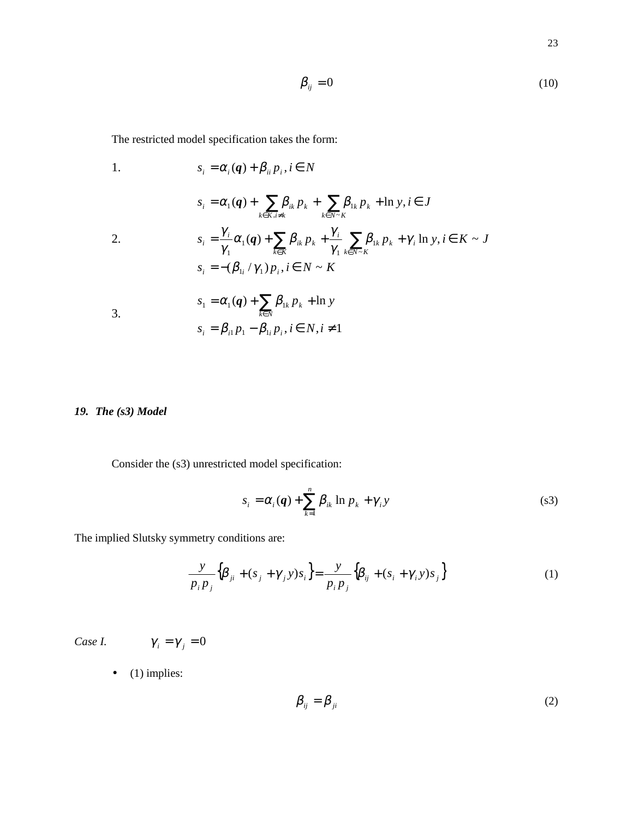$$
\beta_{ij} = 0 \tag{10}
$$

The restricted model specification takes the form:

1. 
$$
s_{i} = \alpha_{i}(q) + \beta_{ii} p_{i}, i \in N
$$

$$
s_{i} = \alpha_{1}(q) + \sum_{k \in K, i \neq k} \beta_{ik} p_{k} + \sum_{k \in N \sim K} \beta_{1k} p_{k} + \ln y, i \in J
$$
  
\n2. 
$$
s_{i} = \frac{\gamma_{i}}{\gamma_{1}} \alpha_{1}(q) + \sum_{k \in K} \beta_{ik} p_{k} + \frac{\gamma_{i}}{\gamma_{1}} \sum_{k \in N \sim K} \beta_{1k} p_{k} + \gamma_{i} \ln y, i \in K \sim J
$$

$$
s_{i} = -(\beta_{1i} / \gamma_{1}) p_{i}, i \in N \sim K
$$

$$
s_{1} = \alpha_{1}(q) + \sum_{k \in N} \beta_{1k} p_{k} + \ln y
$$
  
\n3. 
$$
s_{i} = \beta_{i1} p_{1} - \beta_{1i} p_{i}, i \in N, i \neq 1
$$

## *19. The (s3) Model*

Consider the (s3) unrestricted model specification:

$$
s_i = \alpha_i(\boldsymbol{q}) + \sum_{k=1}^n \beta_{ik} \ln p_k + \gamma_i y \tag{83}
$$

The implied Slutsky symmetry conditions are:

$$
\frac{y}{p_i p_j} \left\{ \beta_{ji} + (s_j + \gamma_j y) s_i \right\} = \frac{y}{p_i p_j} \left\{ \beta_{ij} + (s_i + \gamma_i y) s_j \right\}
$$
 (1)

*Case I.*  $\gamma_i = \gamma_j = 0$ 

 $\bullet$  (1) implies:

$$
\beta_{ij} = \beta_{ji} \tag{2}
$$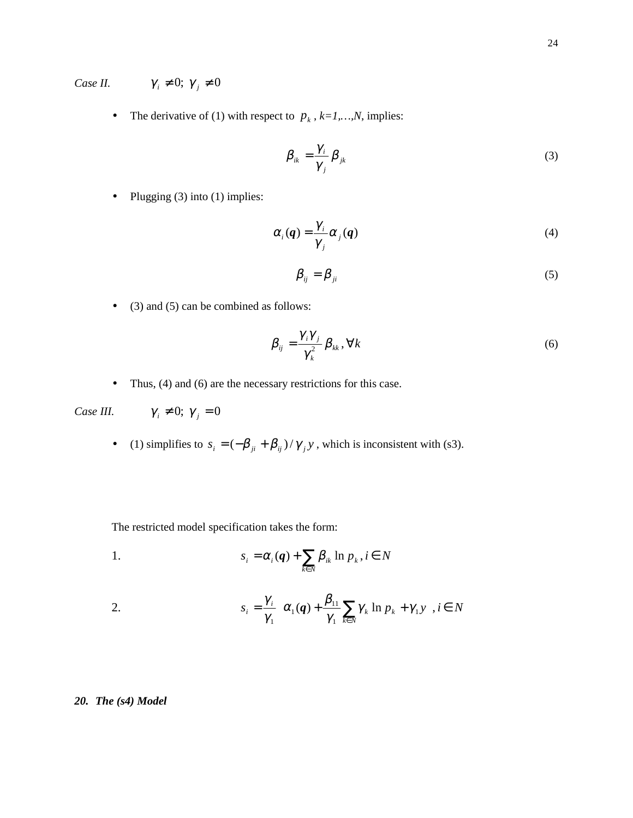*Case II.*  $\gamma_i \neq 0; \gamma_j \neq 0$ 

• The derivative of (1) with respect to  $p_k$ ,  $k=1,...,N$ , implies:

$$
\beta_{ik} = \frac{\gamma_i}{\gamma_j} \beta_{jk} \tag{3}
$$

• Plugging  $(3)$  into  $(1)$  implies:

$$
\alpha_i(q) = \frac{\gamma_i}{\gamma_j} \alpha_j(q) \tag{4}
$$

$$
\beta_{ij} = \beta_{ji} \tag{5}
$$

• (3) and (5) can be combined as follows:

$$
\beta_{ij} = \frac{\gamma_i \gamma_j}{\gamma_k^2} \beta_{kk}, \forall k
$$
\n(6)

• Thus, (4) and (6) are the necessary restrictions for this case.

*Case III.*  $\gamma_i \neq 0; \gamma_j = 0$ 

• (1) simplifies to  $s_i = \left(-\beta_{ji} + \beta_{ij}\right)/\gamma_j y$ , which is inconsistent with (s3).

The restricted model specification takes the form:

1. 
$$
s_i = \alpha_i(q) + \sum_{k \in N} \beta_{ik} \ln p_k, i \in N
$$

2. 
$$
s_i = \frac{\gamma_i}{\gamma_1} \left\{ \alpha_1(\boldsymbol{q}) + \frac{\beta_{11}}{\gamma_1} \sum_{k \in N} \gamma_k \ln p_k + \gamma_1 y \right\}, i \in N
$$

### *20. The (s4) Model*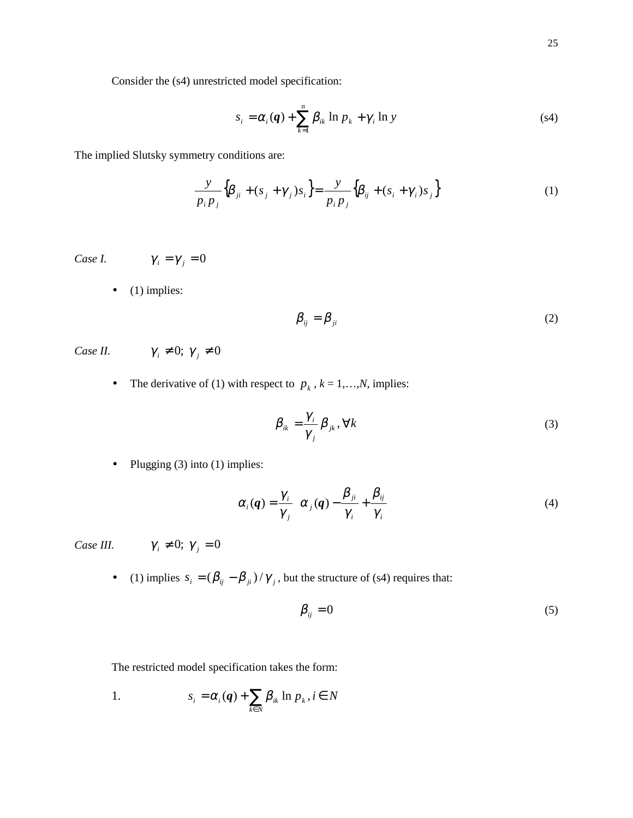Consider the (s4) unrestricted model specification:

$$
s_i = \alpha_i(\boldsymbol{q}) + \sum_{k=1}^n \beta_{ik} \ln p_k + \gamma_i \ln y \tag{s4}
$$

The implied Slutsky symmetry conditions are:

$$
\frac{y}{p_i p_j} \left\{ \beta_{ji} + (s_j + \gamma_j) s_i \right\} = \frac{y}{p_i p_j} \left\{ \beta_{ij} + (s_i + \gamma_i) s_j \right\} \tag{1}
$$

*Case I.*  $\gamma_i = \gamma_j = 0$ 

 $\bullet$  (1) implies:

$$
\beta_{ij} = \beta_{ji} \tag{2}
$$

*Case II.*  $\gamma_i \neq 0; \gamma_j \neq 0$ 

• The derivative of (1) with respect to  $p_k$ ,  $k = 1,...,N$ , implies:

$$
\beta_{ik} = \frac{\gamma_i}{\gamma_j} \beta_{jk}, \forall k
$$
\n(3)

• Plugging  $(3)$  into  $(1)$  implies:

$$
\alpha_i(\boldsymbol{q}) = \frac{\gamma_i}{\gamma_j} \left\{ \alpha_j(\boldsymbol{q}) - \frac{\beta_{ji}}{\gamma_i} + \frac{\beta_{ij}}{\gamma_i} \right\}
$$
(4)

*Case III.*  $\gamma_i \neq 0; \gamma_j = 0$ 

• (1) implies  $s_i = (\beta_{ij} - \beta_{ji}) / \gamma_j$ , but the structure of (s4) requires that:

$$
\beta_{ij} = 0 \tag{5}
$$

The restricted model specification takes the form:

1. 
$$
s_i = \alpha_i(q) + \sum_{k \in N} \beta_{ik} \ln p_k, i \in N
$$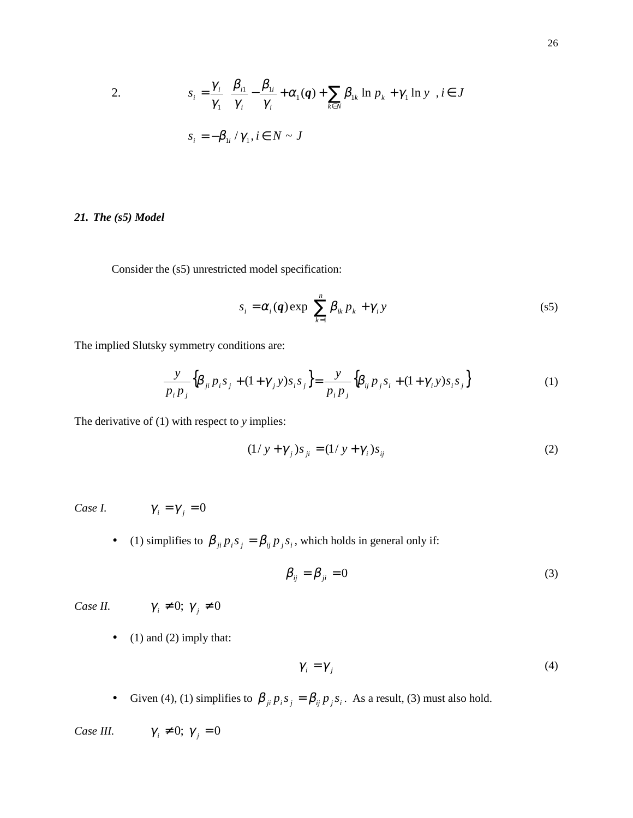2. 
$$
s_i = \frac{\gamma_i}{\gamma_1} \left\{ \frac{\beta_{i1}}{\gamma_i} - \frac{\beta_{1i}}{\gamma_i} + \alpha_1(q) + \sum_{k \in N} \beta_{1k} \ln p_k + \gamma_1 \ln y \right\}, i \in J
$$

$$
s_i = -\beta_{1i} / \gamma_1, i \in N \sim J
$$

### *21. The (s5) Model*

Consider the (s5) unrestricted model specification:

$$
s_i = \alpha_i(\boldsymbol{q}) \exp\left\{ \sum_{k=1}^n \beta_{ik} p_k + \gamma_i y \right\} \tag{s5}
$$

The implied Slutsky symmetry conditions are:

$$
\frac{y}{p_i p_j} \Big\{ \beta_{ji} p_i s_j + (1 + \gamma_j y) s_i s_j \Big\} = \frac{y}{p_i p_j} \Big\{ \beta_{ij} p_j s_i + (1 + \gamma_i y) s_i s_j \Big\}
$$
(1)

The derivative of (1) with respect to *y* implies:

$$
(1/y + \gamma_j)s_{ji} = (1/y + \gamma_i)s_{ij}
$$
 (2)

*Case I.*  $\gamma_i = \gamma_j = 0$ 

• (1) simplifies to  $\beta_{ji} p_i s_j = \beta_{ij} p_j s_i$ , which holds in general only if:

$$
\beta_{ij} = \beta_{ji} = 0 \tag{3}
$$

*Case II.*  $\gamma_i \neq 0; \gamma_j \neq 0$ 

 $\bullet$  (1) and (2) imply that:

$$
\gamma_i = \gamma_j \tag{4}
$$

• Given (4), (1) simplifies to  $\beta_{ji} p_i s_j = \beta_{ij} p_j s_i$ . As a result, (3) must also hold.

*Case III.*  $\gamma_i \neq 0; \gamma_j = 0$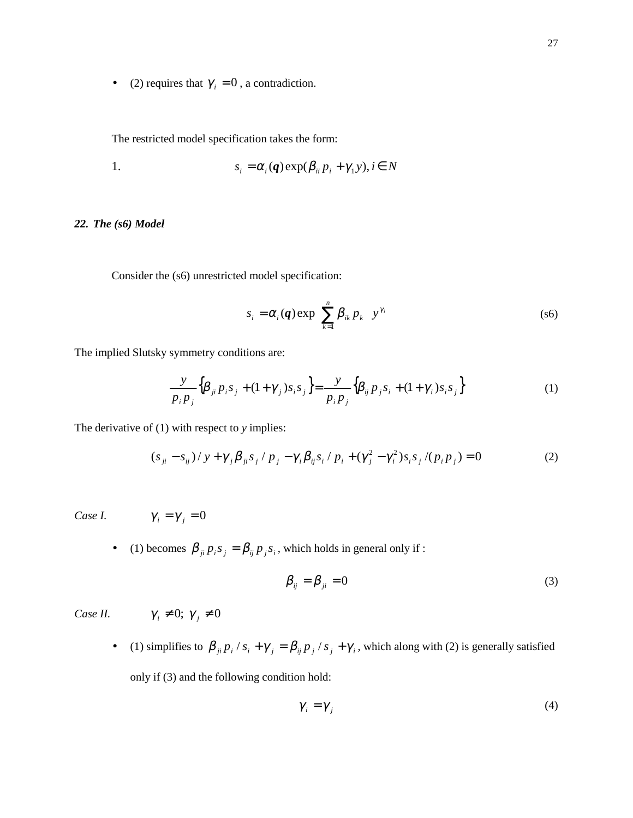• (2) requires that  $\gamma_i = 0$ , a contradiction.

The restricted model specification takes the form:

1. 
$$
s_i = \alpha_i(\boldsymbol{q}) \exp(\beta_{ii} p_i + \gamma_1 y), i \in N
$$

### *22. The (s6) Model*

Consider the (s6) unrestricted model specification:

$$
s_i = \alpha_i(\boldsymbol{q}) \exp\left\{\sum_{k=1}^n \beta_{ik} p_k\right\} y^{\gamma_i}
$$
 (s6)

The implied Slutsky symmetry conditions are:

$$
\frac{y}{p_i p_j} \Big\{ \beta_{ji} p_i s_j + (1 + \gamma_j) s_i s_j \Big\} = \frac{y}{p_i p_j} \Big\{ \beta_{ij} p_j s_i + (1 + \gamma_i) s_i s_j \Big\}
$$
(1)

The derivative of (1) with respect to *y* implies:

$$
(s_{ji} - s_{ij})/y + \gamma_j \beta_{ji} s_j / p_j - \gamma_i \beta_{ij} s_i / p_i + (\gamma_j^2 - \gamma_i^2) s_i s_j / (p_i p_j) = 0
$$
 (2)

Case I. 
$$
\gamma_i = \gamma_j = 0
$$

• (1) becomes  $\beta_{ji} p_i s_j = \beta_{ij} p_j s_i$ , which holds in general only if :

$$
\beta_{ij} = \beta_{ji} = 0 \tag{3}
$$

*Case II.*  $\gamma_i \neq 0; \gamma_j \neq 0$ 

• (1) simplifies to  $\beta_{ji} p_i / s_i + \gamma_j = \beta_{ij} p_j / s_j + \gamma_i$ , which along with (2) is generally satisfied only if (3) and the following condition hold:

$$
\gamma_i = \gamma_j \tag{4}
$$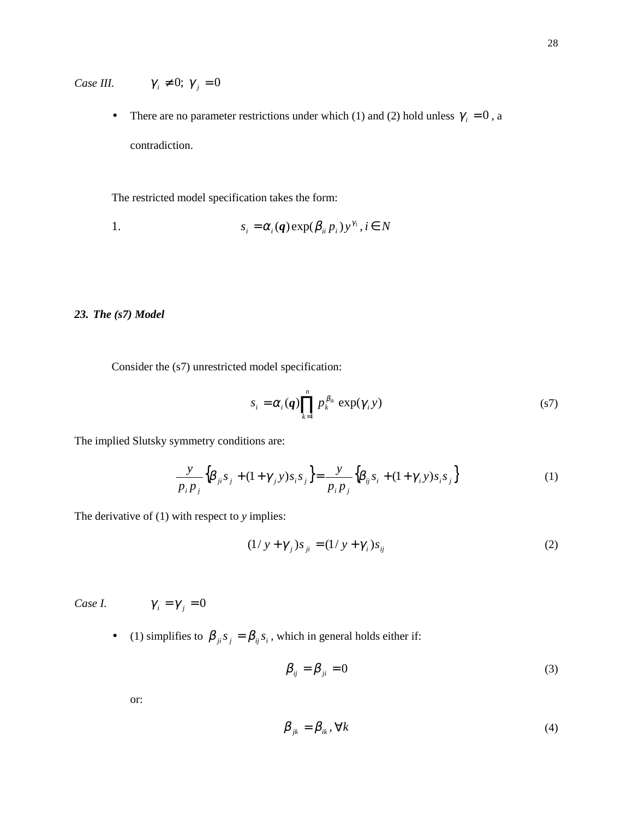*Case III.*  $\gamma_i \neq 0; \gamma_j = 0$ 

• There are no parameter restrictions under which (1) and (2) hold unless  $\gamma_i = 0$ , a contradiction.

The restricted model specification takes the form:

1. 
$$
s_i = \alpha_i(\boldsymbol{q}) \exp(\beta_{ii} p_i) y^{\gamma_i}, i \in N
$$

### *23. The (s7) Model*

Consider the (s7) unrestricted model specification:

$$
s_i = \alpha_i(q) \prod_{k=1}^n p_k^{\beta_{ik}} \exp(\gamma_i y) \tag{S7}
$$

The implied Slutsky symmetry conditions are:

$$
\frac{y}{p_i p_j} \Big\{ \beta_{ji} s_j + (1 + \gamma_j y) s_i s_j \Big\} = \frac{y}{p_i p_j} \Big\{ \beta_{ij} s_i + (1 + \gamma_i y) s_i s_j \Big\}
$$
(1)

The derivative of (1) with respect to *y* implies:

$$
(1/y + \gamma_j)s_{ji} = (1/y + \gamma_i)s_{ij}
$$
 (2)

*Case I.*  $\gamma_i = \gamma_j$ 

$$
\gamma_{\pm}=0
$$

• (1) simplifies to  $\beta_{ji} s_j = \beta_{ij} s_i$ , which in general holds either if:

$$
\beta_{ij} = \beta_{ji} = 0 \tag{3}
$$

or:

$$
\beta_{jk} = \beta_{ik}, \forall k \tag{4}
$$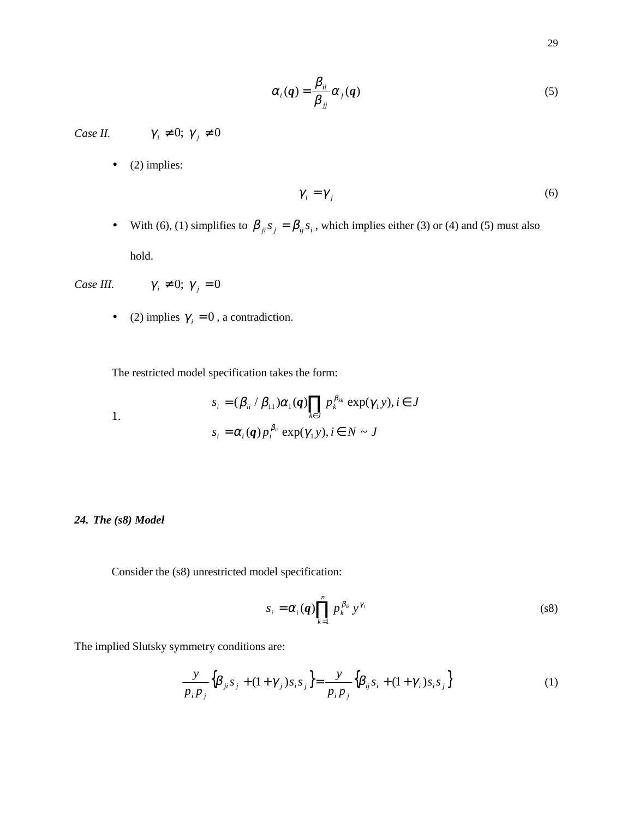$$
\alpha_i(q) = \frac{\beta_{ii}}{\beta_{jj}} \alpha_j(q) \tag{5}
$$

*Case II.*  $\gamma_i \neq 0; \gamma_j \neq 0$ 

 $\bullet$  (2) implies:

$$
\gamma_i = \gamma_j \tag{6}
$$

• With (6), (1) simplifies to  $\beta_{ji} s_j = \beta_{ij} s_i$ , which implies either (3) or (4) and (5) must also hold.

*Case III.*  $\gamma_i \neq 0; \gamma_j = 0$ 

• (2) implies  $\gamma_i = 0$ , a contradiction.

The restricted model specification takes the form:

1.  
\n
$$
s_i = (\beta_{ii} / \beta_{11}) \alpha_1(q) \prod_{k \in J} p_k^{\beta_{kk}} \exp(\gamma_1 y), i \in J
$$
\n
$$
s_i = \alpha_i(q) p_i^{\beta_{ii}} \exp(\gamma_1 y), i \in N \sim J
$$

### *24. The (s8) Model*

Consider the (s8) unrestricted model specification:

$$
s_i = \alpha_i(q) \prod_{k=1}^n p_k^{\beta_{ik}} y^{\gamma_i}
$$
 (s8)

The implied Slutsky symmetry conditions are:

$$
\frac{y}{p_i p_j} \Big\{ \beta_{ji} s_j + (1 + \gamma_j) s_i s_j \Big\} = \frac{y}{p_i p_j} \Big\{ \beta_{ij} s_i + (1 + \gamma_i) s_i s_j \Big\} \tag{1}
$$